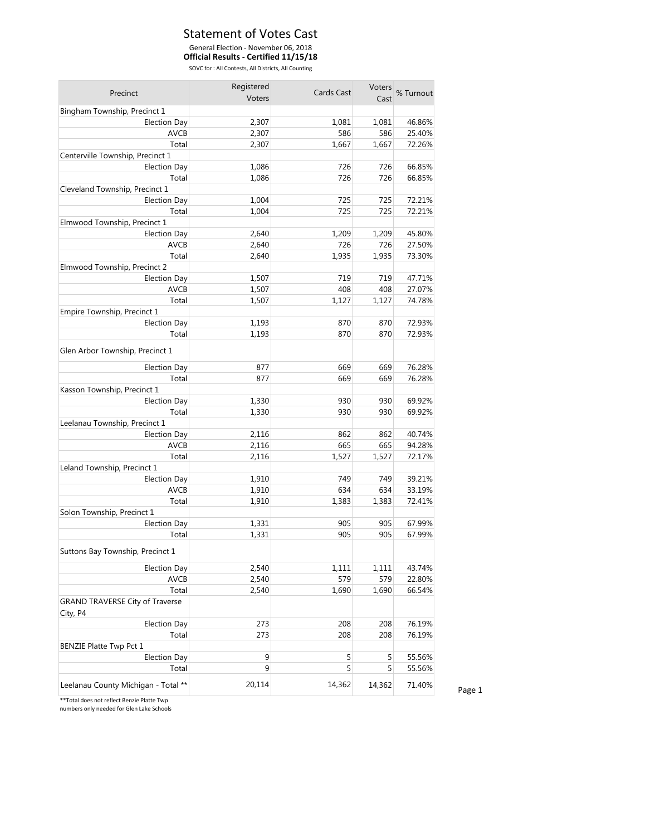#### Statement of Votes Cast

#### General Election - November 06, 2018

**Official Results - Certified 11/15/18**

SOVC for : All Contests, All Districts, All Counting

| Precinct                                           | Registered | Cards Cast |        | Voters % Turnout |
|----------------------------------------------------|------------|------------|--------|------------------|
|                                                    | Voters     |            |        |                  |
| Bingham Township, Precinct 1                       |            |            |        |                  |
| <b>Election Day</b>                                | 2,307      | 1,081      | 1,081  | 46.86%           |
| <b>AVCB</b>                                        | 2,307      | 586        | 586    | 25.40%           |
| Total                                              | 2,307      | 1,667      | 1,667  | 72.26%           |
| Centerville Township, Precinct 1                   |            |            |        |                  |
| Election Day                                       | 1,086      | 726        | 726    | 66.85%           |
| Total                                              | 1,086      | 726        | 726    | 66.85%           |
| Cleveland Township, Precinct 1                     |            |            |        |                  |
| <b>Election Day</b>                                | 1,004      | 725        | 725    | 72.21%           |
| Total                                              | 1,004      | 725        | 725    | 72.21%           |
| Elmwood Township, Precinct 1                       |            |            |        |                  |
| <b>Election Day</b>                                | 2,640      | 1,209      | 1,209  | 45.80%           |
| AVCB                                               | 2,640      | 726        | 726    | 27.50%           |
| Total                                              | 2,640      | 1,935      | 1,935  | 73.30%           |
| Elmwood Township, Precinct 2                       |            |            |        |                  |
| <b>Election Day</b>                                | 1,507      | 719        | 719    | 47.71%           |
| <b>AVCB</b>                                        | 1,507      | 408        | 408    | 27.07%           |
| Total                                              | 1,507      | 1,127      | 1,127  | 74.78%           |
| Empire Township, Precinct 1                        |            |            |        |                  |
| <b>Election Day</b>                                | 1,193      | 870        | 870    | 72.93%           |
| Total                                              | 1,193      | 870        | 870    | 72.93%           |
| Glen Arbor Township, Precinct 1                    |            |            |        |                  |
| <b>Election Day</b>                                | 877        | 669        | 669    | 76.28%           |
| Total                                              | 877        | 669        | 669    | 76.28%           |
| Kasson Township, Precinct 1                        |            |            |        |                  |
| <b>Election Day</b>                                | 1,330      | 930        | 930    | 69.92%           |
| Total                                              | 1,330      | 930        | 930    | 69.92%           |
| Leelanau Township, Precinct 1                      |            |            |        |                  |
| <b>Election Day</b>                                | 2,116      | 862        | 862    | 40.74%           |
| <b>AVCB</b>                                        | 2,116      | 665        | 665    | 94.28%           |
| Total                                              | 2,116      | 1,527      | 1,527  | 72.17%           |
| Leland Township, Precinct 1                        |            |            |        |                  |
| <b>Election Day</b>                                | 1,910      | 749        | 749    | 39.21%           |
| <b>AVCB</b>                                        | 1,910      | 634        | 634    | 33.19%           |
| Total                                              | 1,910      | 1,383      | 1,383  | 72.41%           |
| Solon Township, Precinct 1                         |            |            |        |                  |
| <b>Election Day</b>                                | 1,331      | 905        | 905    | 67.99%           |
|                                                    |            |            |        | 67.99%           |
| Total                                              | 1,331      | 905        | 905    |                  |
| Suttons Bay Township, Precinct 1                   |            |            |        |                  |
| <b>Election Day</b>                                | 2,540      | 1,111      | 1,111  | 43.74%           |
| AVCB                                               | 2,540      | 579        | 579    | 22.80%           |
| Total                                              | 2,540      | 1,690      | 1,690  | 66.54%           |
| <b>GRAND TRAVERSE City of Traverse</b><br>City, P4 |            |            |        |                  |
| Election Day                                       | 273        | 208        | 208    | 76.19%           |
| Total                                              | 273        | 208        | 208    | 76.19%           |
| <b>BENZIE Platte Twp Pct 1</b>                     |            |            |        |                  |
| <b>Election Day</b>                                | 9          | 5          | 5      | 55.56%           |
| Total                                              | 9          | 5          | 5      | 55.56%           |
|                                                    |            |            |        |                  |
| Leelanau County Michigan - Total **                | 20,114     | 14,362     | 14,362 | 71.40%           |

\*\*Total does not reflect Benzie Platte Twp

numbers only needed for Glen Lake Schools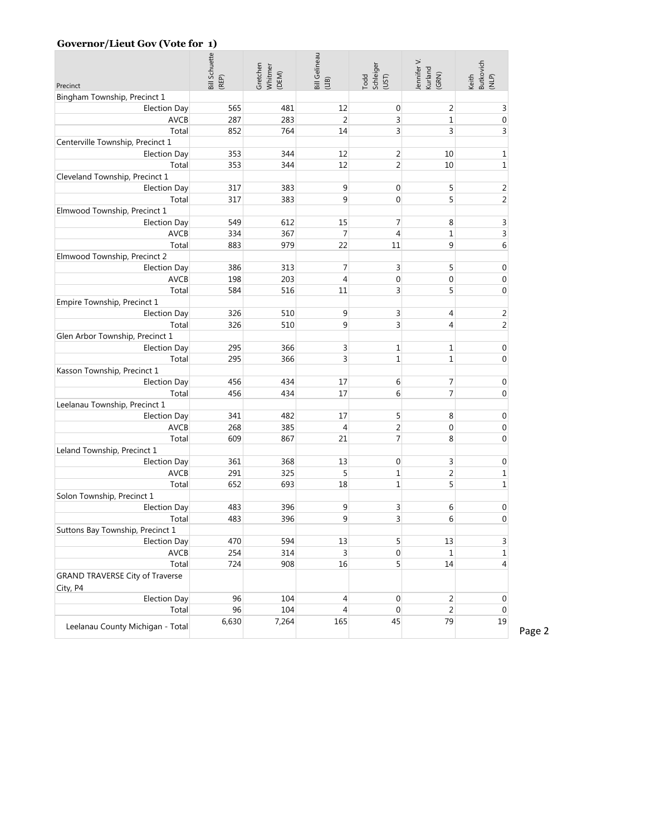#### **Governor/Lieut Gov (Vote for 1)**

|                                                         | <b>Bill Schuette</b><br>(REP) | Gretchen<br>Whitmer<br>(DEM) | <b>Bill Gelineau</b><br>(1B) | Todd<br>Schleiger<br>(UST) | ennifer V.<br>Kurland<br>(GRN) | Keith<br>Butkovich<br>(NLP) |
|---------------------------------------------------------|-------------------------------|------------------------------|------------------------------|----------------------------|--------------------------------|-----------------------------|
| Precinct                                                |                               |                              |                              |                            |                                |                             |
| Bingham Township, Precinct 1                            |                               |                              |                              |                            |                                |                             |
| Election Day                                            | 565                           | 481                          | 12                           | $\mathbf 0$                | 2                              | 3                           |
| <b>AVCB</b>                                             | 287                           | 283                          | $\overline{2}$               | 3                          | $\mathbf{1}$                   | $\pmb{0}$                   |
| Total                                                   | 852                           | 764                          | 14                           | 3                          | 3                              | 3                           |
| Centerville Township, Precinct 1<br><b>Election Day</b> | 353                           |                              | 12                           | 2                          |                                | $\mathbf{1}$                |
| Total                                                   | 353                           | 344<br>344                   | 12                           | 2                          | 10<br>10                       | $1\,$                       |
| Cleveland Township, Precinct 1                          |                               |                              |                              |                            |                                |                             |
| Election Day                                            | 317                           | 383                          | 9                            | 0                          | 5                              | $\overline{2}$              |
| Total                                                   | 317                           | 383                          | 9                            | 0                          | 5                              | $\overline{2}$              |
| Elmwood Township, Precinct 1                            |                               |                              |                              |                            |                                |                             |
| <b>Election Day</b>                                     | 549                           | 612                          | 15                           | 7                          | 8                              | $\mathsf 3$                 |
| <b>AVCB</b>                                             | 334                           | 367                          | $\overline{7}$               | $\overline{4}$             | $\mathbf{1}$                   | 3                           |
| Total                                                   | 883                           | 979                          | 22                           | 11                         | 9                              | 6                           |
| Elmwood Township, Precinct 2                            |                               |                              |                              |                            |                                |                             |
| <b>Election Day</b>                                     | 386                           | 313                          | $\overline{7}$               | 3                          | 5                              | $\boldsymbol{0}$            |
| <b>AVCB</b>                                             | 198                           | 203                          | $\overline{4}$               | 0                          | 0                              | 0                           |
| Total                                                   | 584                           | 516                          | 11                           | 3                          | 5                              | $\mathbf 0$                 |
| Empire Township, Precinct 1                             |                               |                              |                              |                            |                                |                             |
| <b>Election Day</b>                                     | 326                           | 510                          | 9                            | 3                          | 4                              | $\overline{2}$              |
| Total                                                   | 326                           | 510                          | 9                            | 3                          | $\overline{4}$                 | $\overline{2}$              |
| Glen Arbor Township, Precinct 1                         |                               |                              |                              |                            |                                |                             |
| <b>Election Day</b>                                     | 295                           | 366                          | 3                            | 1                          | $\mathbf 1$                    | $\boldsymbol{0}$            |
| Total                                                   | 295                           | 366                          | 3                            | 1                          | 1                              | 0                           |
| Kasson Township, Precinct 1                             |                               |                              |                              |                            |                                |                             |
| <b>Election Day</b>                                     | 456                           | 434                          | 17                           | 6                          | 7                              | $\mathbf 0$                 |
| Total                                                   | 456                           | 434                          | 17                           | 6                          | $\overline{7}$                 | $\mathbf 0$                 |
| Leelanau Township, Precinct 1                           |                               |                              |                              |                            |                                |                             |
| <b>Election Day</b>                                     | 341                           | 482                          | 17                           | 5                          | 8                              | 0                           |
| <b>AVCB</b>                                             | 268                           | 385                          | 4                            | 2                          | 0                              | 0                           |
| Total                                                   | 609                           | 867                          | 21                           | 7                          | 8                              | 0                           |
| Leland Township, Precinct 1                             |                               |                              |                              |                            |                                |                             |
| <b>Election Day</b>                                     | 361                           | 368                          | 13                           | 0                          | 3                              | $\pmb{0}$                   |
| <b>AVCB</b>                                             | 291                           | 325                          | 5                            | 1                          | 2                              | $\mathbf{1}$                |
| Total                                                   | 652                           | 693                          | 18                           | 1                          | 5                              | $\mathbf{1}$                |
| Solon Township, Precinct 1                              |                               |                              |                              |                            |                                |                             |
| <b>Election Day</b>                                     | 483                           | 396                          | 9                            | 3                          | 6                              | 0                           |
| Total                                                   | 483                           | 396                          | 9                            | 3                          | 6                              | $\mathbf 0$                 |
| Suttons Bay Township, Precinct 1                        |                               |                              |                              |                            |                                |                             |
| <b>Election Day</b>                                     | 470                           | 594                          | 13                           | 5                          | 13                             | $\overline{3}$              |
| AVCB                                                    | 254                           | 314                          | 3                            | 0                          | 1                              | $\mathbf{1}$                |
| Total                                                   | 724                           | 908                          | 16                           | 5                          | 14                             | $\overline{4}$              |
| <b>GRAND TRAVERSE City of Traverse</b><br>City, P4      |                               |                              |                              |                            |                                |                             |
| <b>Election Day</b>                                     | 96                            | 104                          | $\overline{4}$               | $\boldsymbol{0}$           | $\overline{2}$                 | $\boldsymbol{0}$            |
| Total                                                   | 96                            | 104                          | $\overline{4}$               | 0                          | $\overline{2}$                 | $\pmb{0}$                   |
| Leelanau County Michigan - Total                        | 6,630                         | 7,264                        | 165                          | 45                         | 79                             | 19                          |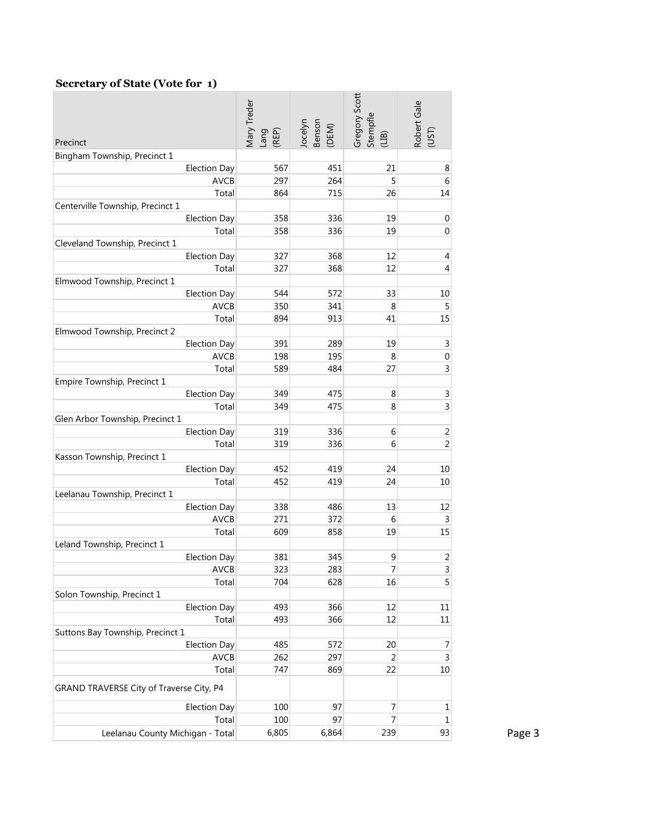#### **Secretary of State (Vote for 1)**

|                                          | Vlary Treder<br>Lang<br>(REP) | Benson<br>Jocelyn<br>(DEM) | Gregory Scott<br>Stempfle<br>(LIB) | Robert Gale<br>(UST)         |
|------------------------------------------|-------------------------------|----------------------------|------------------------------------|------------------------------|
| Precinct                                 |                               |                            |                                    |                              |
| Bingham Township, Precinct 1             | 567                           | 451                        | 21                                 |                              |
| Election Day<br>AVCB                     | 297                           | 264                        | 5                                  | 8<br>6                       |
| Total                                    | 864                           | 715                        | 26                                 | 14                           |
| Centerville Township, Precinct 1         |                               |                            |                                    |                              |
| Election Day                             | 358                           | 336                        | 19                                 | 0                            |
| Total                                    | 358                           | 336                        | 19                                 | 0                            |
| Cleveland Township, Precinct 1           |                               |                            |                                    |                              |
| Election Day                             | 327                           | 368                        | 12                                 | 4                            |
| Total                                    | 327                           | 368                        | 12                                 | 4                            |
| Elmwood Township, Precinct 1             |                               |                            |                                    |                              |
| <b>Election Day</b>                      | 544                           | 572                        | 33                                 | 10                           |
| AVCB                                     | 350                           | 341                        | 8                                  | 5                            |
| Total                                    | 894                           | 913                        | 41                                 | 15                           |
| Elmwood Township, Precinct 2             |                               |                            |                                    |                              |
| <b>Election Day</b>                      | 391                           | 289                        | 19                                 | 3                            |
| <b>AVCB</b>                              | 198                           | 195                        | 8                                  | 0                            |
| Total                                    | 589                           | 484                        | 27                                 | 3                            |
| Empire Township, Precinct 1              |                               |                            |                                    |                              |
| <b>Election Day</b>                      | 349                           | 475                        | $\,8\,$                            | 3                            |
| Total                                    | 349                           | 475                        | 8                                  | 3                            |
| Glen Arbor Township, Precinct 1          |                               |                            |                                    |                              |
| <b>Election Day</b>                      | 319                           | 336                        | 6                                  | 2                            |
| Total                                    | 319                           | 336                        | 6                                  | $\overline{2}$               |
| Kasson Township, Precinct 1              |                               |                            |                                    |                              |
| <b>Election Day</b>                      | 452                           | 419                        | 24                                 | 10                           |
| Total                                    | 452                           | 419                        | 24                                 | 10                           |
| Leelanau Township, Precinct 1            |                               |                            |                                    |                              |
| <b>Election Day</b>                      | 338                           | 486                        | 13                                 | 12                           |
| <b>AVCB</b>                              | 271                           | 372                        | 6                                  | 3                            |
| Total                                    | 609                           | 858                        | 19                                 | 15                           |
| Leland Township, Precinct 1              |                               |                            |                                    |                              |
| <b>Election Day</b><br><b>AVCB</b>       | 381<br>323                    | 345<br>283                 | 9                                  | 2                            |
|                                          | 704                           | 628                        | 7                                  | $\overline{\mathbf{3}}$<br>5 |
| Total<br>Solon Township, Precinct 1      |                               |                            | 16                                 |                              |
| <b>Election Day</b>                      | 493                           | 366                        | 12                                 | 11                           |
| Total                                    | 493                           | 366                        | 12                                 | 11                           |
| Suttons Bay Township, Precinct 1         |                               |                            |                                    |                              |
| <b>Election Day</b>                      | 485                           | 572                        | 20                                 | 7                            |
| AVCB                                     | 262                           | 297                        | 2                                  | 3                            |
| Total                                    | 747                           | 869                        | 22                                 | 10                           |
| GRAND TRAVERSE City of Traverse City, P4 |                               |                            |                                    |                              |
| <b>Election Day</b>                      | 100                           | 97                         | $\overline{\mathcal{I}}$           | 1                            |
| Total                                    | 100                           | 97                         | $\overline{7}$                     | 1                            |
| Leelanau County Michigan - Total         | 6,805                         | 6,864                      | 239                                | 93                           |
|                                          |                               |                            |                                    |                              |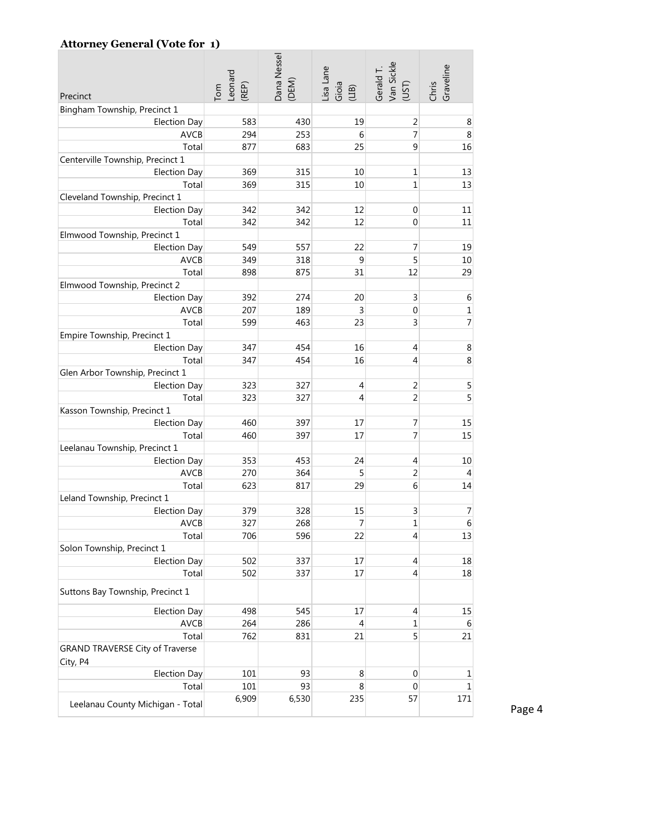#### **Attorney General (Vote for 1)**

| Precinct                                           | Leonard<br>(REP)<br>Tom | Dana Nessel<br>(DEM) | Lisa Lane<br>$Gioa$<br>$(118)$ | Van Sickle<br>Gerald T<br>(UST) | Graveline<br>Chris |
|----------------------------------------------------|-------------------------|----------------------|--------------------------------|---------------------------------|--------------------|
| Bingham Township, Precinct 1                       |                         |                      |                                |                                 |                    |
| <b>Election Day</b>                                | 583                     | 430                  | 19                             | 2                               | 8                  |
| <b>AVCB</b>                                        | 294                     | 253                  | 6                              | 7                               | 8                  |
| Total                                              | 877                     | 683                  | 25                             | 9                               | 16                 |
| Centerville Township, Precinct 1                   |                         |                      |                                |                                 |                    |
| <b>Election Day</b>                                | 369                     | 315                  | 10                             | 1                               | 13                 |
| Total                                              | 369                     | 315                  | 10                             | 1                               | 13                 |
| Cleveland Township, Precinct 1                     |                         |                      |                                |                                 |                    |
| <b>Election Day</b>                                | 342                     | 342                  | 12                             | $\mathbf 0$                     | 11                 |
| Total                                              | 342                     | 342                  | 12                             | $\mathbf 0$                     | 11                 |
| Elmwood Township, Precinct 1                       |                         |                      |                                |                                 |                    |
| <b>Election Day</b>                                | 549                     | 557                  | 22                             | 7                               | 19                 |
| <b>AVCB</b>                                        | 349                     | 318                  | 9                              | 5                               | 10                 |
| Total                                              | 898                     | 875                  | 31                             | 12                              | 29                 |
| Elmwood Township, Precinct 2                       |                         |                      |                                |                                 |                    |
| <b>Election Day</b>                                | 392                     | 274                  | 20                             | 3                               | 6                  |
| <b>AVCB</b>                                        | 207                     | 189                  | 3                              | $\boldsymbol{0}$                | $\mathbf{1}$       |
| Total                                              | 599                     | 463                  | 23                             | 3                               | $\overline{7}$     |
| Empire Township, Precinct 1                        |                         |                      |                                |                                 |                    |
| <b>Election Day</b>                                | 347                     | 454                  | 16                             | 4                               | 8                  |
| Total                                              | 347                     | 454                  | 16                             | 4                               | 8                  |
| Glen Arbor Township, Precinct 1                    |                         |                      |                                |                                 |                    |
| <b>Election Day</b>                                | 323                     | 327                  | $\overline{4}$                 | $\overline{2}$                  | 5                  |
| Total                                              | 323                     | 327                  | 4                              | $\overline{c}$                  | 5                  |
| Kasson Township, Precinct 1                        |                         |                      |                                |                                 |                    |
| <b>Election Day</b>                                | 460                     | 397                  | 17                             | 7                               | 15                 |
| Total                                              | 460                     | 397                  | 17                             | 7                               | 15                 |
| Leelanau Township, Precinct 1                      |                         |                      |                                |                                 |                    |
| <b>Election Day</b>                                | 353                     | 453                  | 24                             | $\overline{4}$                  | 10                 |
| <b>AVCB</b>                                        | 270                     | 364                  | 5                              | 2                               | $\overline{4}$     |
| Total                                              | 623                     | 817                  | 29                             | 6                               | 14                 |
| Leland Township, Precinct 1                        |                         |                      |                                |                                 |                    |
| <b>Election Day</b>                                | 379                     | 328                  | 15                             | 3                               | $\overline{7}$     |
| <b>AVCB</b>                                        | 327                     | 268                  | $\overline{7}$                 | $\mathbf 1$                     | 6                  |
| Total                                              | 706                     | 596                  | 22                             | 4                               | 13                 |
| Solon Township, Precinct 1                         |                         |                      |                                |                                 |                    |
| <b>Election Day</b>                                | 502                     | 337                  | 17                             | $\overline{4}$                  | 18                 |
| Total                                              | 502                     | 337                  | 17                             | 4                               | 18                 |
| Suttons Bay Township, Precinct 1                   |                         |                      |                                |                                 |                    |
| <b>Election Day</b>                                | 498                     | 545                  | 17                             | 4                               | 15                 |
| AVCB                                               | 264                     | 286                  | 4                              | 1                               | 6                  |
| Total                                              | 762                     | 831                  | 21                             | 5                               | 21                 |
| <b>GRAND TRAVERSE City of Traverse</b><br>City, P4 |                         |                      |                                |                                 |                    |
| <b>Election Day</b>                                | 101                     | 93                   | 8                              | $\boldsymbol{0}$                | $\mathbf 1$        |
| Total                                              | 101                     | 93                   | 8                              | $\mathbf 0$                     | $\mathbf 1$        |
| Leelanau County Michigan - Total                   | 6,909                   | 6,530                | 235                            | 57                              | 171                |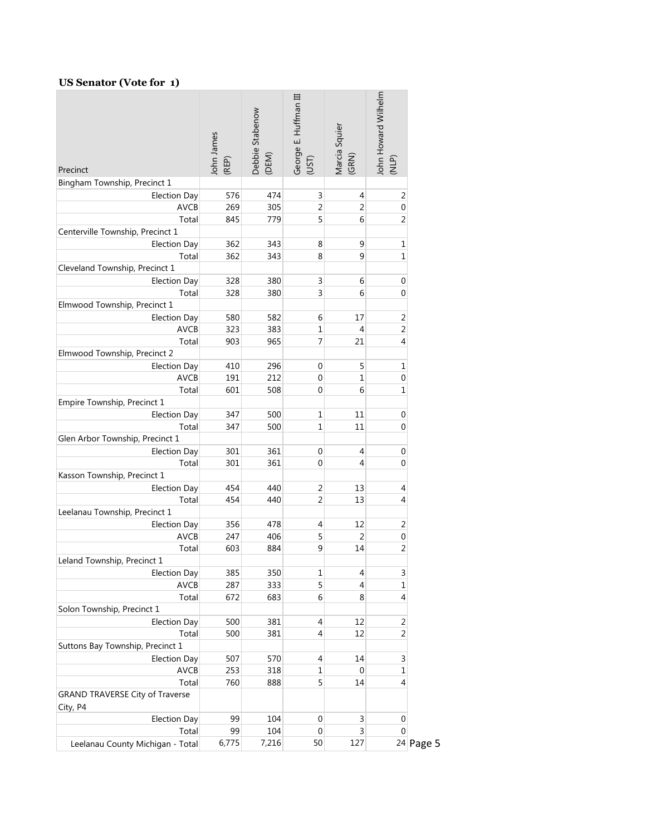#### **US Senator (Vote for 1)**

| Precinct                                 | John James<br>(REP) | Debbie Stabenow<br>(DEM) | George E. Huffman III<br>(UST) | Marcia Squier<br>(GRN) | John Howard Wilhelm<br>(NLP) |             |
|------------------------------------------|---------------------|--------------------------|--------------------------------|------------------------|------------------------------|-------------|
| Bingham Township, Precinct 1             |                     |                          |                                |                        |                              |             |
| <b>Election Day</b>                      | 576                 | 474                      | 3                              | 4                      | 2                            |             |
| <b>AVCB</b>                              | 269                 | 305                      | 2                              | 2                      | 0                            |             |
| Total                                    | 845                 | 779                      | 5                              | 6                      | 2                            |             |
| Centerville Township, Precinct 1         |                     |                          |                                |                        |                              |             |
| <b>Election Day</b>                      | 362                 | 343                      | 8                              | 9                      | 1                            |             |
| Total                                    | 362                 | 343                      | 8                              | 9                      | 1                            |             |
| Cleveland Township, Precinct 1           |                     |                          |                                |                        |                              |             |
| <b>Election Day</b>                      | 328                 | 380                      | 3                              | 6                      | 0                            |             |
| Total                                    | 328                 | 380                      | 3                              | 6                      | 0                            |             |
| Elmwood Township, Precinct 1             |                     |                          |                                |                        |                              |             |
| <b>Election Day</b>                      | 580                 | 582                      | 6                              | 17                     | 2                            |             |
| <b>AVCB</b>                              | 323                 | 383                      | 1                              | 4                      | $\overline{2}$               |             |
| Total                                    | 903                 | 965                      | 7                              | 21                     | 4                            |             |
| Elmwood Township, Precinct 2             |                     |                          |                                |                        |                              |             |
| <b>Election Day</b>                      | 410                 | 296                      | 0                              | 5                      | 1                            |             |
| AVCB                                     | 191                 | 212                      | 0                              | 1                      | 0                            |             |
| Total                                    | 601                 | 508                      | 0                              | 6                      | 1                            |             |
| Empire Township, Precinct 1              |                     |                          |                                |                        |                              |             |
| <b>Election Day</b>                      | 347                 | 500                      | 1                              | 11<br>11               | $\mathbf 0$                  |             |
| Total<br>Glen Arbor Township, Precinct 1 | 347                 | 500                      | 1                              |                        | 0                            |             |
| <b>Election Day</b>                      | 301                 | 361                      | $\mathbf 0$                    | 4                      | 0                            |             |
| Total                                    | 301                 | 361                      | 0                              | 4                      | 0                            |             |
| Kasson Township, Precinct 1              |                     |                          |                                |                        |                              |             |
| <b>Election Day</b>                      | 454                 | 440                      | $\overline{c}$                 | 13                     | 4                            |             |
| Total                                    | 454                 | 440                      | 2                              | 13                     | 4                            |             |
| Leelanau Township, Precinct 1            |                     |                          |                                |                        |                              |             |
| <b>Election Day</b>                      | 356                 | 478                      | 4                              | 12                     | $\overline{2}$               |             |
| AVCB                                     | 247                 | 406                      | 5                              | 2                      | 0                            |             |
| Total                                    | 603                 | 884                      | 9                              | 14                     | 2                            |             |
| Leland Township, Precinct 1              |                     |                          |                                |                        |                              |             |
| Election Day                             | 385                 | 350                      | $\mathbf 1$                    | 4                      | 3                            |             |
| <b>AVCB</b>                              | 287                 | 333                      | 5                              | 4                      | 1                            |             |
| Total                                    | 672                 | 683                      | 6                              | 8                      | 4                            |             |
| Solon Township, Precinct 1               |                     |                          |                                |                        |                              |             |
| <b>Election Day</b>                      | 500                 | 381                      | 4                              | 12                     | $\overline{\mathbf{c}}$      |             |
| Total                                    | 500                 | 381                      | 4                              | 12                     | $\overline{2}$               |             |
| Suttons Bay Township, Precinct 1         |                     |                          |                                |                        |                              |             |
| <b>Election Day</b>                      | 507                 | 570                      | 4                              | 14                     | 3                            |             |
| AVCB                                     | 253                 | 318                      | 1                              | 0                      | 1                            |             |
| Total                                    | 760                 | 888                      | 5                              | 14                     | 4                            |             |
| <b>GRAND TRAVERSE City of Traverse</b>   |                     |                          |                                |                        |                              |             |
| City, P4                                 |                     |                          |                                |                        |                              |             |
| Election Day                             | 99                  | 104                      | $\boldsymbol{0}$               | 3                      | 0                            |             |
| Total                                    | 99                  | 104                      | $\mathbf 0$                    | 3                      | 0                            |             |
| Leelanau County Michigan - Total         | 6,775               | 7,216                    | 50                             | 127                    |                              | $24$ Page 5 |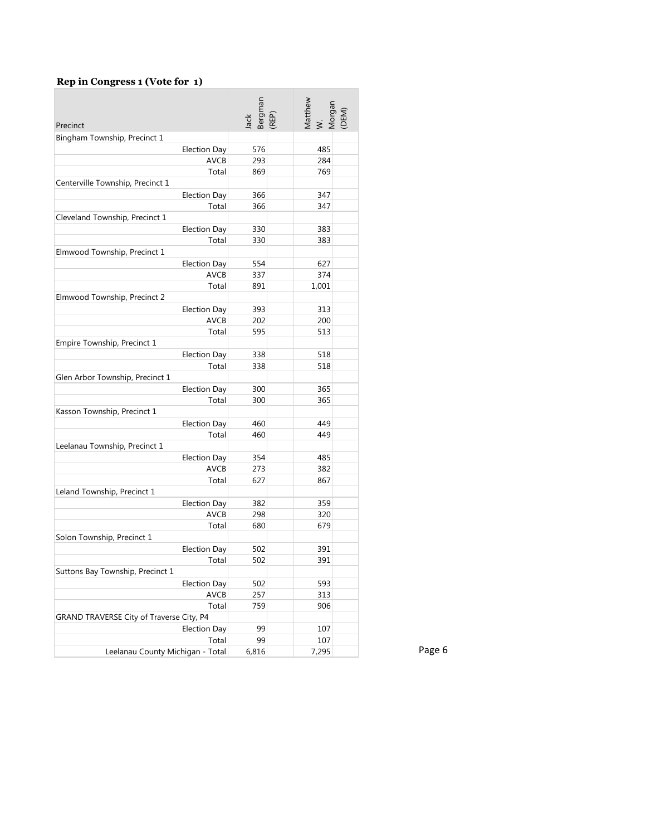#### **Rep in Congress 1 (Vote for 1)**

| Bingham Township, Precinct 1<br><b>Election Day</b><br>576<br>485<br><b>AVCB</b><br>293<br>284<br>869<br>769<br>Total<br>Centerville Township, Precinct 1<br><b>Election Day</b><br>366<br>347<br>366<br>347<br>Total<br>Cleveland Township, Precinct 1<br><b>Election Day</b><br>330<br>383<br>Total<br>330<br>383<br>Elmwood Township, Precinct 1<br>554<br>627<br><b>Election Day</b><br><b>AVCB</b><br>374<br>337<br>1,001<br>Total<br>891<br>Elmwood Township, Precinct 2<br><b>Election Day</b><br>393<br>313<br>AVCB<br>202<br>200<br>595<br>513<br>Total<br>Empire Township, Precinct 1<br><b>Election Day</b><br>338<br>518<br>Total<br>338<br>518<br>Glen Arbor Township, Precinct 1<br><b>Election Day</b><br>300<br>365<br>300<br>365<br>Total<br>Kasson Township, Precinct 1<br><b>Election Day</b><br>460<br>449<br>449<br>Total<br>460<br>Leelanau Township, Precinct 1<br><b>Election Day</b><br>354<br>485<br>AVCB<br>273<br>382<br>Total<br>627<br>867<br>Leland Township, Precinct 1<br>Election Day<br>382<br>359<br>AVCB<br>298<br>320<br>679<br>Total<br>680<br>Solon Township, Precinct 1<br><b>Election Day</b><br>502<br>391<br>502<br>391<br>Total<br>Suttons Bay Township, Precinct 1<br>502<br>593<br><b>Election Day</b><br>AVCB<br>257<br>313<br>Total<br>759<br>906<br>GRAND TRAVERSE City of Traverse City, P4<br><b>Election Day</b><br>99<br>107<br>Total<br>99<br>107 | Precinct                         | Bergman<br>(REP)<br>Jack | Matthew<br>W.<br>Morgan<br>(DEM) |
|----------------------------------------------------------------------------------------------------------------------------------------------------------------------------------------------------------------------------------------------------------------------------------------------------------------------------------------------------------------------------------------------------------------------------------------------------------------------------------------------------------------------------------------------------------------------------------------------------------------------------------------------------------------------------------------------------------------------------------------------------------------------------------------------------------------------------------------------------------------------------------------------------------------------------------------------------------------------------------------------------------------------------------------------------------------------------------------------------------------------------------------------------------------------------------------------------------------------------------------------------------------------------------------------------------------------------------------------------------------------------------------------------------|----------------------------------|--------------------------|----------------------------------|
|                                                                                                                                                                                                                                                                                                                                                                                                                                                                                                                                                                                                                                                                                                                                                                                                                                                                                                                                                                                                                                                                                                                                                                                                                                                                                                                                                                                                          |                                  |                          |                                  |
|                                                                                                                                                                                                                                                                                                                                                                                                                                                                                                                                                                                                                                                                                                                                                                                                                                                                                                                                                                                                                                                                                                                                                                                                                                                                                                                                                                                                          |                                  |                          |                                  |
|                                                                                                                                                                                                                                                                                                                                                                                                                                                                                                                                                                                                                                                                                                                                                                                                                                                                                                                                                                                                                                                                                                                                                                                                                                                                                                                                                                                                          |                                  |                          |                                  |
|                                                                                                                                                                                                                                                                                                                                                                                                                                                                                                                                                                                                                                                                                                                                                                                                                                                                                                                                                                                                                                                                                                                                                                                                                                                                                                                                                                                                          |                                  |                          |                                  |
|                                                                                                                                                                                                                                                                                                                                                                                                                                                                                                                                                                                                                                                                                                                                                                                                                                                                                                                                                                                                                                                                                                                                                                                                                                                                                                                                                                                                          |                                  |                          |                                  |
|                                                                                                                                                                                                                                                                                                                                                                                                                                                                                                                                                                                                                                                                                                                                                                                                                                                                                                                                                                                                                                                                                                                                                                                                                                                                                                                                                                                                          |                                  |                          |                                  |
|                                                                                                                                                                                                                                                                                                                                                                                                                                                                                                                                                                                                                                                                                                                                                                                                                                                                                                                                                                                                                                                                                                                                                                                                                                                                                                                                                                                                          |                                  |                          |                                  |
|                                                                                                                                                                                                                                                                                                                                                                                                                                                                                                                                                                                                                                                                                                                                                                                                                                                                                                                                                                                                                                                                                                                                                                                                                                                                                                                                                                                                          |                                  |                          |                                  |
|                                                                                                                                                                                                                                                                                                                                                                                                                                                                                                                                                                                                                                                                                                                                                                                                                                                                                                                                                                                                                                                                                                                                                                                                                                                                                                                                                                                                          |                                  |                          |                                  |
|                                                                                                                                                                                                                                                                                                                                                                                                                                                                                                                                                                                                                                                                                                                                                                                                                                                                                                                                                                                                                                                                                                                                                                                                                                                                                                                                                                                                          |                                  |                          |                                  |
|                                                                                                                                                                                                                                                                                                                                                                                                                                                                                                                                                                                                                                                                                                                                                                                                                                                                                                                                                                                                                                                                                                                                                                                                                                                                                                                                                                                                          |                                  |                          |                                  |
|                                                                                                                                                                                                                                                                                                                                                                                                                                                                                                                                                                                                                                                                                                                                                                                                                                                                                                                                                                                                                                                                                                                                                                                                                                                                                                                                                                                                          |                                  |                          |                                  |
|                                                                                                                                                                                                                                                                                                                                                                                                                                                                                                                                                                                                                                                                                                                                                                                                                                                                                                                                                                                                                                                                                                                                                                                                                                                                                                                                                                                                          |                                  |                          |                                  |
|                                                                                                                                                                                                                                                                                                                                                                                                                                                                                                                                                                                                                                                                                                                                                                                                                                                                                                                                                                                                                                                                                                                                                                                                                                                                                                                                                                                                          |                                  |                          |                                  |
|                                                                                                                                                                                                                                                                                                                                                                                                                                                                                                                                                                                                                                                                                                                                                                                                                                                                                                                                                                                                                                                                                                                                                                                                                                                                                                                                                                                                          |                                  |                          |                                  |
|                                                                                                                                                                                                                                                                                                                                                                                                                                                                                                                                                                                                                                                                                                                                                                                                                                                                                                                                                                                                                                                                                                                                                                                                                                                                                                                                                                                                          |                                  |                          |                                  |
|                                                                                                                                                                                                                                                                                                                                                                                                                                                                                                                                                                                                                                                                                                                                                                                                                                                                                                                                                                                                                                                                                                                                                                                                                                                                                                                                                                                                          |                                  |                          |                                  |
|                                                                                                                                                                                                                                                                                                                                                                                                                                                                                                                                                                                                                                                                                                                                                                                                                                                                                                                                                                                                                                                                                                                                                                                                                                                                                                                                                                                                          |                                  |                          |                                  |
|                                                                                                                                                                                                                                                                                                                                                                                                                                                                                                                                                                                                                                                                                                                                                                                                                                                                                                                                                                                                                                                                                                                                                                                                                                                                                                                                                                                                          |                                  |                          |                                  |
|                                                                                                                                                                                                                                                                                                                                                                                                                                                                                                                                                                                                                                                                                                                                                                                                                                                                                                                                                                                                                                                                                                                                                                                                                                                                                                                                                                                                          |                                  |                          |                                  |
|                                                                                                                                                                                                                                                                                                                                                                                                                                                                                                                                                                                                                                                                                                                                                                                                                                                                                                                                                                                                                                                                                                                                                                                                                                                                                                                                                                                                          |                                  |                          |                                  |
|                                                                                                                                                                                                                                                                                                                                                                                                                                                                                                                                                                                                                                                                                                                                                                                                                                                                                                                                                                                                                                                                                                                                                                                                                                                                                                                                                                                                          |                                  |                          |                                  |
|                                                                                                                                                                                                                                                                                                                                                                                                                                                                                                                                                                                                                                                                                                                                                                                                                                                                                                                                                                                                                                                                                                                                                                                                                                                                                                                                                                                                          |                                  |                          |                                  |
|                                                                                                                                                                                                                                                                                                                                                                                                                                                                                                                                                                                                                                                                                                                                                                                                                                                                                                                                                                                                                                                                                                                                                                                                                                                                                                                                                                                                          |                                  |                          |                                  |
|                                                                                                                                                                                                                                                                                                                                                                                                                                                                                                                                                                                                                                                                                                                                                                                                                                                                                                                                                                                                                                                                                                                                                                                                                                                                                                                                                                                                          |                                  |                          |                                  |
|                                                                                                                                                                                                                                                                                                                                                                                                                                                                                                                                                                                                                                                                                                                                                                                                                                                                                                                                                                                                                                                                                                                                                                                                                                                                                                                                                                                                          |                                  |                          |                                  |
|                                                                                                                                                                                                                                                                                                                                                                                                                                                                                                                                                                                                                                                                                                                                                                                                                                                                                                                                                                                                                                                                                                                                                                                                                                                                                                                                                                                                          |                                  |                          |                                  |
|                                                                                                                                                                                                                                                                                                                                                                                                                                                                                                                                                                                                                                                                                                                                                                                                                                                                                                                                                                                                                                                                                                                                                                                                                                                                                                                                                                                                          |                                  |                          |                                  |
|                                                                                                                                                                                                                                                                                                                                                                                                                                                                                                                                                                                                                                                                                                                                                                                                                                                                                                                                                                                                                                                                                                                                                                                                                                                                                                                                                                                                          |                                  |                          |                                  |
|                                                                                                                                                                                                                                                                                                                                                                                                                                                                                                                                                                                                                                                                                                                                                                                                                                                                                                                                                                                                                                                                                                                                                                                                                                                                                                                                                                                                          |                                  |                          |                                  |
|                                                                                                                                                                                                                                                                                                                                                                                                                                                                                                                                                                                                                                                                                                                                                                                                                                                                                                                                                                                                                                                                                                                                                                                                                                                                                                                                                                                                          |                                  |                          |                                  |
|                                                                                                                                                                                                                                                                                                                                                                                                                                                                                                                                                                                                                                                                                                                                                                                                                                                                                                                                                                                                                                                                                                                                                                                                                                                                                                                                                                                                          |                                  |                          |                                  |
|                                                                                                                                                                                                                                                                                                                                                                                                                                                                                                                                                                                                                                                                                                                                                                                                                                                                                                                                                                                                                                                                                                                                                                                                                                                                                                                                                                                                          |                                  |                          |                                  |
|                                                                                                                                                                                                                                                                                                                                                                                                                                                                                                                                                                                                                                                                                                                                                                                                                                                                                                                                                                                                                                                                                                                                                                                                                                                                                                                                                                                                          |                                  |                          |                                  |
|                                                                                                                                                                                                                                                                                                                                                                                                                                                                                                                                                                                                                                                                                                                                                                                                                                                                                                                                                                                                                                                                                                                                                                                                                                                                                                                                                                                                          |                                  |                          |                                  |
|                                                                                                                                                                                                                                                                                                                                                                                                                                                                                                                                                                                                                                                                                                                                                                                                                                                                                                                                                                                                                                                                                                                                                                                                                                                                                                                                                                                                          |                                  |                          |                                  |
|                                                                                                                                                                                                                                                                                                                                                                                                                                                                                                                                                                                                                                                                                                                                                                                                                                                                                                                                                                                                                                                                                                                                                                                                                                                                                                                                                                                                          |                                  |                          |                                  |
|                                                                                                                                                                                                                                                                                                                                                                                                                                                                                                                                                                                                                                                                                                                                                                                                                                                                                                                                                                                                                                                                                                                                                                                                                                                                                                                                                                                                          |                                  |                          |                                  |
|                                                                                                                                                                                                                                                                                                                                                                                                                                                                                                                                                                                                                                                                                                                                                                                                                                                                                                                                                                                                                                                                                                                                                                                                                                                                                                                                                                                                          |                                  |                          |                                  |
|                                                                                                                                                                                                                                                                                                                                                                                                                                                                                                                                                                                                                                                                                                                                                                                                                                                                                                                                                                                                                                                                                                                                                                                                                                                                                                                                                                                                          |                                  |                          |                                  |
|                                                                                                                                                                                                                                                                                                                                                                                                                                                                                                                                                                                                                                                                                                                                                                                                                                                                                                                                                                                                                                                                                                                                                                                                                                                                                                                                                                                                          |                                  |                          |                                  |
|                                                                                                                                                                                                                                                                                                                                                                                                                                                                                                                                                                                                                                                                                                                                                                                                                                                                                                                                                                                                                                                                                                                                                                                                                                                                                                                                                                                                          |                                  |                          |                                  |
|                                                                                                                                                                                                                                                                                                                                                                                                                                                                                                                                                                                                                                                                                                                                                                                                                                                                                                                                                                                                                                                                                                                                                                                                                                                                                                                                                                                                          |                                  |                          |                                  |
|                                                                                                                                                                                                                                                                                                                                                                                                                                                                                                                                                                                                                                                                                                                                                                                                                                                                                                                                                                                                                                                                                                                                                                                                                                                                                                                                                                                                          |                                  |                          |                                  |
|                                                                                                                                                                                                                                                                                                                                                                                                                                                                                                                                                                                                                                                                                                                                                                                                                                                                                                                                                                                                                                                                                                                                                                                                                                                                                                                                                                                                          |                                  |                          |                                  |
|                                                                                                                                                                                                                                                                                                                                                                                                                                                                                                                                                                                                                                                                                                                                                                                                                                                                                                                                                                                                                                                                                                                                                                                                                                                                                                                                                                                                          | Leelanau County Michigan - Total | 6,816                    | 7,295                            |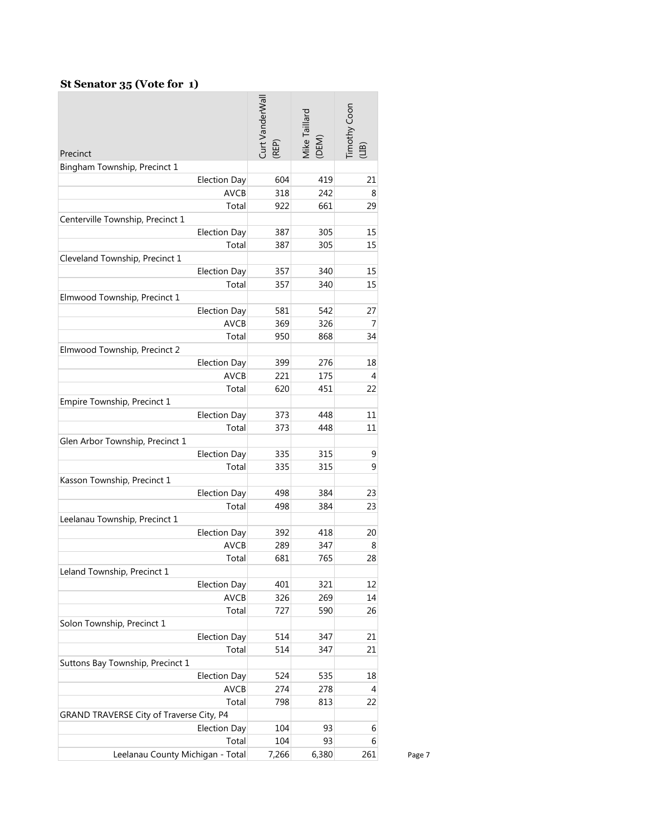#### **St Senator 35 (Vote for 1)**

|                                          | Curt VanderWall | Vike Taillard<br>(DEM) | Timothy Coon |        |
|------------------------------------------|-----------------|------------------------|--------------|--------|
| Precinct                                 | (REP)           |                        | (arr)        |        |
| Bingham Township, Precinct 1             |                 |                        |              |        |
| Election Day                             | 604             | 419                    | 21           |        |
| <b>AVCB</b>                              | 318             | 242                    | 8            |        |
| Total                                    | 922             | 661                    | 29           |        |
| Centerville Township, Precinct 1         |                 |                        |              |        |
| <b>Election Day</b>                      | 387             | 305                    | 15           |        |
| Total                                    | 387             | 305                    | 15           |        |
| Cleveland Township, Precinct 1           |                 |                        |              |        |
| Election Day                             | 357             | 340                    | 15           |        |
| Total                                    | 357             | 340                    | 15           |        |
| Elmwood Township, Precinct 1             | 581             | 542                    |              |        |
| Election Day<br><b>AVCB</b>              | 369             | 326                    | 27<br>7      |        |
| Total                                    | 950             | 868                    | 34           |        |
| Elmwood Township, Precinct 2             |                 |                        |              |        |
| Election Day                             | 399             | 276                    | 18           |        |
| <b>AVCB</b>                              | 221             | 175                    | 4            |        |
| Total                                    | 620             | 451                    | 22           |        |
| Empire Township, Precinct 1              |                 |                        |              |        |
| <b>Election Day</b>                      | 373             | 448                    | 11           |        |
| Total                                    | 373             | 448                    | 11           |        |
| Glen Arbor Township, Precinct 1          |                 |                        |              |        |
| <b>Election Day</b>                      | 335             | 315                    | 9            |        |
| Total                                    | 335             | 315                    | 9            |        |
| Kasson Township, Precinct 1              |                 |                        |              |        |
| Election Day                             | 498             | 384                    | 23           |        |
| Total                                    | 498             | 384                    | 23           |        |
| Leelanau Township, Precinct 1            |                 |                        |              |        |
| Election Day                             | 392             | 418                    | 20           |        |
| <b>AVCB</b>                              | 289             | 347                    | 8            |        |
| Total                                    | 681             | 765                    | 28           |        |
| Leland Township, Precinct 1              |                 |                        |              |        |
| <b>Election Day</b>                      | 401             | 321                    | 12           |        |
| AVCB                                     | 326             | 269                    | 14           |        |
| Total                                    | 727             | 590                    | 26           |        |
| Solon Township, Precinct 1               |                 |                        |              |        |
| <b>Election Day</b>                      | 514             | 347                    | 21           |        |
| Total                                    | 514             | 347                    | 21           |        |
| Suttons Bay Township, Precinct 1         |                 |                        |              |        |
| <b>Election Day</b>                      | 524             | 535                    | 18           |        |
| <b>AVCB</b>                              | 274             | 278                    | 4            |        |
| Total                                    | 798             | 813                    | 22           |        |
| GRAND TRAVERSE City of Traverse City, P4 |                 |                        |              |        |
| <b>Election Day</b>                      | 104<br>104      | 93<br>93               | 6            |        |
| Total                                    |                 |                        | 6<br>261     |        |
| Leelanau County Michigan - Total         | 7,266           | 6,380                  |              | Page 7 |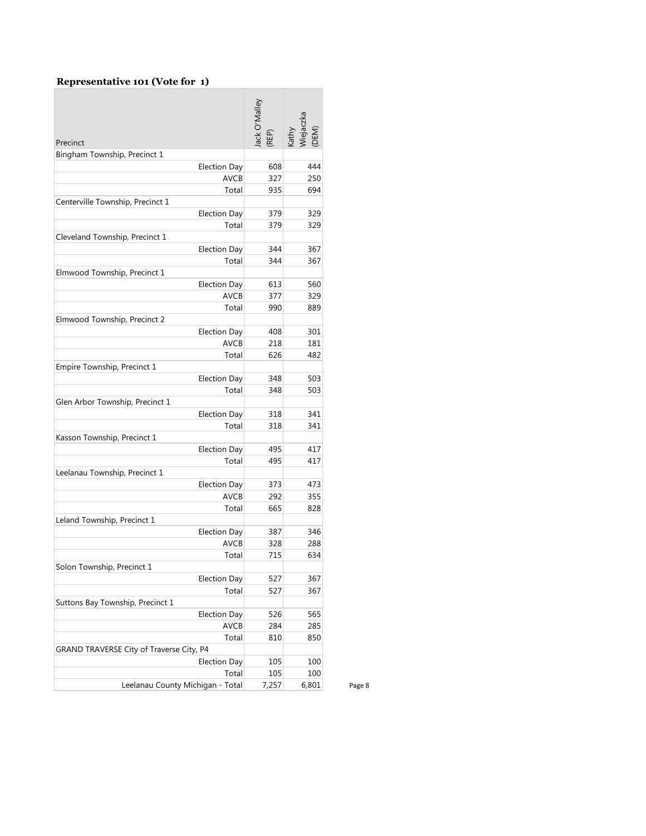#### **Representative 101 (Vote for 1)**

| Precinct                                 | ack O'Malley<br>(REP) | Viejaczka<br>(DEM)<br>athy |
|------------------------------------------|-----------------------|----------------------------|
| Bingham Township, Precinct 1             |                       |                            |
| <b>Election Day</b>                      | 608                   | 444                        |
| <b>AVCB</b>                              | 327                   | 250                        |
| Total                                    | 935                   | 694                        |
| Centerville Township, Precinct 1         |                       |                            |
| <b>Election Day</b>                      | 379                   | 329                        |
| Total                                    | 379                   | 329                        |
| Cleveland Township, Precinct 1           |                       |                            |
| <b>Election Day</b>                      | 344                   | 367                        |
| Total                                    | 344                   | 367                        |
| Elmwood Township, Precinct 1             |                       |                            |
| <b>Election Day</b>                      | 613                   | 560                        |
| <b>AVCB</b>                              | 377                   | 329                        |
| Total                                    | 990                   | 889                        |
| Elmwood Township, Precinct 2             |                       |                            |
| <b>Election Day</b>                      | 408                   | 301                        |
| <b>AVCB</b>                              | 218                   | 181                        |
| Total                                    | 626                   | 482                        |
| Empire Township, Precinct 1              |                       |                            |
| <b>Election Day</b>                      | 348                   | 503                        |
| Total                                    | 348                   | 503                        |
| Glen Arbor Township, Precinct 1          |                       |                            |
| <b>Election Day</b>                      | 318                   | 341                        |
| Total                                    | 318                   | 341                        |
| Kasson Township, Precinct 1              |                       |                            |
| <b>Election Day</b>                      | 495                   | 417                        |
| Total                                    | 495                   | 417                        |
| Leelanau Township, Precinct 1            |                       |                            |
| <b>Election Day</b>                      | 373                   | 473                        |
| <b>AVCB</b>                              | 292                   | 355                        |
| Total                                    | 665                   | 828                        |
| Leland Township, Precinct 1              |                       |                            |
| <b>Election Day</b>                      | 387                   | 346                        |
| <b>AVCB</b>                              | 328                   | 288                        |
| Total                                    | 715                   | 634                        |
| Solon Township, Precinct 1               |                       |                            |
| <b>Election Day</b>                      | 527                   | 367                        |
| Total                                    | 527                   | 367                        |
| Suttons Bay Township, Precinct 1         |                       |                            |
| <b>Election Day</b>                      | 526                   | 565                        |
| <b>AVCB</b>                              | 284                   | 285                        |
| Total                                    | 810                   | 850                        |
| GRAND TRAVERSE City of Traverse City, P4 |                       |                            |
| <b>Election Day</b>                      | 105                   | 100                        |
| Total                                    | 105                   | 100                        |
| Leelanau County Michigan - Total         | 7,257                 | 6,801                      |
|                                          |                       |                            |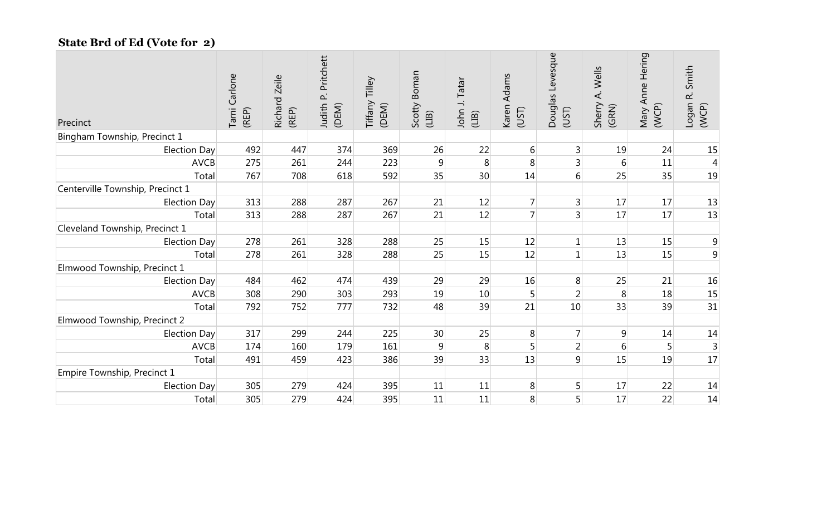## **State Brd of Ed (Vote for 2)**

| Precinct                         | Carlone<br>Tami<br>(REP) | Richard Zeile<br>(REP) | Pritchett<br>$\mathbf{p}$<br>Judith<br>(DEM) | Tilley<br>Tiffany<br>(DEM) | Scotty Boman<br>(1B) | John J. Tatar<br>(1B) | Karen Adams<br>(UST) | Douglas Levesque<br>(UST) | Sherry A. Wells<br>(GRN) | Mary Anne Hering<br>(WCP) | Smith<br>$\vec{\alpha}$<br>Logan<br>(WCP) |
|----------------------------------|--------------------------|------------------------|----------------------------------------------|----------------------------|----------------------|-----------------------|----------------------|---------------------------|--------------------------|---------------------------|-------------------------------------------|
| Bingham Township, Precinct 1     |                          |                        |                                              |                            |                      |                       |                      |                           |                          |                           |                                           |
| Election Day                     | 492                      | 447                    | 374                                          | 369                        | 26                   | 22                    | $6 \mid$             | $\mathbf{3}$              | 19                       | 24                        | 15                                        |
| <b>AVCB</b>                      | 275                      | 261                    | 244                                          | 223                        | $\overline{9}$       | $\,8\,$               | 8                    | $\mathsf{3}$              | $6 \mid$                 | 11                        | $\overline{4}$                            |
| Total                            | 767                      | 708                    | 618                                          | 592                        | 35                   | 30                    | 14                   | $6 \overline{6}$          | 25                       | 35                        | 19                                        |
| Centerville Township, Precinct 1 |                          |                        |                                              |                            |                      |                       |                      |                           |                          |                           |                                           |
| Election Day                     | 313                      | 288                    | 287                                          | 267                        | 21                   | 12                    | $\overline{7}$       | $\overline{3}$            | 17                       | 17                        | 13                                        |
| Total                            | 313                      | 288                    | 287                                          | 267                        | 21                   | 12                    | $\overline{7}$       | $\overline{3}$            | 17                       | 17                        | 13                                        |
| Cleveland Township, Precinct 1   |                          |                        |                                              |                            |                      |                       |                      |                           |                          |                           |                                           |
| <b>Election Day</b>              | 278                      | 261                    | 328                                          | 288                        | 25                   | 15                    | 12                   | $\mathbf 1$               | 13                       | 15                        | $\overline{9}$                            |
| Total                            | 278                      | 261                    | 328                                          | 288                        | 25                   | 15                    | 12                   | $\mathbf{1}$              | 13                       | 15                        | 9                                         |
| Elmwood Township, Precinct 1     |                          |                        |                                              |                            |                      |                       |                      |                           |                          |                           |                                           |
| <b>Election Day</b>              | 484                      | 462                    | 474                                          | 439                        | 29                   | 29                    | 16                   | 8                         | 25                       | 21                        | 16                                        |
| <b>AVCB</b>                      | 308                      | 290                    | 303                                          | 293                        | 19                   | 10                    | 5 <sup>1</sup>       | $\overline{2}$            | 8                        | 18                        | 15                                        |
| Total                            | 792                      | 752                    | 777                                          | 732                        | 48                   | 39                    | 21                   | 10                        | 33                       | 39                        | 31                                        |
| Elmwood Township, Precinct 2     |                          |                        |                                              |                            |                      |                       |                      |                           |                          |                           |                                           |
| <b>Election Day</b>              | 317                      | 299                    | 244                                          | 225                        | 30                   | 25                    | 8                    | $\overline{7}$            | 9                        | 14                        | 14                                        |
| <b>AVCB</b>                      | 174                      | 160                    | 179                                          | 161                        | 9                    | 8                     | 5 <sup>1</sup>       | $\overline{2}$            | 6                        | 5                         | $\overline{3}$                            |
| Total                            | 491                      | 459                    | 423                                          | 386                        | 39                   | 33                    | 13                   | $\overline{9}$            | 15                       | 19                        | 17                                        |
| Empire Township, Precinct 1      |                          |                        |                                              |                            |                      |                       |                      |                           |                          |                           |                                           |
| <b>Election Day</b>              | 305                      | 279                    | 424                                          | 395                        | 11                   | 11                    | 8                    | 5                         | 17                       | 22                        | 14                                        |
| Total                            | 305                      | 279                    | 424                                          | 395                        | 11                   | 11                    | 8                    | 5                         | 17                       | 22                        | 14                                        |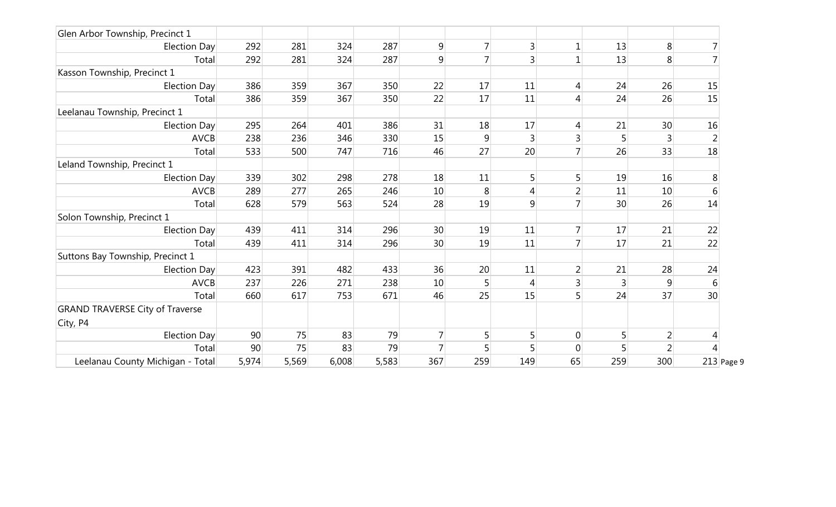| Glen Arbor Township, Precinct 1        |       |       |       |       |     |                |     |                |     |                |              |
|----------------------------------------|-------|-------|-------|-------|-----|----------------|-----|----------------|-----|----------------|--------------|
| Election Day                           | 292   | 281   | 324   | 287   | 9   |                | 3   | $\mathbf 1$    | 13  | 8              |              |
| Total                                  | 292   | 281   | 324   | 287   | 9   |                |     | $\mathbf 1$    | 13  | 8              |              |
| Kasson Township, Precinct 1            |       |       |       |       |     |                |     |                |     |                |              |
| Election Day                           | 386   | 359   | 367   | 350   | 22  | 17             | 11  | 4              | 24  | 26             | 15           |
| Total                                  | 386   | 359   | 367   | 350   | 22  | 17             | 11  | 4              | 24  | 26             | 15           |
| Leelanau Township, Precinct 1          |       |       |       |       |     |                |     |                |     |                |              |
| Election Day                           | 295   | 264   | 401   | 386   | 31  | 18             | 17  | 4              | 21  | 30             | 16           |
| <b>AVCB</b>                            | 238   | 236   | 346   | 330   | 15  | 9              |     | 3              |     | $\overline{3}$ |              |
| Total                                  | 533   | 500   | 747   | 716   | 46  | 27             | 20  | $\overline{7}$ | 26  | 33             | 18           |
| Leland Township, Precinct 1            |       |       |       |       |     |                |     |                |     |                |              |
| Election Day                           | 339   | 302   | 298   | 278   | 18  | 11             |     |                | 19  | 16             | 8            |
| <b>AVCB</b>                            | 289   | 277   | 265   | 246   | 10  | 8              | 4   | 2              | 11  | 10             | 6            |
| Total                                  | 628   | 579   | 563   | 524   | 28  | 19             | 9   |                | 30  | 26             | 14           |
| Solon Township, Precinct 1             |       |       |       |       |     |                |     |                |     |                |              |
| Election Day                           | 439   | 411   | 314   | 296   | 30  | 19             | 11  | 7              | 17  | 21             | 22           |
| Total                                  | 439   | 411   | 314   | 296   | 30  | 19             | 11  |                | 17  | 21             | 22           |
| Suttons Bay Township, Precinct 1       |       |       |       |       |     |                |     |                |     |                |              |
| Election Day                           | 423   | 391   | 482   | 433   | 36  | 20             | 11  |                | 21  | 28             | 24           |
| <b>AVCB</b>                            | 237   | 226   | 271   | 238   | 10  | 5 <sup>1</sup> | 4   | 3              | 3   | 9              | 6            |
| Total                                  | 660   | 617   | 753   | 671   | 46  | 25             | 15  | 5              | 24  | 37             | 30           |
| <b>GRAND TRAVERSE City of Traverse</b> |       |       |       |       |     |                |     |                |     |                |              |
| City, P4                               |       |       |       |       |     |                |     |                |     |                |              |
| Election Day                           | 90    | 75    | 83    | 79    |     | 5 <sup>1</sup> |     | $\mathbf 0$    |     | $\overline{2}$ |              |
| Total                                  | 90    | 75    | 83    | 79    | 7   |                |     | $\overline{0}$ |     | $\overline{2}$ |              |
| Leelanau County Michigan - Total       | 5,974 | 5,569 | 6,008 | 5,583 | 367 | 259            | 149 | 65             | 259 | 300            | $213$ Page 9 |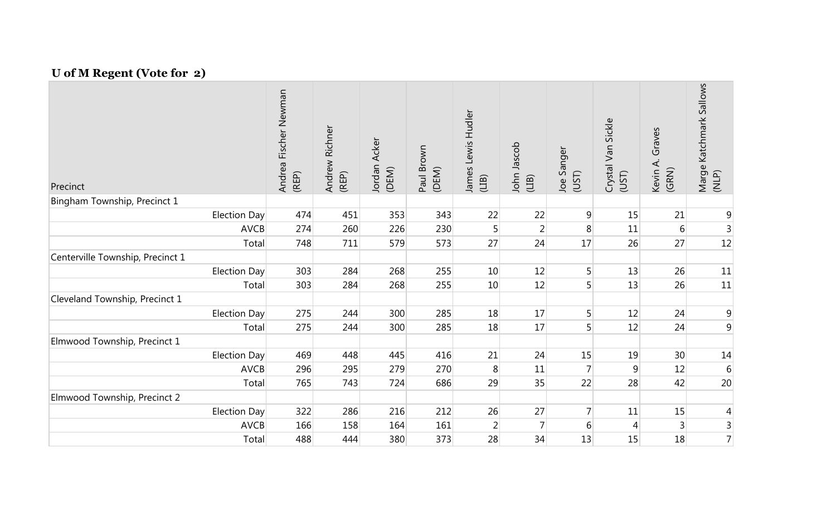## **U of M Regent (Vote for 2)**

| Precinct                         |              | Fischer Newman<br>Andrea F<br>(REP) | Andrew Richner<br>(REP) | Jordan Acker<br>(DEM) | Paul Brown<br>(DEM) | James Lewis Hudler<br>(LIB) | John Jascob<br>(LIB) | Joe Sanger<br>(UST) | Sickle<br>Crystal Van<br>(UST) | Graves<br>Kevin A.<br>(GRN) | Katchmark Sallows<br>Marge I<br>(NLP) |
|----------------------------------|--------------|-------------------------------------|-------------------------|-----------------------|---------------------|-----------------------------|----------------------|---------------------|--------------------------------|-----------------------------|---------------------------------------|
| Bingham Township, Precinct 1     |              |                                     |                         |                       |                     |                             |                      |                     |                                |                             |                                       |
|                                  | Election Day | 474                                 | 451                     | 353                   | 343                 | 22                          | 22                   | $\overline{9}$      | 15                             | 21                          | $\overline{9}$                        |
|                                  | <b>AVCB</b>  | 274                                 | 260                     | 226                   | 230                 | 5                           | $\overline{2}$       | 8                   | 11                             | 6                           | $\overline{3}$                        |
|                                  | Total        | 748                                 | 711                     | 579                   | 573                 | 27                          | 24                   | 17                  | 26                             | 27                          | 12                                    |
| Centerville Township, Precinct 1 |              |                                     |                         |                       |                     |                             |                      |                     |                                |                             |                                       |
|                                  | Election Day | 303                                 | 284                     | 268                   | 255                 | 10                          | 12                   | 5                   | 13                             | 26                          | 11                                    |
|                                  | Total        | 303                                 | 284                     | 268                   | 255                 | 10                          | 12                   | 5                   | 13                             | 26                          | $11\,$                                |
| Cleveland Township, Precinct 1   |              |                                     |                         |                       |                     |                             |                      |                     |                                |                             |                                       |
|                                  | Election Day | 275                                 | 244                     | 300                   | 285                 | 18                          | 17                   | 5                   | 12                             | 24                          | 9                                     |
|                                  | Total        | 275                                 | 244                     | 300                   | 285                 | 18                          | 17                   | 5                   | 12                             | 24                          | $\mathsf 9$                           |
| Elmwood Township, Precinct 1     |              |                                     |                         |                       |                     |                             |                      |                     |                                |                             |                                       |
|                                  | Election Day | 469                                 | 448                     | 445                   | 416                 | 21                          | 24                   | 15                  | 19                             | 30                          | 14                                    |
|                                  | <b>AVCB</b>  | 296                                 | 295                     | 279                   | 270                 | 8                           | 11                   | $\overline{7}$      | 9                              | 12                          | $6 \overline{6}$                      |
|                                  | Total        | 765                                 | 743                     | 724                   | 686                 | 29                          | 35                   | 22                  | 28                             | 42                          | 20                                    |
| Elmwood Township, Precinct 2     |              |                                     |                         |                       |                     |                             |                      |                     |                                |                             |                                       |
|                                  | Election Day | 322                                 | 286                     | 216                   | 212                 | 26                          | 27                   | 7                   | 11                             | 15                          | $\vert 4 \vert$                       |
|                                  | <b>AVCB</b>  | 166                                 | 158                     | 164                   | 161                 | $\overline{2}$              | $\overline{7}$       | 6                   | $\overline{4}$                 | 3                           | $\frac{3}{7}$                         |
|                                  | Total        | 488                                 | 444                     | 380                   | 373                 | 28                          | 34                   | 13                  | 15                             | 18                          |                                       |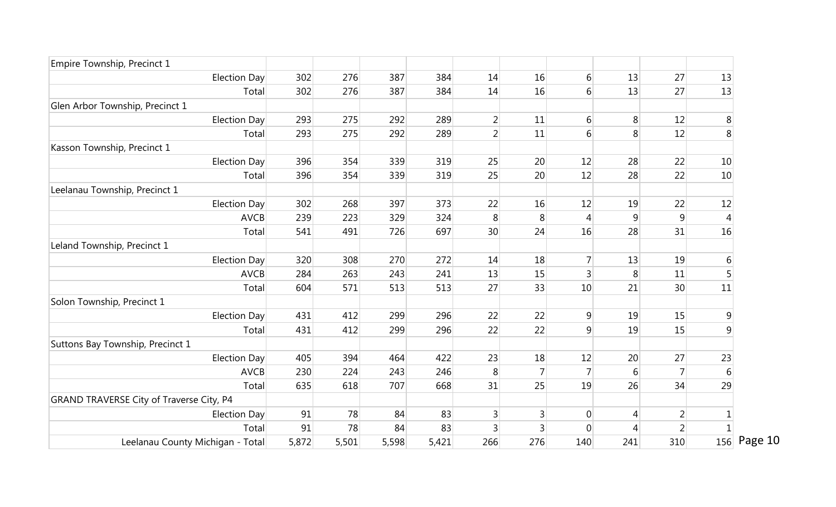| Empire Township, Precinct 1              |       |       |       |       |                |                |                  |     |                |                 |
|------------------------------------------|-------|-------|-------|-------|----------------|----------------|------------------|-----|----------------|-----------------|
| <b>Election Day</b>                      | 302   | 276   | 387   | 384   | 14             | 16             | $6 \mid$         | 13  | 27             | 13              |
| Total                                    | 302   | 276   | 387   | 384   | 14             | 16             | 6                | 13  | 27             | 13              |
| Glen Arbor Township, Precinct 1          |       |       |       |       |                |                |                  |     |                |                 |
| <b>Election Day</b>                      | 293   | 275   | 292   | 289   | $\overline{2}$ | 11             | $6 \overline{6}$ | 8   | 12             | 8               |
| Total                                    | 293   | 275   | 292   | 289   | $\overline{2}$ | 11             | 6                | 8   | 12             | 8               |
| Kasson Township, Precinct 1              |       |       |       |       |                |                |                  |     |                |                 |
| Election Day                             | 396   | 354   | 339   | 319   | 25             | 20             | 12               | 28  | 22             | 10 <sup>°</sup> |
| Total                                    | 396   | 354   | 339   | 319   | 25             | 20             | 12               | 28  | 22             | 10 <sup>°</sup> |
| Leelanau Township, Precinct 1            |       |       |       |       |                |                |                  |     |                |                 |
| <b>Election Day</b>                      | 302   | 268   | 397   | 373   | 22             | 16             | 12               | 19  | 22             | $12\,$          |
| <b>AVCB</b>                              | 239   | 223   | 329   | 324   | 8              | 8              | $\overline{4}$   | 9   | 9              | $\overline{4}$  |
| Total                                    | 541   | 491   | 726   | 697   | 30             | 24             | 16               | 28  | 31             | 16              |
| Leland Township, Precinct 1              |       |       |       |       |                |                |                  |     |                |                 |
| Election Day                             | 320   | 308   | 270   | 272   | 14             | 18             | 7                | 13  | 19             | 6               |
| <b>AVCB</b>                              | 284   | 263   | 243   | 241   | 13             | 15             | 3                | 8   | 11             | 5               |
| Total                                    | 604   | 571   | 513   | 513   | 27             | 33             | 10               | 21  | 30             | 11              |
| Solon Township, Precinct 1               |       |       |       |       |                |                |                  |     |                |                 |
| <b>Election Day</b>                      | 431   | 412   | 299   | 296   | 22             | 22             | 9                | 19  | 15             | 9               |
| Total                                    | 431   | 412   | 299   | 296   | 22             | 22             | 9                | 19  | 15             | $\overline{9}$  |
| Suttons Bay Township, Precinct 1         |       |       |       |       |                |                |                  |     |                |                 |
| <b>Election Day</b>                      | 405   | 394   | 464   | 422   | 23             | 18             | 12               | 20  | 27             | 23              |
| <b>AVCB</b>                              | 230   | 224   | 243   | 246   | 8              | $\overline{7}$ |                  | 6   |                | $\sqrt{6}$      |
| Total                                    | 635   | 618   | 707   | 668   | 31             | 25             | 19               | 26  | 34             | 29              |
| GRAND TRAVERSE City of Traverse City, P4 |       |       |       |       |                |                |                  |     |                |                 |
| <b>Election Day</b>                      | 91    | 78    | 84    | 83    | 3              | 3              | $\theta$         | 4   | $\overline{2}$ |                 |
| Total                                    | 91    | 78    | 84    | 83    | 3              | 3              | $\mathbf{0}$     | 4   | $\overline{2}$ | $\mathbf{1}$    |
| Leelanau County Michigan - Total         | 5,872 | 5,501 | 5,598 | 5,421 | 266            | 276            | 140              | 241 | 310            | 156 Page 10     |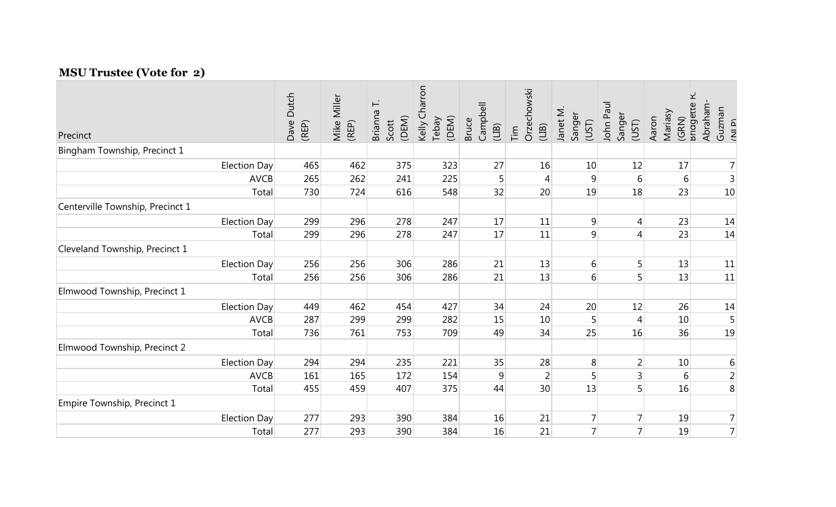## **MSU Trustee (Vote for 2)**

| Precinct                         |                     | Dutch<br>Dave<br>(REP) | Mike Miller<br>(REP) | Brianna T.<br>(DEM)<br>Scott | Kelly Charron<br>(DEM)<br>Tebay | Campbell<br><b>Bruce</b><br>$(LIB)$ | Orzechowski<br>(11B)<br>$\overline{\text{Tim}}$ | Janet M.<br>Sanger<br>(UST) | John Paul<br>Sanger<br>(UST) | (GRN)<br>Briagette i<br>Mariasy<br>Aaron | Abraham-<br>Guzman<br>(NI P) |
|----------------------------------|---------------------|------------------------|----------------------|------------------------------|---------------------------------|-------------------------------------|-------------------------------------------------|-----------------------------|------------------------------|------------------------------------------|------------------------------|
| Bingham Township, Precinct 1     |                     |                        |                      |                              |                                 |                                     |                                                 |                             |                              |                                          |                              |
|                                  | Election Day        | 465                    | 462                  | 375                          | 323                             | 27                                  | 16                                              | 10                          | 12                           | 17                                       | $\overline{7}$               |
|                                  | <b>AVCB</b>         | 265                    | 262                  | 241                          | 225                             | 5                                   | $\overline{4}$                                  | 9                           | $6 \overline{6}$             | $6 \mid$                                 | $\mathsf{3}$                 |
|                                  | Total               | 730                    | 724                  | 616                          | 548                             | 32                                  | 20                                              | 19                          | 18                           | 23                                       | 10                           |
| Centerville Township, Precinct 1 |                     |                        |                      |                              |                                 |                                     |                                                 |                             |                              |                                          |                              |
|                                  | Election Day        | 299                    | 296                  | 278                          | 247                             | 17                                  | 11                                              | $\overline{9}$              | 4                            | 23                                       | 14                           |
|                                  | Total               | 299                    | 296                  | 278                          | 247                             | 17                                  | 11                                              | 9                           | 4                            | 23                                       | 14                           |
| Cleveland Township, Precinct 1   |                     |                        |                      |                              |                                 |                                     |                                                 |                             |                              |                                          |                              |
|                                  | Election Day        | 256                    | 256                  | 306                          | 286                             | 21                                  | 13                                              | 6                           | 5                            | 13                                       | 11                           |
|                                  | Total               | 256                    | 256                  | 306                          | 286                             | 21                                  | 13                                              | 6                           |                              | 13                                       | 11                           |
| Elmwood Township, Precinct 1     |                     |                        |                      |                              |                                 |                                     |                                                 |                             |                              |                                          |                              |
|                                  | Election Day        | 449                    | 462                  | 454                          | 427                             | 34                                  | 24                                              | 20                          | 12                           | 26                                       | 14                           |
|                                  | <b>AVCB</b>         | 287                    | 299                  | 299                          | 282                             | 15                                  | 10                                              | 5                           |                              | 10                                       | 5                            |
|                                  | Total               | 736                    | 761                  | 753                          | 709                             | 49                                  | 34                                              | 25                          | 16                           | 36                                       | 19                           |
| Elmwood Township, Precinct 2     |                     |                        |                      |                              |                                 |                                     |                                                 |                             |                              |                                          |                              |
|                                  | Election Day        | 294                    | 294                  | 235                          | 221                             | 35                                  | 28                                              | 8                           | $\overline{2}$               | 10                                       | $\,$ 6 $\,$                  |
|                                  | <b>AVCB</b>         | 161                    | 165                  | 172                          | 154                             | 9                                   | $\overline{2}$                                  | 5                           | $\vert 3 \vert$              | 6                                        | $\overline{2}$               |
|                                  | Total               | 455                    | 459                  | 407                          | 375                             | 44                                  | 30                                              | 13                          | 5                            | 16                                       | 8                            |
| Empire Township, Precinct 1      |                     |                        |                      |                              |                                 |                                     |                                                 |                             |                              |                                          |                              |
|                                  | <b>Election Day</b> | 277                    | 293                  | 390                          | 384                             | 16                                  | 21                                              | 7                           |                              | 19                                       | $\overline{7}$               |
|                                  | Total               | 277                    | 293                  | 390                          | 384                             | 16                                  | 21                                              | $\overline{7}$              |                              | 19                                       | $\overline{7}$               |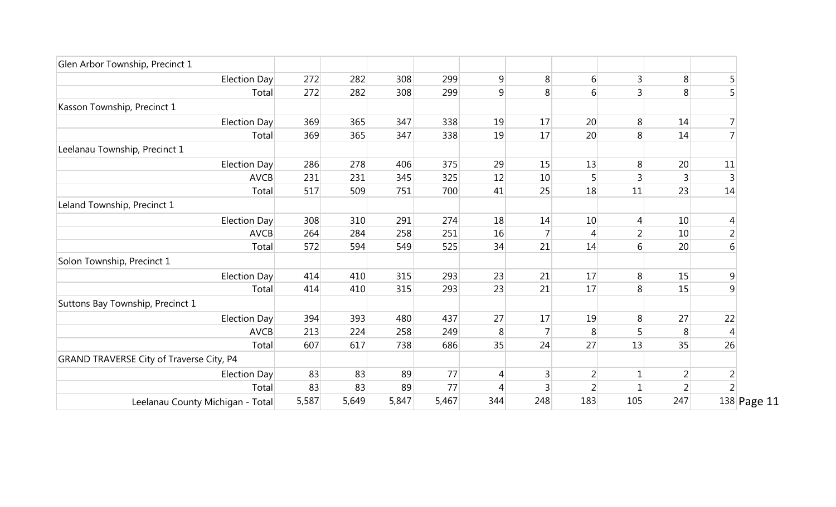| Glen Arbor Township, Precinct 1          |       |       |       |       |     |                |                |                  |                 |                |
|------------------------------------------|-------|-------|-------|-------|-----|----------------|----------------|------------------|-----------------|----------------|
| Election Day                             | 272   | 282   | 308   | 299   | 9   | 8 <sup>°</sup> | 6              | $\overline{3}$   | 8               | 5              |
| Total                                    | 272   | 282   | 308   | 299   | 9   | 8 <sup>1</sup> | 6              | 3 <sup>1</sup>   | 8               | 5              |
| Kasson Township, Precinct 1              |       |       |       |       |     |                |                |                  |                 |                |
| Election Day                             | 369   | 365   | 347   | 338   | 19  | 17             | 20             | 8 <sup>°</sup>   | 14              |                |
| Total                                    | 369   | 365   | 347   | 338   | 19  | 17             | 20             | 8                | 14              |                |
| Leelanau Township, Precinct 1            |       |       |       |       |     |                |                |                  |                 |                |
| Election Day                             | 286   | 278   | 406   | 375   | 29  | 15             | 13             | 8 <sup>°</sup>   | 20              | 11             |
| <b>AVCB</b>                              | 231   | 231   | 345   | 325   | 12  | 10             |                | $\overline{3}$   | 3               |                |
| Total                                    | 517   | 509   | 751   | 700   | 41  | 25             | 18             | 11               | 23              | 14             |
| Leland Township, Precinct 1              |       |       |       |       |     |                |                |                  |                 |                |
| Election Day                             | 308   | 310   | 291   | 274   | 18  | 14             | 10             | $\overline{4}$   | 10              | 4              |
| <b>AVCB</b>                              | 264   | 284   | 258   | 251   | 16  | $\overline{7}$ | $\overline{4}$ | $\overline{2}$   | 10 <sup>1</sup> | $\overline{2}$ |
| Total                                    | 572   | 594   | 549   | 525   | 34  | 21             | 14             | $6 \overline{6}$ | 20              | 6              |
| Solon Township, Precinct 1               |       |       |       |       |     |                |                |                  |                 |                |
| Election Day                             | 414   | 410   | 315   | 293   | 23  | 21             | 17             | 8 <sup>1</sup>   | 15              | $\overline{9}$ |
| Total                                    | 414   | 410   | 315   | 293   | 23  | 21             | 17             | 8 <sup>°</sup>   | 15              | 9              |
| Suttons Bay Township, Precinct 1         |       |       |       |       |     |                |                |                  |                 |                |
| Election Day                             | 394   | 393   | 480   | 437   | 27  | 17             | 19             | 8                | 27              | 22             |
| <b>AVCB</b>                              | 213   | 224   | 258   | 249   | 8   |                | 8              | $5\overline{)}$  | 8               |                |
| Total                                    | 607   | 617   | 738   | 686   | 35  | 24             | 27             | 13               | 35              | 26             |
| GRAND TRAVERSE City of Traverse City, P4 |       |       |       |       |     |                |                |                  |                 |                |
| Election Day                             | 83    | 83    | 89    | 77    | 4   |                | 2              |                  | 2               |                |
| Total                                    | 83    | 83    | 89    | 77    | 4   |                |                |                  | $\overline{2}$  |                |
| Leelanau County Michigan - Total         | 5,587 | 5,649 | 5,847 | 5,467 | 344 | 248            | 183            | 105              | 247             | 138 Page 11    |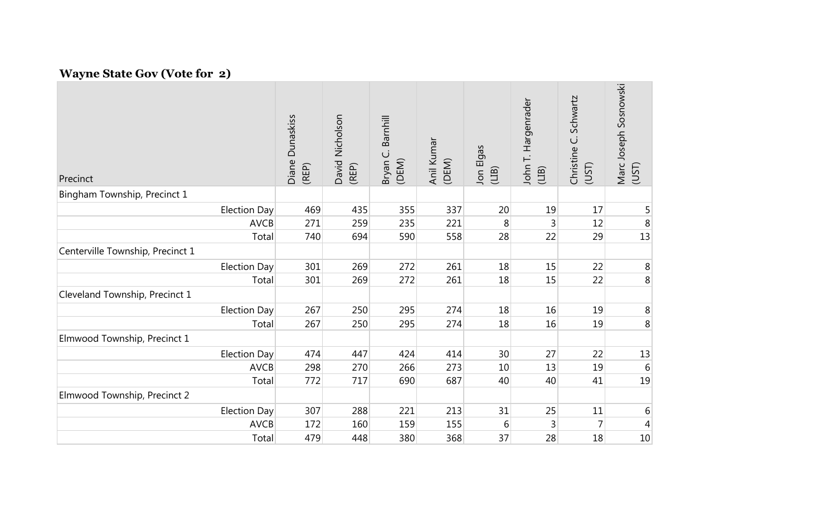## **Wayne State Gov (Vote for 2)**

| Precinct                         | <b>Dunaskiss</b><br>Diane<br>(REP) | David Nicholson<br>(REP) | Barnhill<br>Bryan C.<br>(DEM) | Anil Kumar<br>(DEM) | Jon Elgas<br>(1B) | John T. Hargenrader<br>(UB) | Schwartz<br>Christine C.<br>(UST) | Marc Joseph Sosnowski<br>(UST) |
|----------------------------------|------------------------------------|--------------------------|-------------------------------|---------------------|-------------------|-----------------------------|-----------------------------------|--------------------------------|
| Bingham Township, Precinct 1     |                                    |                          |                               |                     |                   |                             |                                   |                                |
| Election Day                     | 469                                | 435                      | 355                           | 337                 | 20                | 19                          | 17                                | 5                              |
|                                  | <b>AVCB</b><br>271                 | 259                      | 235                           | 221                 | 8                 | 3                           | 12                                | 8                              |
|                                  | Total<br>740                       | 694                      | 590                           | 558                 | 28                | 22                          | 29                                | 13                             |
| Centerville Township, Precinct 1 |                                    |                          |                               |                     |                   |                             |                                   |                                |
| Election Day                     | 301                                | 269                      | 272                           | 261                 | 18                | 15                          | 22                                | $\,8\,$                        |
|                                  | 301<br>Total                       | 269                      | 272                           | 261                 | 18                | 15                          | 22                                | $\,8\,$                        |
| Cleveland Township, Precinct 1   |                                    |                          |                               |                     |                   |                             |                                   |                                |
| Election Day                     | 267                                | 250                      | 295                           | 274                 | 18                | 16                          | 19                                | 8                              |
|                                  | 267<br>Total                       | 250                      | 295                           | 274                 | 18                | 16                          | 19                                | 8                              |
| Elmwood Township, Precinct 1     |                                    |                          |                               |                     |                   |                             |                                   |                                |
| Election Day                     | 474                                | 447                      | 424                           | 414                 | 30                | 27                          | 22                                | 13                             |
|                                  | <b>AVCB</b><br>298                 | 270                      | 266                           | 273                 | 10                | 13                          | 19                                | 6                              |
|                                  | Total<br>772                       | 717                      | 690                           | 687                 | 40                | 40                          | 41                                | 19                             |
| Elmwood Township, Precinct 2     |                                    |                          |                               |                     |                   |                             |                                   |                                |
| Election Day                     | 307                                | 288                      | 221                           | 213                 | 31                | 25                          | 11                                | 6                              |
|                                  | <b>AVCB</b><br>172                 | 160                      | 159                           | 155                 | 6                 | 3                           | 7                                 | 4                              |
|                                  | 479<br>Total                       | 448                      | 380                           | 368                 | 37                | 28                          | 18                                | 10                             |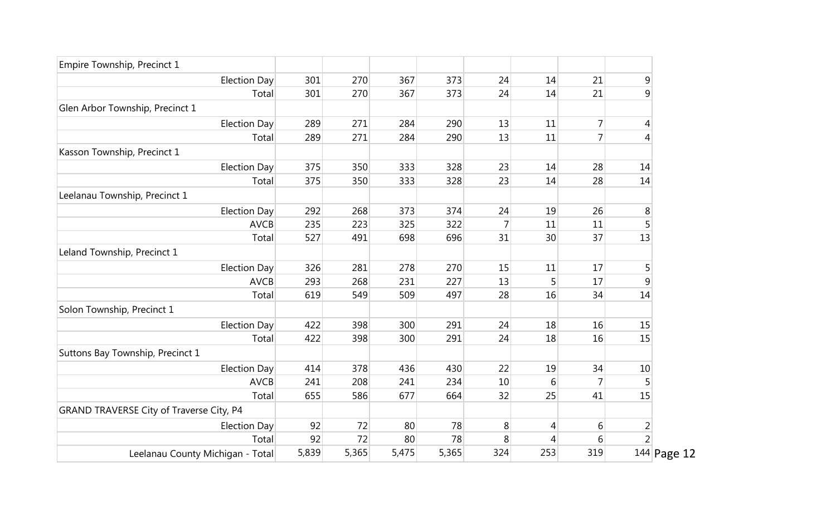| Empire Township, Precinct 1              |       |       |       |       |        |     |     |                |  |
|------------------------------------------|-------|-------|-------|-------|--------|-----|-----|----------------|--|
| <b>Election Day</b>                      | 301   | 270   | 367   | 373   | 24     | 14  | 21  | $\overline{9}$ |  |
| Total                                    | 301   | 270   | 367   | 373   | 24     | 14  | 21  | 9              |  |
| Glen Arbor Township, Precinct 1          |       |       |       |       |        |     |     |                |  |
| <b>Election Day</b>                      | 289   | 271   | 284   | 290   | 13     | 11  | 7   | 4              |  |
| Total                                    | 289   | 271   | 284   | 290   | 13     | 11  | 7   | $\overline{4}$ |  |
| Kasson Township, Precinct 1              |       |       |       |       |        |     |     |                |  |
| <b>Election Day</b>                      | 375   | 350   | 333   | 328   | 23     | 14  | 28  | 14             |  |
| Total                                    | 375   | 350   | 333   | 328   | 23     | 14  | 28  | 14             |  |
| Leelanau Township, Precinct 1            |       |       |       |       |        |     |     |                |  |
| <b>Election Day</b>                      | 292   | 268   | 373   | 374   | 24     | 19  | 26  | 8              |  |
| <b>AVCB</b>                              | 235   | 223   | 325   | 322   | 7      | 11  | 11  | 5              |  |
| Total                                    | 527   | 491   | 698   | 696   | 31     | 30  | 37  | 13             |  |
| Leland Township, Precinct 1              |       |       |       |       |        |     |     |                |  |
| <b>Election Day</b>                      | 326   | 281   | 278   | 270   | 15     | 11  | 17  | 5              |  |
| <b>AVCB</b>                              | 293   | 268   | 231   | 227   | 13     | 5   | 17  | $\mathsf 9$    |  |
| Total                                    | 619   | 549   | 509   | 497   | 28     | 16  | 34  | 14             |  |
| Solon Township, Precinct 1               |       |       |       |       |        |     |     |                |  |
| <b>Election Day</b>                      | 422   | 398   | 300   | 291   | 24     | 18  | 16  | 15             |  |
| Total                                    | 422   | 398   | 300   | 291   | 24     | 18  | 16  | 15             |  |
| Suttons Bay Township, Precinct 1         |       |       |       |       |        |     |     |                |  |
| <b>Election Day</b>                      | 414   | 378   | 436   | 430   | 22     | 19  | 34  | 10             |  |
| <b>AVCB</b>                              | 241   | 208   | 241   | 234   | $10\,$ | 6   | 7   | 5              |  |
| Total                                    | 655   | 586   | 677   | 664   | 32     | 25  | 41  | 15             |  |
| GRAND TRAVERSE City of Traverse City, P4 |       |       |       |       |        |     |     |                |  |
| <b>Election Day</b>                      | 92    | 72    | 80    | 78    | 8      | 4   | 6   |                |  |
| Total                                    | 92    | 72    | 80    | 78    | 8      | 4   | 6   | $\frac{2}{2}$  |  |
| Leelanau County Michigan - Total         | 5,839 | 5,365 | 5,475 | 5,365 | 324    | 253 | 319 | 144 Page 12    |  |
|                                          |       |       |       |       |        |     |     |                |  |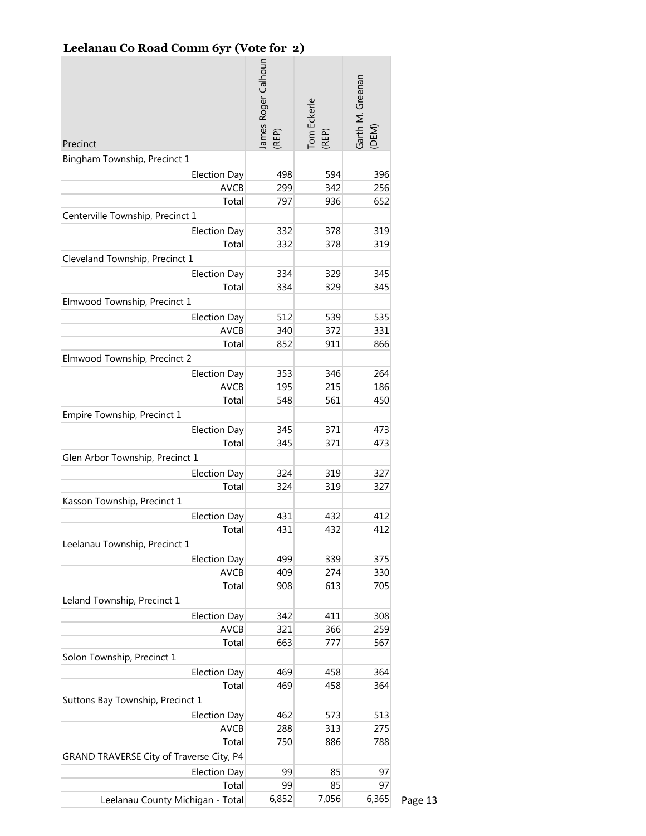### **Leelanau Co Road Comm 6yr (Vote for 2)**

| Precinct                                 | lames Roger Calhoun<br>(REP) | Tom Eckerle<br>(REP) | Garth M. Greenan<br>(DEM) |
|------------------------------------------|------------------------------|----------------------|---------------------------|
| Bingham Township, Precinct 1             |                              |                      |                           |
| <b>Election Day</b>                      | 498                          | 594                  | 396                       |
| <b>AVCB</b>                              | 299                          | 342                  | 256                       |
| Total                                    | 797                          | 936                  | 652                       |
| Centerville Township, Precinct 1         |                              |                      |                           |
| <b>Election Day</b>                      | 332                          | 378                  | 319                       |
| Total                                    | 332                          | 378                  | 319                       |
| Cleveland Township, Precinct 1           |                              |                      |                           |
| <b>Election Day</b>                      | 334                          | 329                  | 345                       |
| Total                                    | 334                          | 329                  | 345                       |
| Elmwood Township, Precinct 1             |                              |                      |                           |
| <b>Election Day</b>                      | 512                          | 539                  | 535                       |
| <b>AVCB</b>                              | 340                          | 372                  | 331                       |
| Total                                    | 852                          | 911                  | 866                       |
| Elmwood Township, Precinct 2             |                              |                      |                           |
| <b>Election Day</b>                      | 353                          | 346                  | 264                       |
| <b>AVCB</b>                              | 195                          | 215                  | 186                       |
| Total                                    | 548                          | 561                  | 450                       |
| Empire Township, Precinct 1              |                              |                      |                           |
| <b>Election Day</b>                      | 345                          | 371                  | 473                       |
| Total                                    | 345                          | 371                  | 473                       |
| Glen Arbor Township, Precinct 1          |                              |                      |                           |
| <b>Election Day</b>                      | 324                          | 319                  | 327                       |
| Total                                    | 324                          | 319                  | 327                       |
| Kasson Township, Precinct 1              |                              |                      |                           |
| <b>Election Day</b>                      | 431                          | 432                  | 412                       |
| Total                                    | 431                          | 432                  | 412                       |
| Leelanau Township, Precinct 1            |                              |                      |                           |
| <b>Election Day</b>                      | 499                          | 339                  | 375                       |
| <b>AVCB</b>                              | 409                          | 274                  | 330                       |
| Total                                    | 908                          | 613                  | 705                       |
| Leland Township, Precinct 1              |                              |                      |                           |
| <b>Election Day</b>                      | 342                          | 411                  | 308                       |
| <b>AVCB</b>                              | 321                          | 366                  | 259                       |
| Total                                    | 663                          | 777                  | 567                       |
| Solon Township, Precinct 1               |                              |                      |                           |
| <b>Election Day</b>                      | 469                          | 458                  | 364                       |
| Total                                    | 469                          | 458                  | 364                       |
| Suttons Bay Township, Precinct 1         |                              |                      |                           |
| <b>Election Day</b>                      | 462                          | 573                  | 513                       |
| <b>AVCB</b>                              | 288                          | 313                  | 275                       |
| Total                                    | 750                          | 886                  | 788                       |
| GRAND TRAVERSE City of Traverse City, P4 |                              |                      |                           |
| <b>Election Day</b>                      | 99                           | 85                   | 97                        |
| Total                                    | 99                           | 85                   | 97                        |
| Leelanau County Michigan - Total         | 6,852                        | 7,056                | 6,365                     |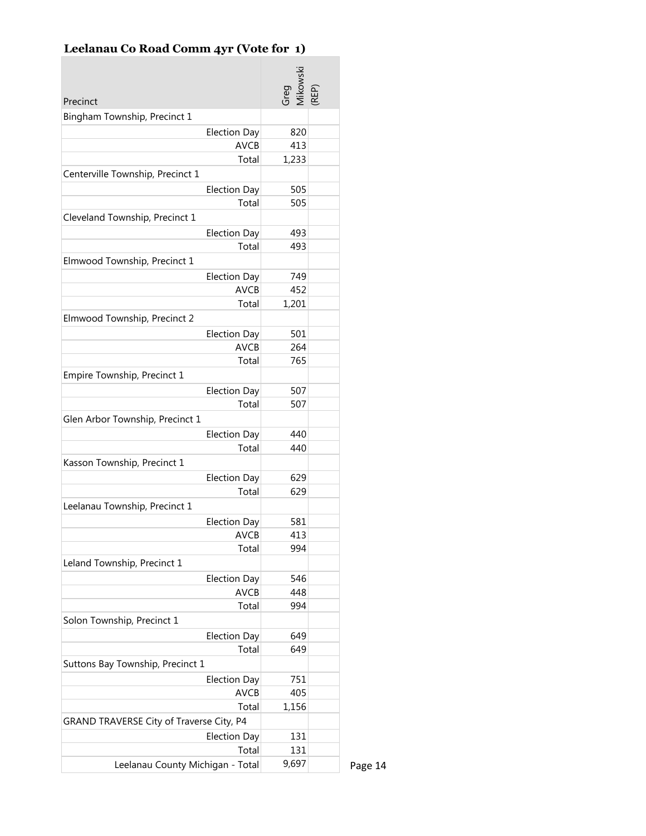# **Leelanau Co Road Comm 4yr (Vote for 1)**

÷

| Precinct                                 | Greg<br>Mikowski<br>(REP) |  |
|------------------------------------------|---------------------------|--|
| Bingham Township, Precinct 1             |                           |  |
| <b>Election Day</b>                      | 820                       |  |
| <b>AVCB</b>                              | 413                       |  |
| Total                                    | 1,233                     |  |
| Centerville Township, Precinct 1         |                           |  |
| <b>Election Day</b>                      | 505                       |  |
| Total                                    | 505                       |  |
| Cleveland Township, Precinct 1           |                           |  |
| <b>Election Day</b>                      | 493                       |  |
| Total                                    | 493                       |  |
| Elmwood Township, Precinct 1             |                           |  |
| <b>Election Day</b>                      | 749                       |  |
| <b>AVCB</b>                              | 452                       |  |
| Total                                    | 1,201                     |  |
| Elmwood Township, Precinct 2             |                           |  |
| <b>Election Day</b>                      | 501                       |  |
| <b>AVCB</b>                              | 264                       |  |
| Total                                    | 765                       |  |
| Empire Township, Precinct 1              |                           |  |
| <b>Election Day</b>                      | 507                       |  |
| Total                                    | 507                       |  |
| Glen Arbor Township, Precinct 1          |                           |  |
| <b>Election Day</b>                      | 440                       |  |
| Total                                    | 440                       |  |
| Kasson Township, Precinct 1              |                           |  |
| <b>Election Day</b>                      | 629                       |  |
| Total                                    | 629                       |  |
| Leelanau Township, Precinct 1            |                           |  |
| <b>Election Day</b>                      | 581                       |  |
| <b>AVCB</b>                              | 413                       |  |
| Total                                    | 994                       |  |
| Leland Township, Precinct 1              |                           |  |
| <b>Election Day</b>                      | 546                       |  |
| <b>AVCB</b>                              | 448                       |  |
| Total                                    | 994                       |  |
| Solon Township, Precinct 1               |                           |  |
| <b>Election Day</b>                      | 649                       |  |
| Total                                    | 649                       |  |
| Suttons Bay Township, Precinct 1         |                           |  |
| <b>Election Day</b>                      | 751                       |  |
| AVCB                                     | 405                       |  |
| Total                                    | 1,156                     |  |
| GRAND TRAVERSE City of Traverse City, P4 |                           |  |
| <b>Election Day</b>                      | 131                       |  |
| Total                                    | 131                       |  |
| Leelanau County Michigan - Total         | 9,697                     |  |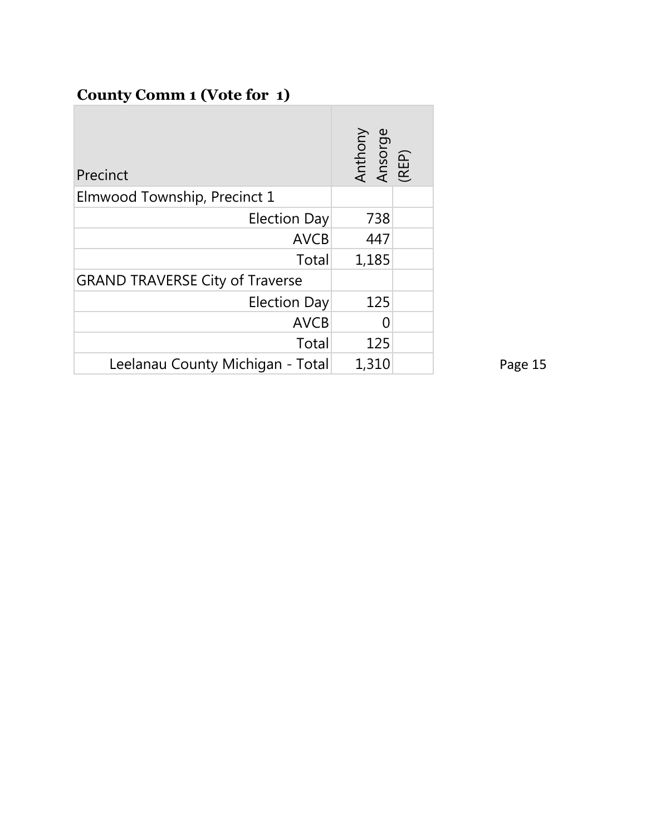## **County Comm 1 (Vote for 1)**

| Precinct                               | Anthony<br>Ansorge<br>(REP) |  |
|----------------------------------------|-----------------------------|--|
| Elmwood Township, Precinct 1           |                             |  |
| <b>Election Day</b>                    | 738                         |  |
| <b>AVCB</b>                            | 447                         |  |
| Total                                  | 1,185                       |  |
| <b>GRAND TRAVERSE City of Traverse</b> |                             |  |
| <b>Election Day</b>                    | 125                         |  |
| <b>AVCB</b>                            |                             |  |
| Total                                  | 125                         |  |
| Leelanau County Michigan - Total       | 1,310                       |  |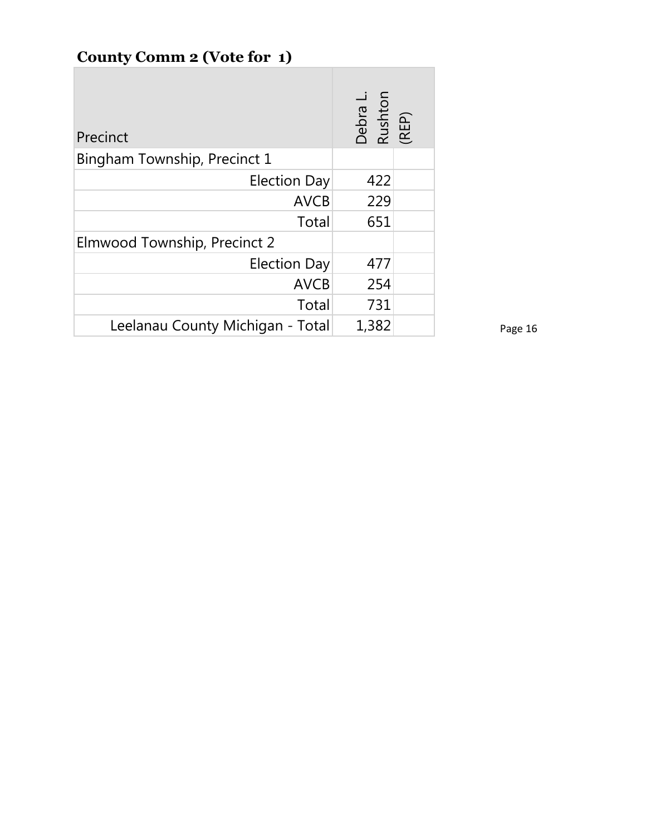# **County Comm 2 (Vote for 1)**

| Precinct                         | Debra L.<br>Rushton<br>(REP) |  |
|----------------------------------|------------------------------|--|
| Bingham Township, Precinct 1     |                              |  |
| <b>Election Day</b>              | 422                          |  |
| <b>AVCB</b>                      | 229                          |  |
| Total                            | 651                          |  |
| Elmwood Township, Precinct 2     |                              |  |
| <b>Election Day</b>              | 477                          |  |
| <b>AVCB</b>                      | 254                          |  |
| Total                            | 731                          |  |
| Leelanau County Michigan - Total | 1,382                        |  |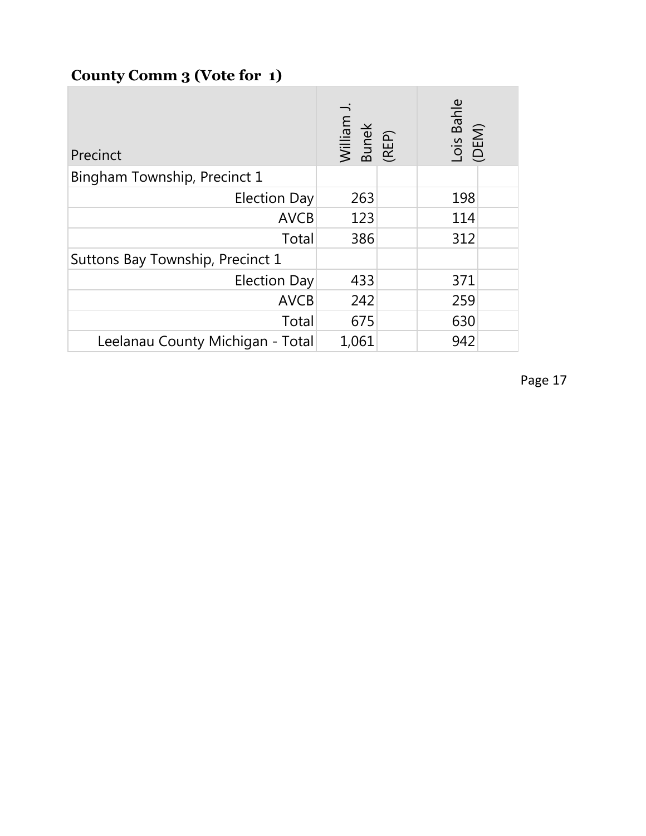## **County Comm 3 (Vote for 1)**

| Precinct                         | William J.<br>Bunek<br>(REP) | Lois Bahle<br>(DEM) |  |
|----------------------------------|------------------------------|---------------------|--|
| Bingham Township, Precinct 1     |                              |                     |  |
| <b>Election Day</b>              | 263                          | 198                 |  |
| <b>AVCB</b>                      | 123                          | 114                 |  |
| Total                            | 386                          | 312                 |  |
| Suttons Bay Township, Precinct 1 |                              |                     |  |
| <b>Election Day</b>              | 433                          | 371                 |  |
| <b>AVCB</b>                      | 242                          | 259                 |  |
| Total                            | 675                          | 630                 |  |
| Leelanau County Michigan - Total | 1,061                        | 942                 |  |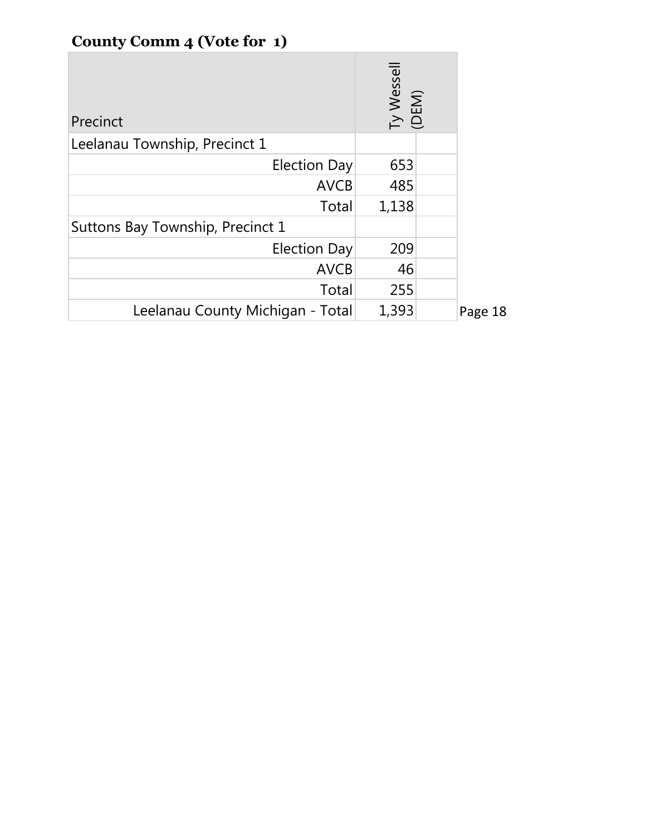# **County Comm 4 (Vote for 1)**

| Precinct                         | Ty Wessell<br>(DEM) |         |
|----------------------------------|---------------------|---------|
| Leelanau Township, Precinct 1    |                     |         |
| <b>Election Day</b>              | 653                 |         |
| <b>AVCB</b>                      | 485                 |         |
| Total                            | 1,138               |         |
| Suttons Bay Township, Precinct 1 |                     |         |
| <b>Election Day</b>              | 209                 |         |
| <b>AVCB</b>                      | 46                  |         |
| Total                            | 255                 |         |
| Leelanau County Michigan - Total | 1,393               | Page 18 |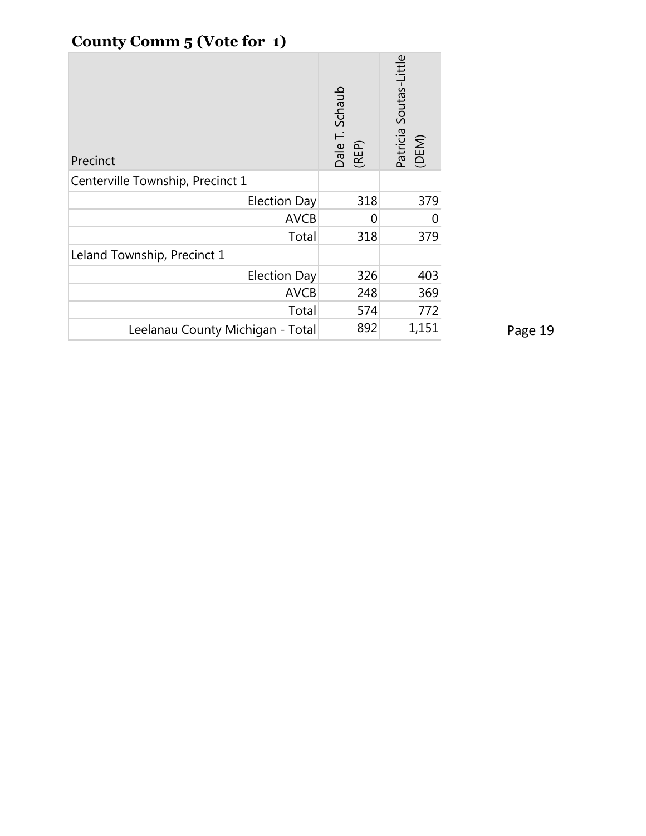# **County Comm 5 (Vote for 1)**

| Precinct                         | Dale T. Schaub<br>(REP) | Patricia Soutas-Little<br>(DEM) |
|----------------------------------|-------------------------|---------------------------------|
| Centerville Township, Precinct 1 |                         |                                 |
| <b>Election Day</b>              | 318                     | 379                             |
| <b>AVCB</b>                      | 0                       |                                 |
| Total                            | 318                     | 379                             |
| Leland Township, Precinct 1      |                         |                                 |
| <b>Election Day</b>              | 326                     | 403                             |
| <b>AVCB</b>                      | 248                     | 369                             |
| Total                            | 574                     | 772                             |
| Leelanau County Michigan - Total | 892                     | 1,151                           |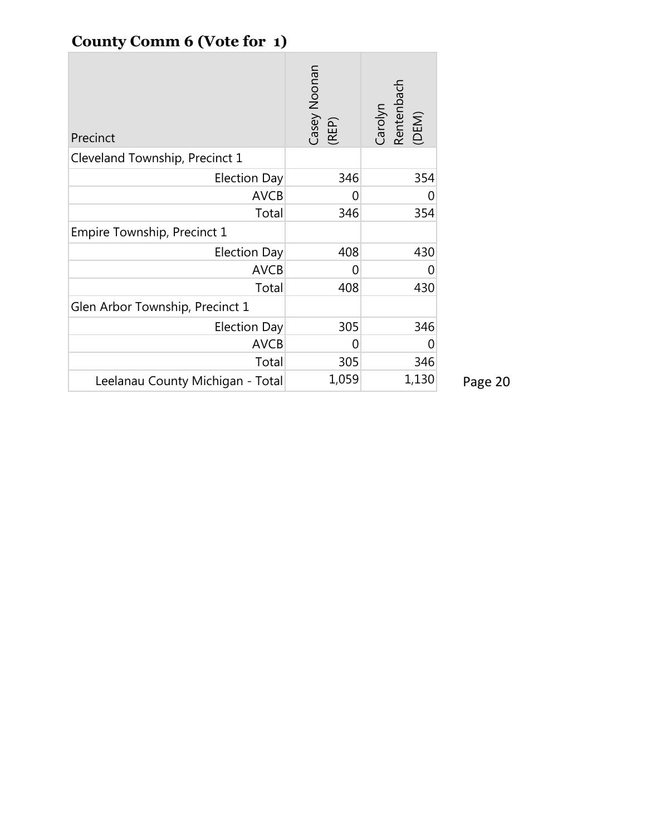# **County Comm 6 (Vote for 1)**

| Precinct                         | Casey Noonan<br>(REP) | Carolyn<br>Rentenbach<br>(DEM) |         |
|----------------------------------|-----------------------|--------------------------------|---------|
| Cleveland Township, Precinct 1   |                       |                                |         |
| <b>Election Day</b>              | 346                   | 354                            |         |
| <b>AVCB</b>                      | 0                     |                                |         |
| Total                            | 346                   | 354                            |         |
| Empire Township, Precinct 1      |                       |                                |         |
| <b>Election Day</b>              | 408                   | 430                            |         |
| <b>AVCB</b>                      | 0                     |                                |         |
| Total                            | 408                   | 430                            |         |
| Glen Arbor Township, Precinct 1  |                       |                                |         |
| <b>Election Day</b>              | 305                   | 346                            |         |
| <b>AVCB</b>                      | 0                     |                                |         |
| Total                            | 305                   | 346                            |         |
| Leelanau County Michigan - Total | 1,059                 | 1,130                          | Page 20 |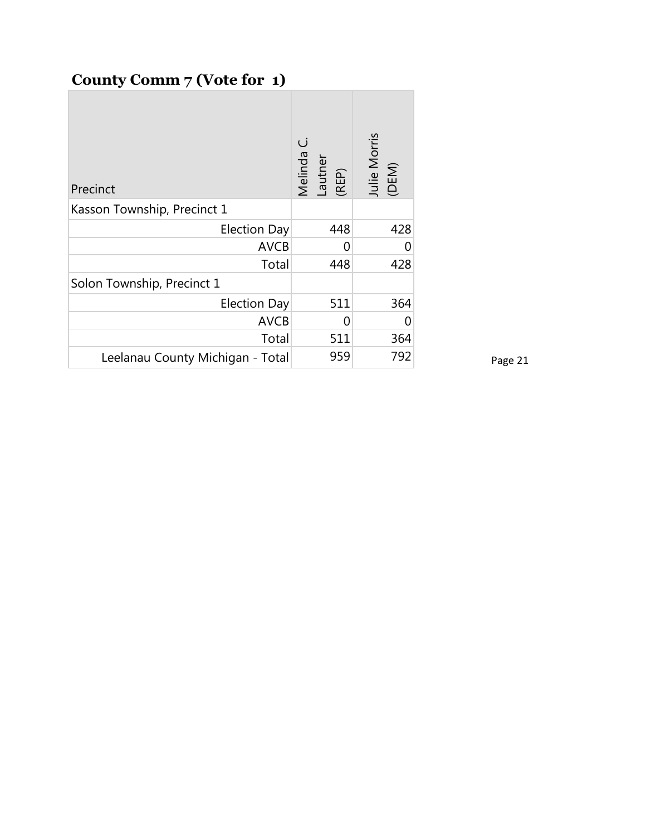## **County Comm 7 (Vote for 1)**

| Precinct                         | Melinda C.<br>Lautner<br>(REP) | Julie Morris<br>(DEM) |
|----------------------------------|--------------------------------|-----------------------|
| Kasson Township, Precinct 1      |                                |                       |
| <b>Election Day</b>              | 448                            | 428                   |
| <b>AVCB</b>                      |                                |                       |
| Total                            | 448                            | 428                   |
| Solon Township, Precinct 1       |                                |                       |
| <b>Election Day</b>              | 511                            | 364                   |
| <b>AVCB</b>                      | U                              |                       |
| Total                            | 511                            | 364                   |
| Leelanau County Michigan - Total | 959                            | 792                   |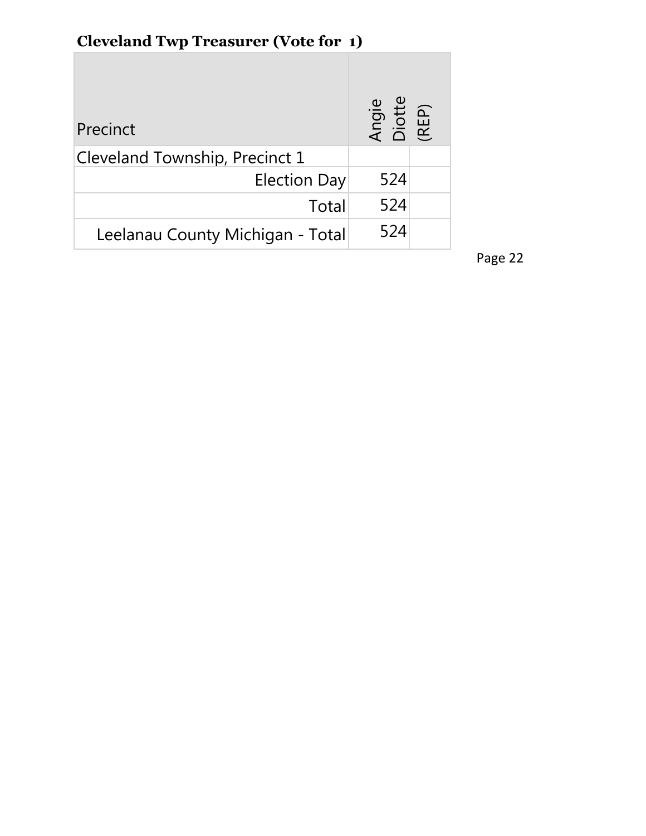#### **Cleveland Twp Treasurer (Vote for 1) T**

| Precinct                         | Angie<br>Diotte<br>(REP) |  |
|----------------------------------|--------------------------|--|
| Cleveland Township, Precinct 1   |                          |  |
| <b>Election Day</b>              | 524                      |  |
| Total                            | 524                      |  |
| Leelanau County Michigan - Total | 524                      |  |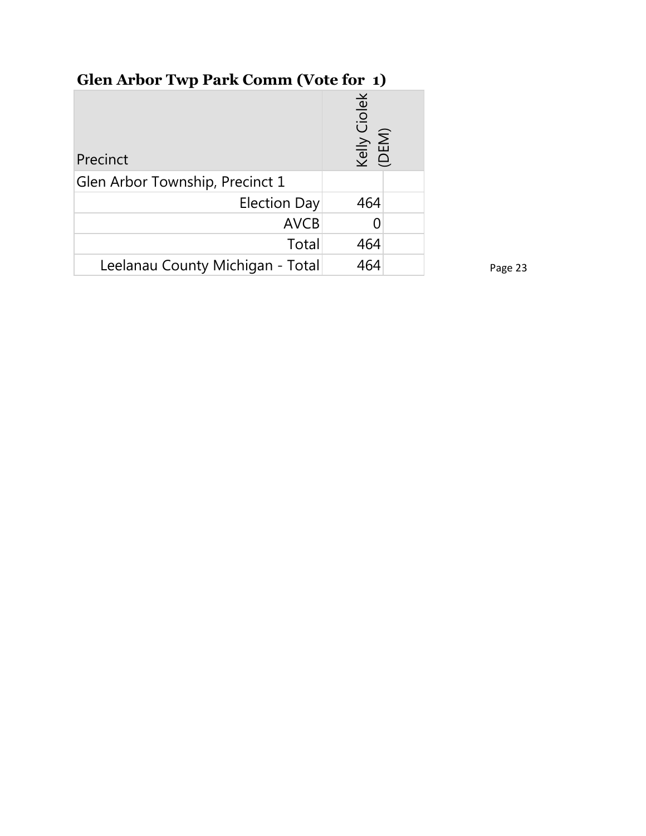# **Glen Arbor Twp Park Comm (Vote for 1)**

| Precinct                         | Ciolek<br>Kelly C<br>(DEM) |
|----------------------------------|----------------------------|
| Glen Arbor Township, Precinct 1  |                            |
| Election Day                     | 464                        |
| <b>AVCB</b>                      |                            |
| Total                            | 464                        |
| Leelanau County Michigan - Total | 464                        |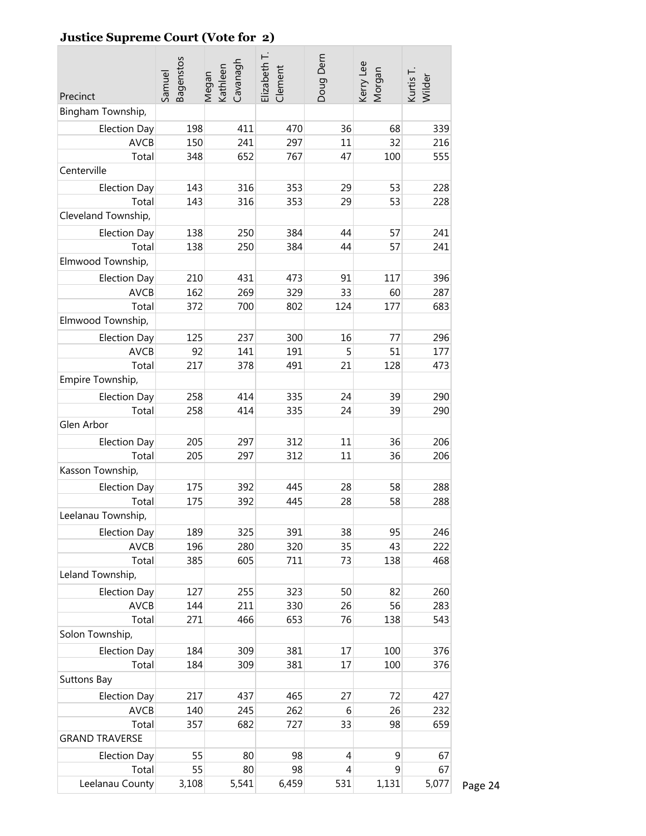### **Justice Supreme Court (Vote for 2)**

| Precinct              | Bagenstos<br>Samuel | Megan<br>Kathleen<br>Cavanagh | Elizabeth T<br>Clement | Doug Dern | Kerry Lee<br>Morgan | Kurtis T.<br>Wilder |
|-----------------------|---------------------|-------------------------------|------------------------|-----------|---------------------|---------------------|
| Bingham Township,     |                     |                               |                        |           |                     |                     |
| <b>Election Day</b>   | 198                 | 411                           | 470                    | 36        | 68                  | 339                 |
| <b>AVCB</b>           | 150                 | 241                           | 297                    | 11        | 32                  | 216                 |
| Total                 | 348                 | 652                           | 767                    | 47        | 100                 | 555                 |
| Centerville           |                     |                               |                        |           |                     |                     |
| <b>Election Day</b>   | 143                 | 316                           | 353                    | 29        | 53                  | 228                 |
| Total                 | 143                 | 316                           | 353                    | 29        | 53                  | 228                 |
| Cleveland Township,   |                     |                               |                        |           |                     |                     |
| <b>Election Day</b>   | 138                 | 250                           | 384                    | 44        | 57                  | 241                 |
| Total                 | 138                 | 250                           | 384                    | 44        | 57                  | 241                 |
| Elmwood Township,     |                     |                               |                        |           |                     |                     |
| <b>Election Day</b>   | 210                 | 431                           | 473                    | 91        | 117                 | 396                 |
| <b>AVCB</b>           | 162                 | 269                           | 329                    | 33        | 60                  | 287                 |
| Total                 | 372                 | 700                           | 802                    | 124       | 177                 | 683                 |
| Elmwood Township,     |                     |                               |                        |           |                     |                     |
| <b>Election Day</b>   | 125                 | 237                           | 300                    | 16        | 77                  | 296                 |
| <b>AVCB</b>           | 92                  | 141                           | 191                    | 5         | 51                  | 177                 |
| Total                 | 217                 | 378                           | 491                    | 21        | 128                 | 473                 |
| Empire Township,      |                     |                               |                        |           |                     |                     |
| <b>Election Day</b>   | 258                 | 414                           | 335                    | 24        | 39                  | 290                 |
| Total                 | 258                 | 414                           | 335                    | 24        | 39                  | 290                 |
| Glen Arbor            |                     |                               |                        |           |                     |                     |
| <b>Election Day</b>   | 205                 | 297                           | 312                    | 11        | 36                  | 206                 |
| Total                 | 205                 | 297                           | 312                    | 11        | 36                  | 206                 |
| Kasson Township,      |                     |                               |                        |           |                     |                     |
| <b>Election Day</b>   | 175                 | 392                           | 445                    | 28        | 58                  | 288                 |
| Total                 | 175                 | 392                           | 445                    | 28        | 58                  | 288                 |
| Leelanau Township,    |                     |                               |                        |           |                     |                     |
| <b>Election Day</b>   | 189                 | 325                           | 391                    | 38        | 95                  | 246                 |
| AVCB                  | 196                 | 280                           | 320                    | 35        | 43                  | 222                 |
| Total                 | 385                 | 605                           | 711                    | 73        | 138                 | 468                 |
| Leland Township,      |                     |                               |                        |           |                     |                     |
| <b>Election Day</b>   | 127                 | 255                           | 323                    | 50        | 82                  | 260                 |
| <b>AVCB</b>           | 144                 | 211                           | 330                    | 26        | 56                  | 283                 |
| Total                 | 271                 | 466                           | 653                    | 76        | 138                 | 543                 |
| Solon Township,       |                     |                               |                        |           |                     |                     |
| <b>Election Day</b>   | 184                 | 309                           | 381                    | 17        | 100                 | 376                 |
| Total                 | 184                 | 309                           | 381                    | 17        | 100                 | 376                 |
| Suttons Bay           |                     |                               |                        |           |                     |                     |
| <b>Election Day</b>   | 217                 | 437                           | 465                    | 27        | 72                  | 427                 |
| <b>AVCB</b>           | 140                 | 245                           | 262                    | 6         | 26                  | 232                 |
| Total                 | 357                 | 682                           | 727                    | 33        | 98                  | 659                 |
| <b>GRAND TRAVERSE</b> |                     |                               |                        |           |                     |                     |
| <b>Election Day</b>   | 55                  | 80                            | 98                     | 4         | 9                   | 67                  |
| Total                 | 55                  | 80                            | 98                     | 4         | 9                   | 67                  |
| Leelanau County       | 3,108               | 5,541                         | 6,459                  | 531       | 1,131               | 5,077               |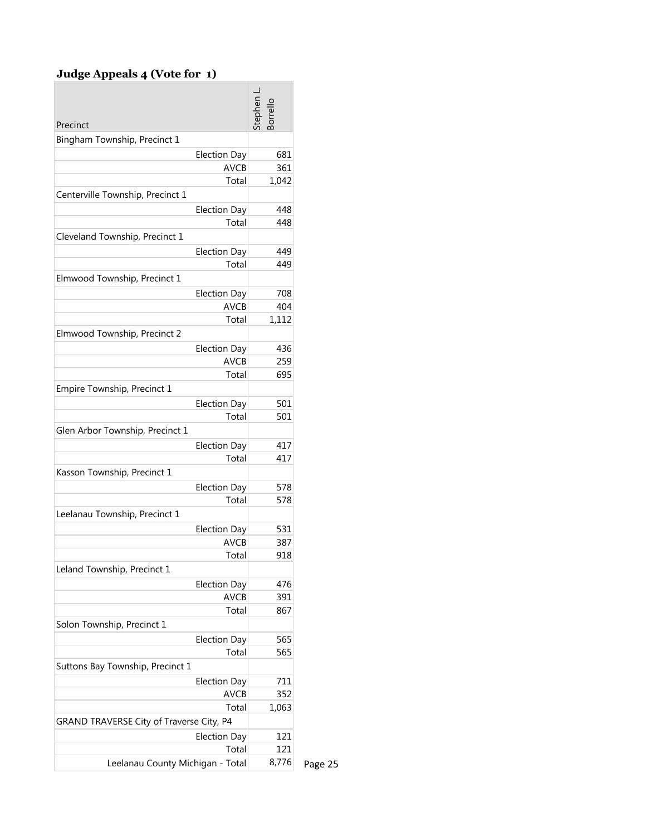#### **Judge Appeals 4 (Vote for 1)**

| Precinct                                 | tephen<br>orrell |
|------------------------------------------|------------------|
| Bingham Township, Precinct 1             |                  |
| <b>Election Day</b>                      | 681              |
| <b>AVCB</b>                              | 361              |
| Total                                    | 1,042            |
| Centerville Township, Precinct 1         |                  |
| <b>Election Day</b>                      | 448              |
| Total                                    | 448              |
| Cleveland Township, Precinct 1           |                  |
| <b>Election Day</b>                      | 449              |
| Total                                    | 449              |
| Elmwood Township, Precinct 1             |                  |
| <b>Election Day</b>                      | 708              |
| <b>AVCB</b>                              | 404              |
| Total                                    | 1,112            |
| Elmwood Township, Precinct 2             |                  |
| <b>Election Day</b>                      | 436              |
| <b>AVCB</b>                              | 259              |
| Total                                    | 695              |
| Empire Township, Precinct 1              |                  |
| <b>Election Day</b>                      | 501              |
| Total                                    | 501              |
| Glen Arbor Township, Precinct 1          |                  |
| <b>Election Day</b>                      | 417              |
| Total                                    | 417              |
| Kasson Township, Precinct 1              |                  |
| <b>Election Day</b>                      | 578              |
| Total                                    | 578              |
| Leelanau Township, Precinct 1            |                  |
| <b>Election Day</b>                      | 531              |
| <b>AVCB</b>                              | 387              |
| Total                                    | 918              |
| Leland Township, Precinct 1              |                  |
| <b>Election Day</b>                      | 476              |
| <b>AVCB</b>                              | 391              |
| Total                                    | 867              |
| Solon Township, Precinct 1               |                  |
| <b>Election Day</b>                      | 565              |
| Total                                    | 565              |
| Suttons Bay Township, Precinct 1         |                  |
| <b>Election Day</b>                      | 711              |
| <b>AVCB</b>                              | 352              |
| Total                                    | 1,063            |
| GRAND TRAVERSE City of Traverse City, P4 |                  |
| <b>Election Day</b>                      | 121              |
| Total                                    | 121              |
| Leelanau County Michigan - Total         | 8,776            |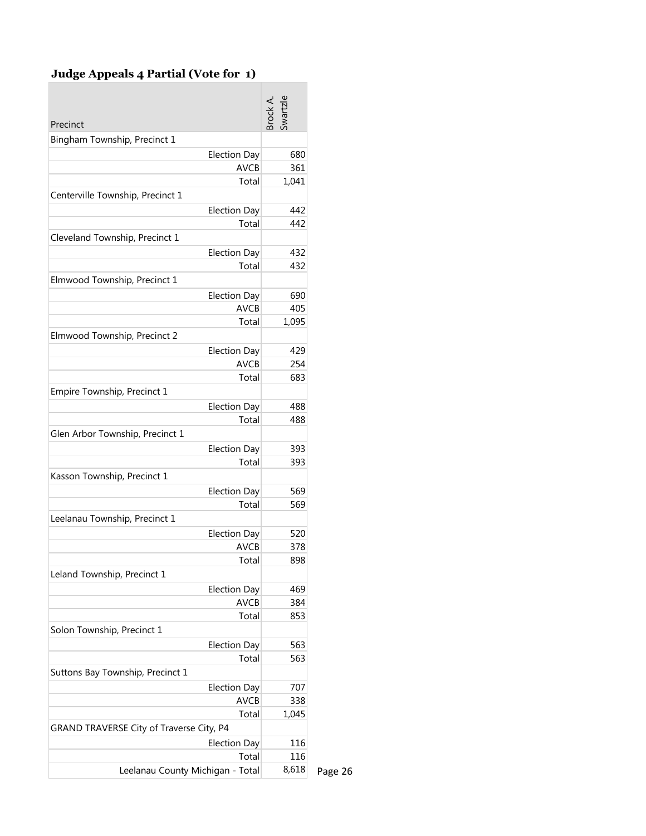### **Judge Appeals 4 Partial (Vote for 1)**

| Precinct                                 | srock A. |
|------------------------------------------|----------|
| Bingham Township, Precinct 1             |          |
| <b>Election Day</b>                      | 680      |
| <b>AVCB</b>                              | 361      |
| Total                                    | 1,041    |
| Centerville Township, Precinct 1         |          |
| <b>Election Day</b>                      | 442      |
| Total                                    | 442      |
| Cleveland Township, Precinct 1           |          |
| <b>Election Day</b>                      | 432      |
| Total                                    | 432      |
| Elmwood Township, Precinct 1             |          |
| <b>Election Day</b>                      | 690      |
| <b>AVCB</b>                              | 405      |
| Total                                    | 1,095    |
| Elmwood Township, Precinct 2             |          |
| <b>Election Day</b>                      | 429      |
| <b>AVCB</b>                              | 254      |
| Total                                    | 683      |
| Empire Township, Precinct 1              |          |
| <b>Election Day</b>                      | 488      |
| Total                                    | 488      |
| Glen Arbor Township, Precinct 1          |          |
| <b>Election Day</b>                      | 393      |
| Total                                    | 393      |
| Kasson Township, Precinct 1              |          |
| <b>Election Day</b>                      | 569      |
| Total                                    | 569      |
| Leelanau Township, Precinct 1            |          |
| <b>Election Day</b>                      | 520      |
| <b>AVCB</b>                              | 378      |
| Total                                    | 898      |
| Leland Township, Precinct 1              |          |
| <b>Election Day</b>                      | 469      |
| <b>AVCB</b>                              | 384      |
| Total                                    | 853      |
| Solon Township, Precinct 1               |          |
| <b>Election Day</b>                      | 563      |
| Total                                    | 563      |
| Suttons Bay Township, Precinct 1         |          |
| <b>Election Day</b>                      | 707      |
| <b>AVCB</b>                              | 338      |
| Total                                    | 1,045    |
| GRAND TRAVERSE City of Traverse City, P4 |          |
| <b>Election Day</b><br>Total             | 116      |
|                                          | 116      |
| Leelanau County Michigan - Total         | 8,618    |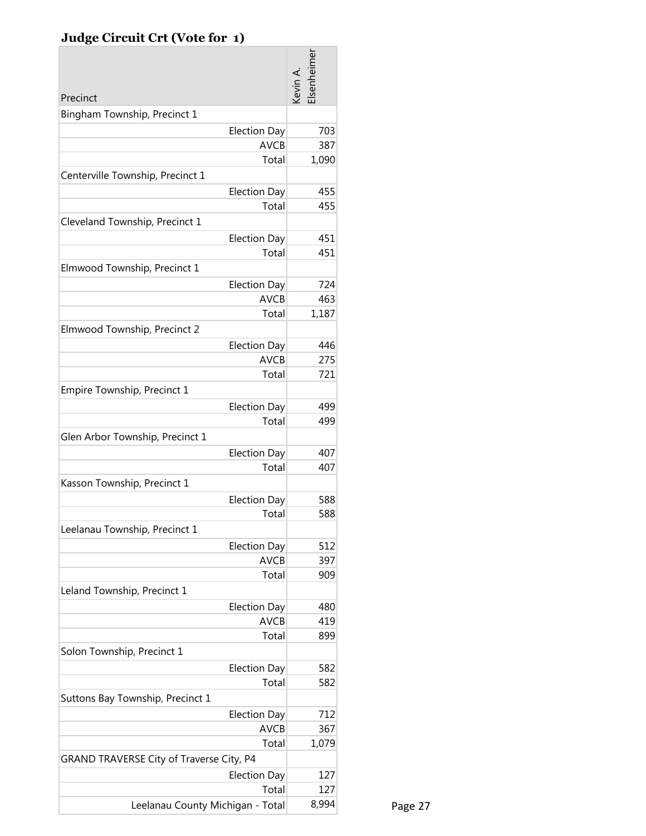## **Judge Circuit Crt (Vote for 1)**

|                                          | Elsenheimer<br>Kevin A. |         |
|------------------------------------------|-------------------------|---------|
| Precinct                                 |                         |         |
| Bingham Township, Precinct 1             |                         |         |
| <b>Election Day</b>                      | 703                     |         |
| <b>AVCB</b>                              | 387                     |         |
| Total                                    | 1,090                   |         |
| Centerville Township, Precinct 1         |                         |         |
| <b>Election Day</b>                      | 455                     |         |
| Total                                    | 455                     |         |
| Cleveland Township, Precinct 1           |                         |         |
| <b>Election Day</b>                      | 451                     |         |
| Total                                    | 451                     |         |
| Elmwood Township, Precinct 1             |                         |         |
| <b>Election Day</b>                      | 724                     |         |
| <b>AVCB</b>                              | 463                     |         |
| Total                                    | 1,187                   |         |
| Elmwood Township, Precinct 2             |                         |         |
| <b>Election Day</b>                      | 446                     |         |
| <b>AVCB</b>                              | 275                     |         |
| Total                                    | 721                     |         |
| Empire Township, Precinct 1              |                         |         |
| <b>Election Day</b>                      | 499                     |         |
| Total                                    | 499                     |         |
| Glen Arbor Township, Precinct 1          |                         |         |
| <b>Election Day</b>                      | 407                     |         |
| Total                                    | 407                     |         |
| Kasson Township, Precinct 1              |                         |         |
| <b>Election Day</b>                      | 588                     |         |
| Total                                    | 588                     |         |
| Leelanau Township, Precinct 1            |                         |         |
| <b>Election Day</b>                      | 512                     |         |
| <b>AVCB</b>                              | 397                     |         |
| Total                                    | 909                     |         |
| Leland Township, Precinct 1              |                         |         |
| <b>Election Day</b>                      | 480                     |         |
| <b>AVCB</b>                              | 419                     |         |
| Total                                    | 899                     |         |
| Solon Township, Precinct 1               |                         |         |
| <b>Election Day</b>                      | 582                     |         |
| Total                                    | 582                     |         |
| Suttons Bay Township, Precinct 1         |                         |         |
| <b>Election Day</b>                      | 712                     |         |
| <b>AVCB</b>                              | 367                     |         |
| Total                                    | 1,079                   |         |
| GRAND TRAVERSE City of Traverse City, P4 |                         |         |
| <b>Election Day</b>                      | 127                     |         |
| Total                                    | 127                     |         |
| Leelanau County Michigan - Total         | 8,994                   | Page 27 |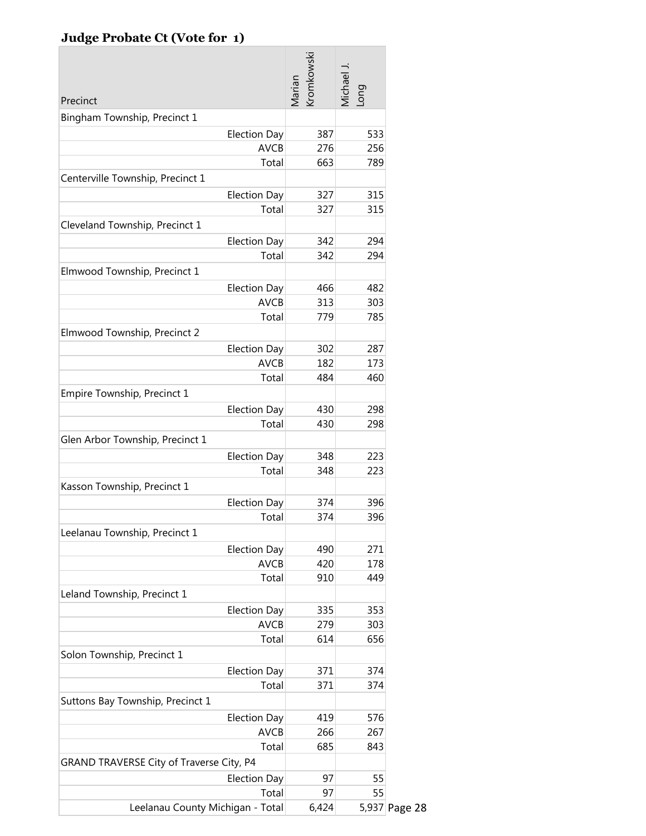## **Judge Probate Ct (Vote for 1)**

| <b>romkowski</b><br>Michael J.<br>Marian<br>puo-<br>Precinct<br>Bingham Township, Precinct 1<br><b>Election Day</b><br>533<br>387<br><b>AVCB</b><br>276<br>256<br>Total<br>663<br>789<br>Centerville Township, Precinct 1<br><b>Election Day</b><br>327<br>315<br>Total<br>327<br>315<br>Cleveland Township, Precinct 1<br><b>Election Day</b><br>342<br>294<br>Total<br>342<br>294<br>Elmwood Township, Precinct 1<br><b>Election Day</b><br>466<br>482<br><b>AVCB</b><br>313<br>303<br>Total<br>785<br>779<br>Elmwood Township, Precinct 2<br><b>Election Day</b><br>302<br>287<br><b>AVCB</b><br>182<br>173<br>Total<br>484<br>460<br>Empire Township, Precinct 1<br><b>Election Day</b><br>430<br>298<br>Total<br>430<br>298<br>Glen Arbor Township, Precinct 1<br><b>Election Day</b><br>348<br>223<br>Total<br>348<br>223<br>Kasson Township, Precinct 1<br><b>Election Day</b><br>374<br>396<br>396<br>Total<br>374<br>Leelanau Township, Precinct 1<br><b>Election Day</b><br>490<br>271<br><b>AVCB</b><br>420<br>178<br>Total<br>910<br>449 |
|------------------------------------------------------------------------------------------------------------------------------------------------------------------------------------------------------------------------------------------------------------------------------------------------------------------------------------------------------------------------------------------------------------------------------------------------------------------------------------------------------------------------------------------------------------------------------------------------------------------------------------------------------------------------------------------------------------------------------------------------------------------------------------------------------------------------------------------------------------------------------------------------------------------------------------------------------------------------------------------------------------------------------------------------------|
|                                                                                                                                                                                                                                                                                                                                                                                                                                                                                                                                                                                                                                                                                                                                                                                                                                                                                                                                                                                                                                                      |
|                                                                                                                                                                                                                                                                                                                                                                                                                                                                                                                                                                                                                                                                                                                                                                                                                                                                                                                                                                                                                                                      |
|                                                                                                                                                                                                                                                                                                                                                                                                                                                                                                                                                                                                                                                                                                                                                                                                                                                                                                                                                                                                                                                      |
|                                                                                                                                                                                                                                                                                                                                                                                                                                                                                                                                                                                                                                                                                                                                                                                                                                                                                                                                                                                                                                                      |
|                                                                                                                                                                                                                                                                                                                                                                                                                                                                                                                                                                                                                                                                                                                                                                                                                                                                                                                                                                                                                                                      |
|                                                                                                                                                                                                                                                                                                                                                                                                                                                                                                                                                                                                                                                                                                                                                                                                                                                                                                                                                                                                                                                      |
|                                                                                                                                                                                                                                                                                                                                                                                                                                                                                                                                                                                                                                                                                                                                                                                                                                                                                                                                                                                                                                                      |
|                                                                                                                                                                                                                                                                                                                                                                                                                                                                                                                                                                                                                                                                                                                                                                                                                                                                                                                                                                                                                                                      |
|                                                                                                                                                                                                                                                                                                                                                                                                                                                                                                                                                                                                                                                                                                                                                                                                                                                                                                                                                                                                                                                      |
|                                                                                                                                                                                                                                                                                                                                                                                                                                                                                                                                                                                                                                                                                                                                                                                                                                                                                                                                                                                                                                                      |
|                                                                                                                                                                                                                                                                                                                                                                                                                                                                                                                                                                                                                                                                                                                                                                                                                                                                                                                                                                                                                                                      |
|                                                                                                                                                                                                                                                                                                                                                                                                                                                                                                                                                                                                                                                                                                                                                                                                                                                                                                                                                                                                                                                      |
|                                                                                                                                                                                                                                                                                                                                                                                                                                                                                                                                                                                                                                                                                                                                                                                                                                                                                                                                                                                                                                                      |
|                                                                                                                                                                                                                                                                                                                                                                                                                                                                                                                                                                                                                                                                                                                                                                                                                                                                                                                                                                                                                                                      |
|                                                                                                                                                                                                                                                                                                                                                                                                                                                                                                                                                                                                                                                                                                                                                                                                                                                                                                                                                                                                                                                      |
|                                                                                                                                                                                                                                                                                                                                                                                                                                                                                                                                                                                                                                                                                                                                                                                                                                                                                                                                                                                                                                                      |
|                                                                                                                                                                                                                                                                                                                                                                                                                                                                                                                                                                                                                                                                                                                                                                                                                                                                                                                                                                                                                                                      |
|                                                                                                                                                                                                                                                                                                                                                                                                                                                                                                                                                                                                                                                                                                                                                                                                                                                                                                                                                                                                                                                      |
|                                                                                                                                                                                                                                                                                                                                                                                                                                                                                                                                                                                                                                                                                                                                                                                                                                                                                                                                                                                                                                                      |
|                                                                                                                                                                                                                                                                                                                                                                                                                                                                                                                                                                                                                                                                                                                                                                                                                                                                                                                                                                                                                                                      |
|                                                                                                                                                                                                                                                                                                                                                                                                                                                                                                                                                                                                                                                                                                                                                                                                                                                                                                                                                                                                                                                      |
|                                                                                                                                                                                                                                                                                                                                                                                                                                                                                                                                                                                                                                                                                                                                                                                                                                                                                                                                                                                                                                                      |
|                                                                                                                                                                                                                                                                                                                                                                                                                                                                                                                                                                                                                                                                                                                                                                                                                                                                                                                                                                                                                                                      |
|                                                                                                                                                                                                                                                                                                                                                                                                                                                                                                                                                                                                                                                                                                                                                                                                                                                                                                                                                                                                                                                      |
|                                                                                                                                                                                                                                                                                                                                                                                                                                                                                                                                                                                                                                                                                                                                                                                                                                                                                                                                                                                                                                                      |
|                                                                                                                                                                                                                                                                                                                                                                                                                                                                                                                                                                                                                                                                                                                                                                                                                                                                                                                                                                                                                                                      |
|                                                                                                                                                                                                                                                                                                                                                                                                                                                                                                                                                                                                                                                                                                                                                                                                                                                                                                                                                                                                                                                      |
|                                                                                                                                                                                                                                                                                                                                                                                                                                                                                                                                                                                                                                                                                                                                                                                                                                                                                                                                                                                                                                                      |
|                                                                                                                                                                                                                                                                                                                                                                                                                                                                                                                                                                                                                                                                                                                                                                                                                                                                                                                                                                                                                                                      |
|                                                                                                                                                                                                                                                                                                                                                                                                                                                                                                                                                                                                                                                                                                                                                                                                                                                                                                                                                                                                                                                      |
|                                                                                                                                                                                                                                                                                                                                                                                                                                                                                                                                                                                                                                                                                                                                                                                                                                                                                                                                                                                                                                                      |
| Leland Township, Precinct 1                                                                                                                                                                                                                                                                                                                                                                                                                                                                                                                                                                                                                                                                                                                                                                                                                                                                                                                                                                                                                          |
| <b>Election Day</b><br>335<br>353                                                                                                                                                                                                                                                                                                                                                                                                                                                                                                                                                                                                                                                                                                                                                                                                                                                                                                                                                                                                                    |
| <b>AVCB</b><br>279<br>303                                                                                                                                                                                                                                                                                                                                                                                                                                                                                                                                                                                                                                                                                                                                                                                                                                                                                                                                                                                                                            |
| Total<br>656<br>614                                                                                                                                                                                                                                                                                                                                                                                                                                                                                                                                                                                                                                                                                                                                                                                                                                                                                                                                                                                                                                  |
| Solon Township, Precinct 1                                                                                                                                                                                                                                                                                                                                                                                                                                                                                                                                                                                                                                                                                                                                                                                                                                                                                                                                                                                                                           |
| <b>Election Day</b><br>371<br>374                                                                                                                                                                                                                                                                                                                                                                                                                                                                                                                                                                                                                                                                                                                                                                                                                                                                                                                                                                                                                    |
| Total<br>371<br>374                                                                                                                                                                                                                                                                                                                                                                                                                                                                                                                                                                                                                                                                                                                                                                                                                                                                                                                                                                                                                                  |
| Suttons Bay Township, Precinct 1                                                                                                                                                                                                                                                                                                                                                                                                                                                                                                                                                                                                                                                                                                                                                                                                                                                                                                                                                                                                                     |
| <b>Election Day</b><br>419<br>576                                                                                                                                                                                                                                                                                                                                                                                                                                                                                                                                                                                                                                                                                                                                                                                                                                                                                                                                                                                                                    |
| <b>AVCB</b><br>266<br>267                                                                                                                                                                                                                                                                                                                                                                                                                                                                                                                                                                                                                                                                                                                                                                                                                                                                                                                                                                                                                            |
| Total<br>685<br>843                                                                                                                                                                                                                                                                                                                                                                                                                                                                                                                                                                                                                                                                                                                                                                                                                                                                                                                                                                                                                                  |
| GRAND TRAVERSE City of Traverse City, P4                                                                                                                                                                                                                                                                                                                                                                                                                                                                                                                                                                                                                                                                                                                                                                                                                                                                                                                                                                                                             |
| <b>Election Day</b><br>97<br>55                                                                                                                                                                                                                                                                                                                                                                                                                                                                                                                                                                                                                                                                                                                                                                                                                                                                                                                                                                                                                      |
| 97<br>55<br>Total                                                                                                                                                                                                                                                                                                                                                                                                                                                                                                                                                                                                                                                                                                                                                                                                                                                                                                                                                                                                                                    |
| Leelanau County Michigan - Total<br>6,424<br>5,937 Page 28                                                                                                                                                                                                                                                                                                                                                                                                                                                                                                                                                                                                                                                                                                                                                                                                                                                                                                                                                                                           |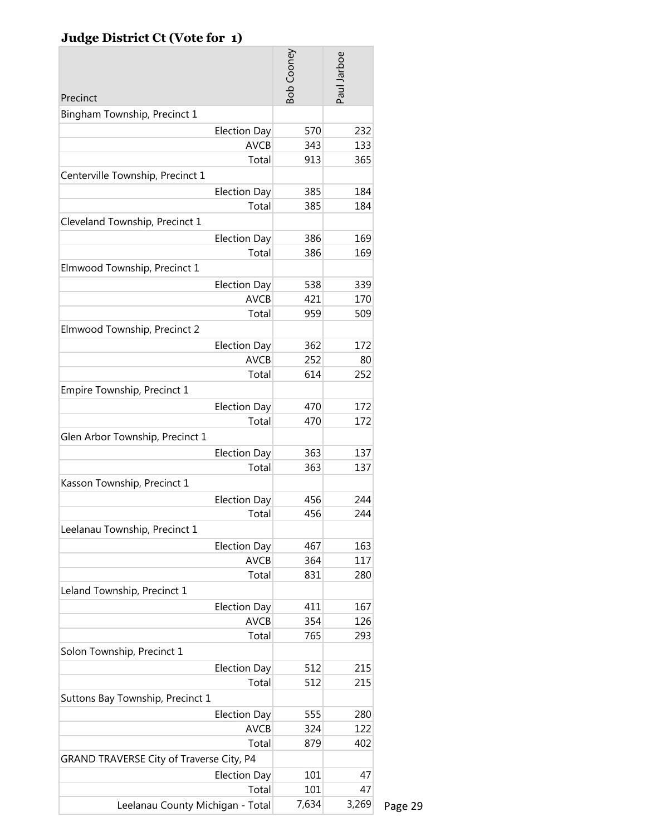## **Judge District Ct (Vote for 1)**

|                                          | <b>Bob Cooney</b> | Paul Jarboe |         |
|------------------------------------------|-------------------|-------------|---------|
| Precinct                                 |                   |             |         |
| Bingham Township, Precinct 1             |                   |             |         |
| <b>Election Day</b>                      | 570               | 232         |         |
| <b>AVCB</b><br>Total                     | 343<br>913        | 133<br>365  |         |
| Centerville Township, Precinct 1         |                   |             |         |
|                                          | 385               | 184         |         |
| <b>Election Day</b><br>Total             | 385               | 184         |         |
| Cleveland Township, Precinct 1           |                   |             |         |
|                                          |                   |             |         |
| <b>Election Day</b>                      | 386               | 169         |         |
| Total                                    | 386               | 169         |         |
| Elmwood Township, Precinct 1             |                   |             |         |
| <b>Election Day</b>                      | 538               | 339         |         |
| <b>AVCB</b>                              | 421               | 170         |         |
| Total                                    | 959               | 509         |         |
| Elmwood Township, Precinct 2             |                   |             |         |
| <b>Election Day</b>                      | 362               | 172         |         |
| <b>AVCB</b>                              | 252               | 80          |         |
| Total                                    | 614               | 252         |         |
| Empire Township, Precinct 1              |                   |             |         |
| <b>Election Day</b>                      | 470               | 172         |         |
| Total                                    | 470               | 172         |         |
| Glen Arbor Township, Precinct 1          |                   |             |         |
| <b>Election Day</b>                      | 363               | 137         |         |
| Total                                    | 363               | 137         |         |
| Kasson Township, Precinct 1              |                   |             |         |
| <b>Election Day</b>                      | 456               | 244         |         |
| Total                                    | 456               | 244         |         |
| Leelanau Township, Precinct 1            |                   |             |         |
| <b>Election Day</b>                      | 467               | 163         |         |
| <b>AVCB</b>                              | 364               | 117         |         |
| Total                                    | 831               | 280         |         |
| Leland Township, Precinct 1              |                   |             |         |
| <b>Election Day</b>                      | 411               | 167         |         |
| <b>AVCB</b>                              | 354               | 126         |         |
| Total                                    | 765               | 293         |         |
| Solon Township, Precinct 1               |                   |             |         |
| <b>Election Day</b>                      | 512               | 215         |         |
| Total                                    | 512               | 215         |         |
| Suttons Bay Township, Precinct 1         |                   |             |         |
| <b>Election Day</b>                      | 555               | 280         |         |
| <b>AVCB</b>                              | 324               | 122         |         |
| Total                                    | 879               | 402         |         |
| GRAND TRAVERSE City of Traverse City, P4 |                   |             |         |
| <b>Election Day</b>                      | 101               | 47          |         |
| Total                                    | 101               | 47          |         |
| Leelanau County Michigan - Total         | 7,634             | 3,269       | Page 29 |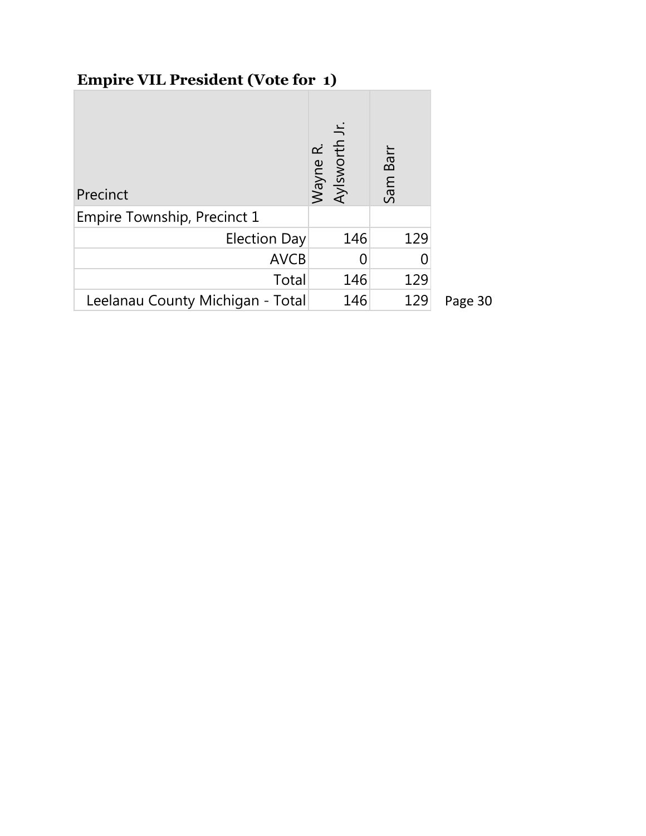# **Empire VIL President (Vote for 1)**

| Precinct                         | Wayne R.<br>Aylsworth | Barr<br>Sam I |         |
|----------------------------------|-----------------------|---------------|---------|
| Empire Township, Precinct 1      |                       |               |         |
| <b>Election Day</b>              | 146                   | 129           |         |
| <b>AVCB</b>                      |                       |               |         |
| Total                            | 146                   | 129           |         |
| Leelanau County Michigan - Total | 146                   | 129           | Page 30 |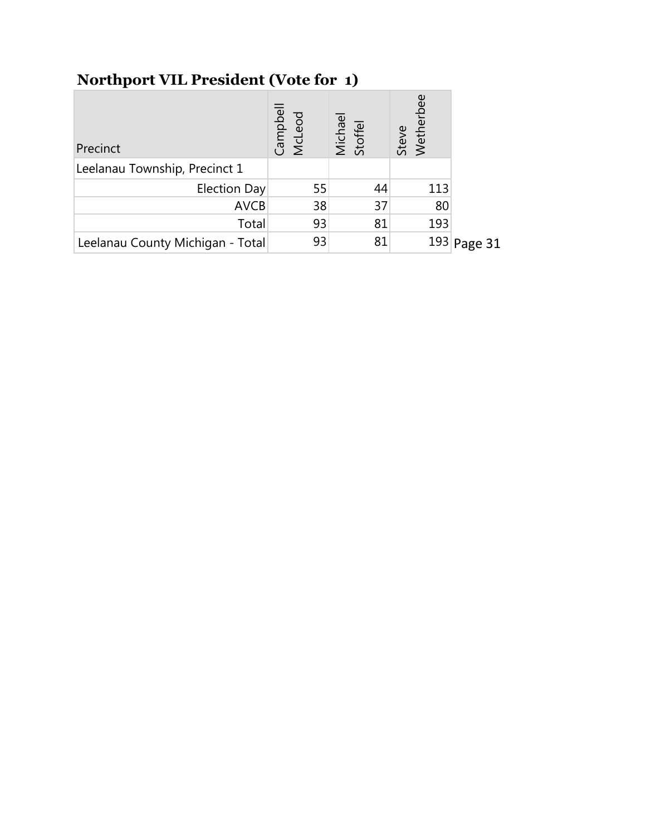# **Northport VIL President (Vote for 1)**

| Precinct                         | Campbell<br>McLeod | Michael<br>Stoffel | Steve<br>Wetherbee |               |
|----------------------------------|--------------------|--------------------|--------------------|---------------|
| Leelanau Township, Precinct 1    |                    |                    |                    |               |
| Election Day                     | 55                 | 44                 | 113                |               |
| <b>AVCB</b>                      | 38                 | 37                 | 80                 |               |
| Total                            | 93                 | 81                 | 193                |               |
| Leelanau County Michigan - Total | 93                 | 81                 |                    | $193$ Page 31 |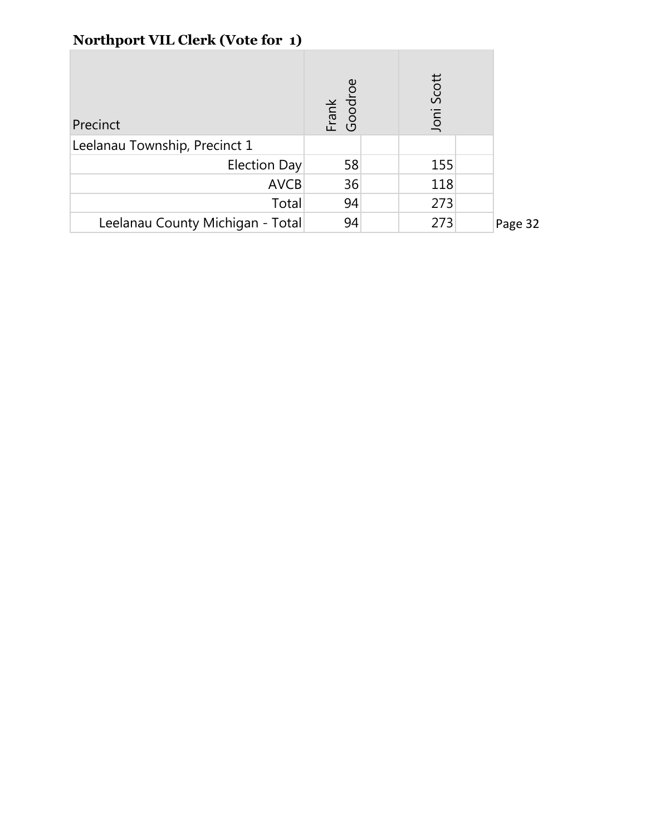|  | <b>Northport VIL Clerk (Vote for 1)</b> |  |
|--|-----------------------------------------|--|
|--|-----------------------------------------|--|

| Precinct                         | Frank<br>Goodroe | Joni Scott |         |
|----------------------------------|------------------|------------|---------|
| Leelanau Township, Precinct 1    |                  |            |         |
| Election Day                     | 58               | 155        |         |
| <b>AVCB</b>                      | 36               | 118        |         |
| Total                            | 94               | 273        |         |
| Leelanau County Michigan - Total | 94               | 273        | Page 32 |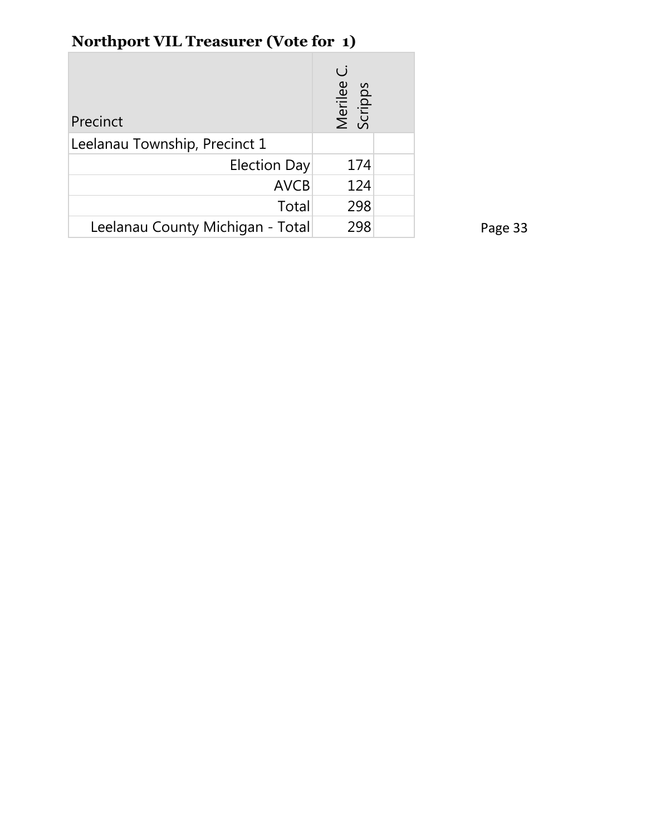| <b>Northport VIL Treasurer (Vote for 1)</b> |  |
|---------------------------------------------|--|
|---------------------------------------------|--|

| Precinct                         | $\overline{()}$<br>Merilee<br>Scripps |  |
|----------------------------------|---------------------------------------|--|
| Leelanau Township, Precinct 1    |                                       |  |
| <b>Election Day</b>              | 174                                   |  |
| <b>AVCB</b>                      | 124                                   |  |
| Total                            | 298                                   |  |
| Leelanau County Michigan - Total | 298                                   |  |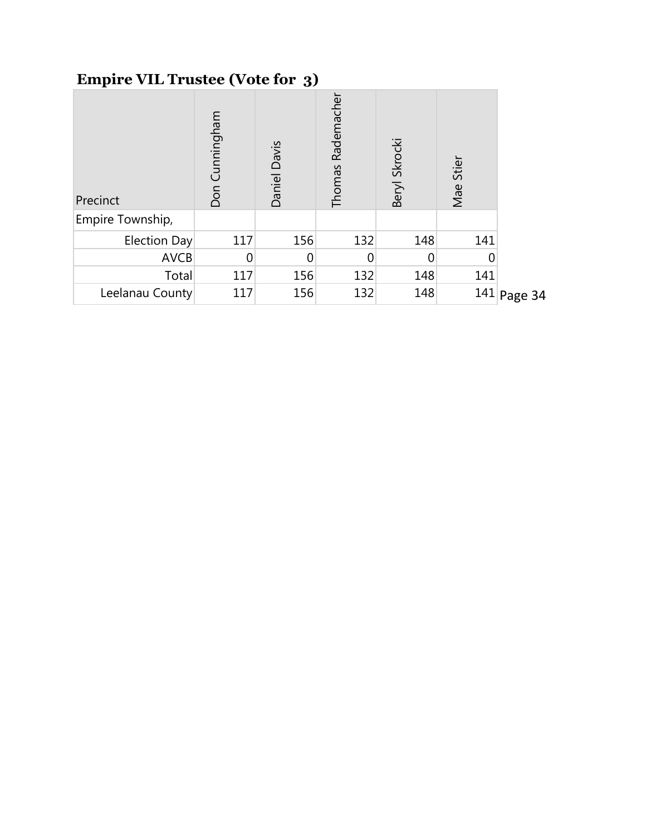# **Empire VIL Trustee (Vote for 3)**

| Precinct         | Don Cunningham | Daniel Davis | Rademacher<br>Thomas | Beryl Skrocki | Stier<br>Mae |               |
|------------------|----------------|--------------|----------------------|---------------|--------------|---------------|
| Empire Township, |                |              |                      |               |              |               |
| Election Day     | 117            | 156          | 132                  | 148           | 141          |               |
| <b>AVCB</b>      |                |              |                      |               |              |               |
| Total            | 117            | 156          | 132                  | 148           | 141          |               |
| Leelanau County  | 117            | 156          | 132                  | 148           |              | $141$ Page 34 |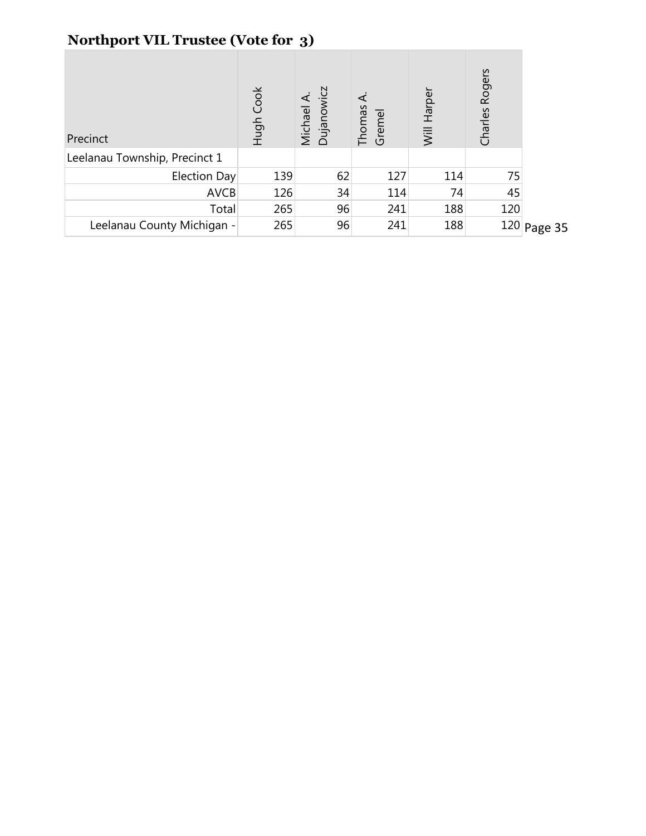## **Northport VIL Trustee (Vote for 3)**

| Precinct                      | Hugh Cook | Michael A.<br>Dujanowicz | Thomas<br>Gremel | Will Harper | Rogers<br>Charles I |               |
|-------------------------------|-----------|--------------------------|------------------|-------------|---------------------|---------------|
| Leelanau Township, Precinct 1 |           |                          |                  |             |                     |               |
| Election Day                  | 139       | 62                       | 127              | 114         | 75                  |               |
| <b>AVCB</b>                   | 126       | 34                       | 114              | 74          | 45                  |               |
| Total                         | 265       | 96                       | 241              | 188         | 120                 |               |
| Leelanau County Michigan -    | 265       | 96                       | 241              | 188         |                     | $120$ Page 35 |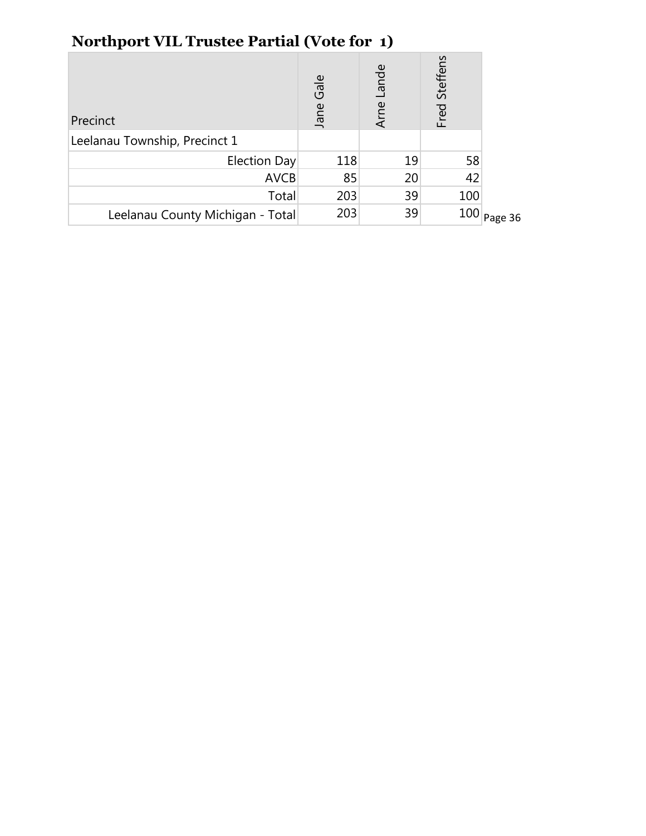| -                                |              |               |                  |         |
|----------------------------------|--------------|---------------|------------------|---------|
| Precinct                         | Gale<br>Jane | Lande<br>Arne | Steffens<br>Fred |         |
| Leelanau Township, Precinct 1    |              |               |                  |         |
| Election Day                     | 118          | 19            | 58               |         |
| <b>AVCB</b>                      | 85           | 20            | 42               |         |
| Total                            | 203          | 39            | 100              |         |
| Leelanau County Michigan - Total | 203          | 39            | 100              | Page 36 |
|                                  |              |               |                  |         |

## **Northport VIL Trustee Partial (Vote for 1)**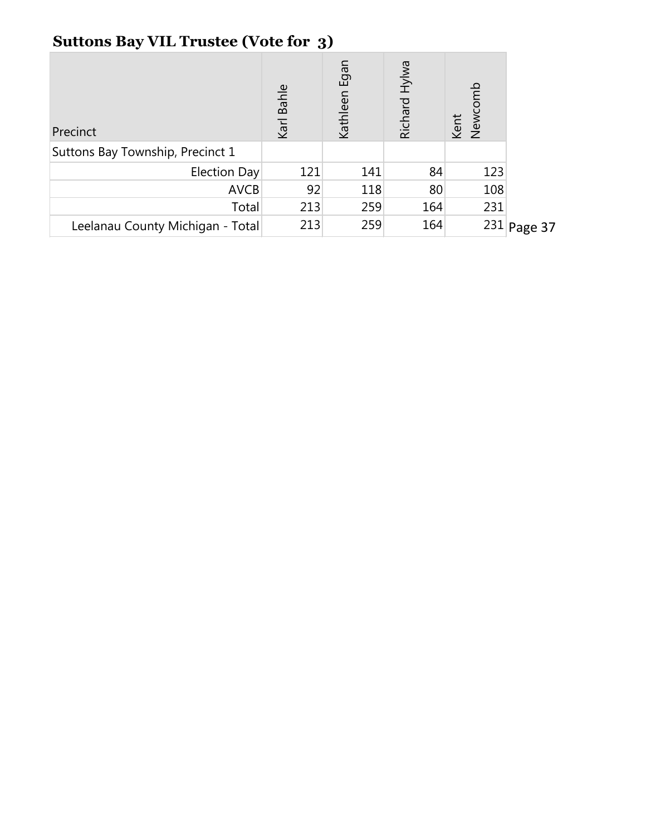# **Suttons Bay VIL Trustee (Vote for 3)**

| Precinct                         | Karl Bahle | Egan<br>Kathleen | Richard Hylwa | Newcor<br>Kent |               |
|----------------------------------|------------|------------------|---------------|----------------|---------------|
| Suttons Bay Township, Precinct 1 |            |                  |               |                |               |
| Election Day                     | 121        | 141              | 84            | 123            |               |
| <b>AVCB</b>                      | 92         | 118              | 80            | 108            |               |
| Total                            | 213        | 259              | 164           | 231            |               |
| Leelanau County Michigan - Total | 213        | 259              | 164           |                | $231$ Page 37 |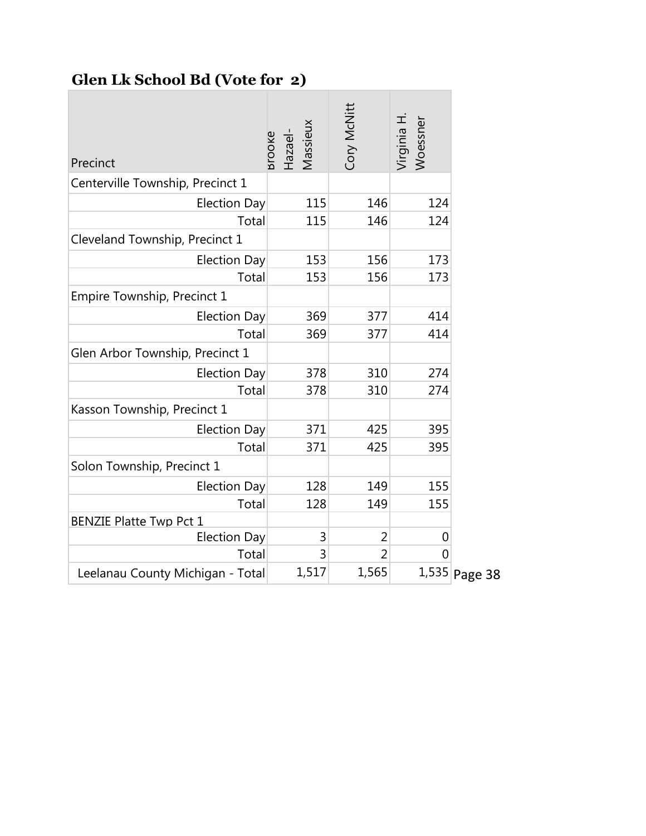# **Glen Lk School Bd (Vote for 2)**

| Precinct                         | Massieux<br>Hazael-<br>srooke | <b>Cory McNitt</b> | Virginia H.<br>Noessner |               |
|----------------------------------|-------------------------------|--------------------|-------------------------|---------------|
| Centerville Township, Precinct 1 |                               |                    |                         |               |
| <b>Election Day</b>              | 115                           | 146                | 124                     |               |
| Total                            | 115                           | 146                | 124                     |               |
| Cleveland Township, Precinct 1   |                               |                    |                         |               |
| <b>Election Day</b>              | 153                           | 156                | 173                     |               |
| Total                            | 153                           | 156                | 173                     |               |
| Empire Township, Precinct 1      |                               |                    |                         |               |
| <b>Election Day</b>              | 369                           | 377                | 414                     |               |
| Total                            | 369                           | 377                | 414                     |               |
| Glen Arbor Township, Precinct 1  |                               |                    |                         |               |
| <b>Election Day</b>              | 378                           | 310                | 274                     |               |
| Total                            | 378                           | 310                | 274                     |               |
| Kasson Township, Precinct 1      |                               |                    |                         |               |
| <b>Election Day</b>              | 371                           | 425                | 395                     |               |
| Total                            | 371                           | 425                | 395                     |               |
| Solon Township, Precinct 1       |                               |                    |                         |               |
| <b>Election Day</b>              | 128                           | 149                | 155                     |               |
| Total                            | 128                           | 149                | 155                     |               |
| <b>BENZIE Platte Twp Pct 1</b>   |                               |                    |                         |               |
| <b>Election Day</b>              | 3                             | 2                  | 0                       |               |
| Total                            | 3                             | 2                  | 0                       |               |
| Leelanau County Michigan - Total | 1,517                         | 1,565              |                         | 1,535 Page 38 |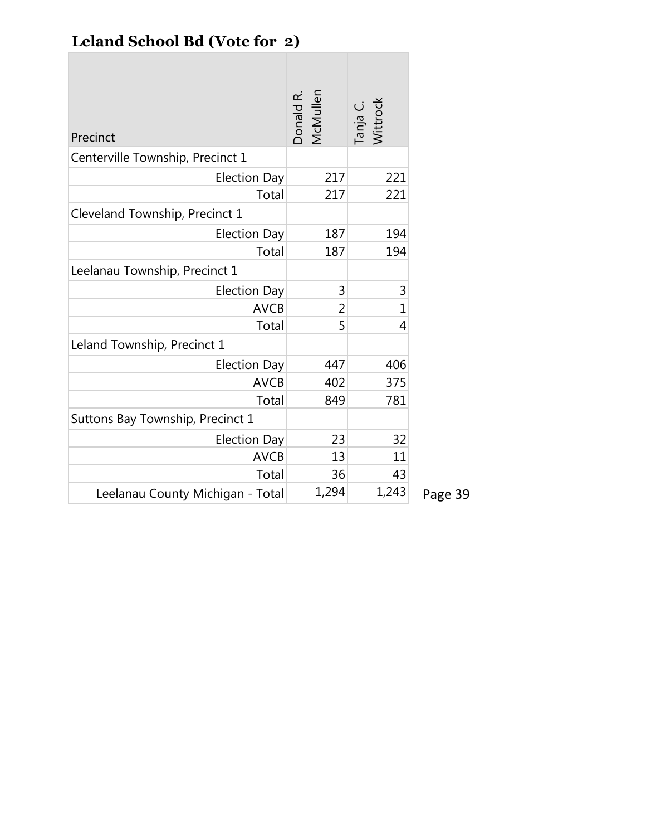# **Leland School Bd (Vote for 2)**

| Precinct                         | Donald R.<br>McMullen | Tanja C.<br>Wittrock |         |
|----------------------------------|-----------------------|----------------------|---------|
| Centerville Township, Precinct 1 |                       |                      |         |
| <b>Election Day</b>              | 217                   | 221                  |         |
| Total                            | 217                   | 221                  |         |
| Cleveland Township, Precinct 1   |                       |                      |         |
| <b>Election Day</b>              | 187                   | 194                  |         |
| Total                            | 187                   | 194                  |         |
| Leelanau Township, Precinct 1    |                       |                      |         |
| <b>Election Day</b>              | 3                     | 3                    |         |
| <b>AVCB</b>                      | 2                     | $\mathbf 1$          |         |
| Total                            | 5                     | 4                    |         |
| Leland Township, Precinct 1      |                       |                      |         |
| <b>Election Day</b>              | 447                   | 406                  |         |
| <b>AVCB</b>                      | 402                   | 375                  |         |
| Total                            | 849                   | 781                  |         |
| Suttons Bay Township, Precinct 1 |                       |                      |         |
| <b>Election Day</b>              | 23                    | 32                   |         |
| <b>AVCB</b>                      | 13                    | 11                   |         |
| Total                            | 36                    | 43                   |         |
| Leelanau County Michigan - Total | 1,294                 | 1,243                | Page 39 |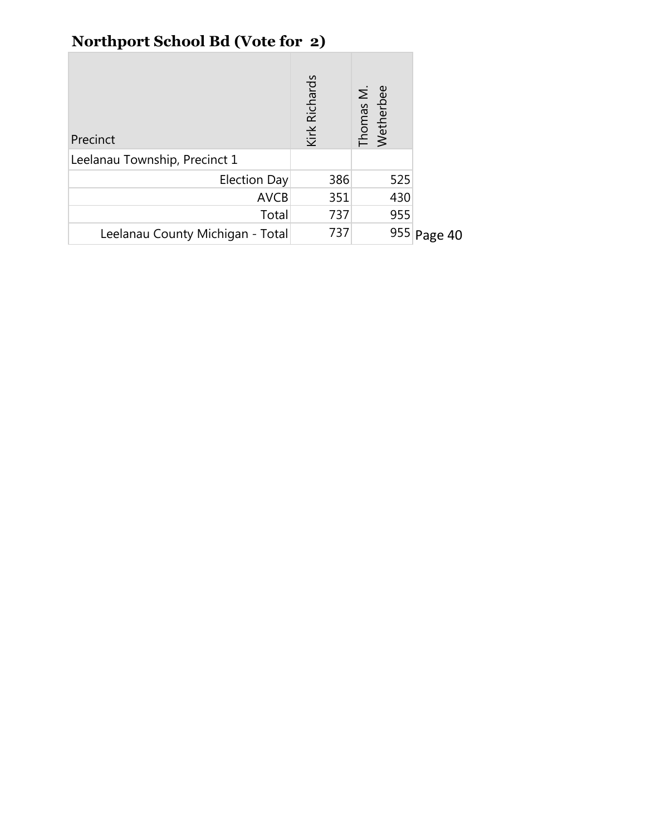# **Northport School Bd (Vote for 2)**

| Precinct                         | Kirk Richards | Thomas M.<br>Wetherbee |             |
|----------------------------------|---------------|------------------------|-------------|
| Leelanau Township, Precinct 1    |               |                        |             |
| Election Day                     | 386           | 525                    |             |
| <b>AVCB</b>                      | 351           | 430                    |             |
| Total                            | 737           | 955                    |             |
| Leelanau County Michigan - Total | 737           |                        | 955 Page 40 |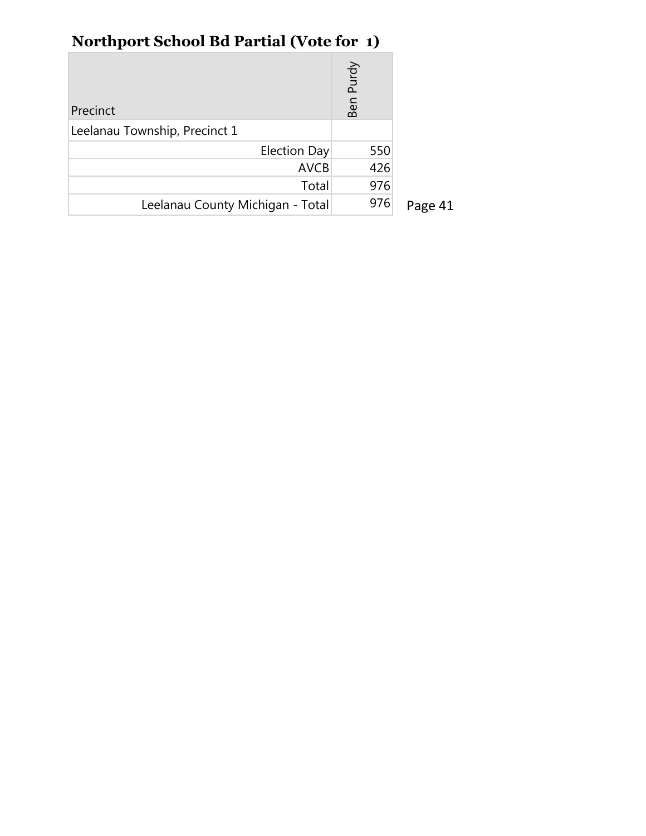# **Northport School Bd Partial (Vote for 1)**

| Precinct                         | Purdy<br>န<br>മ |         |
|----------------------------------|-----------------|---------|
| Leelanau Township, Precinct 1    |                 |         |
| Election Day                     | 550             |         |
| <b>AVCB</b>                      | 426             |         |
| Total                            | 976             |         |
| Leelanau County Michigan - Total | 976             | Page 41 |

L.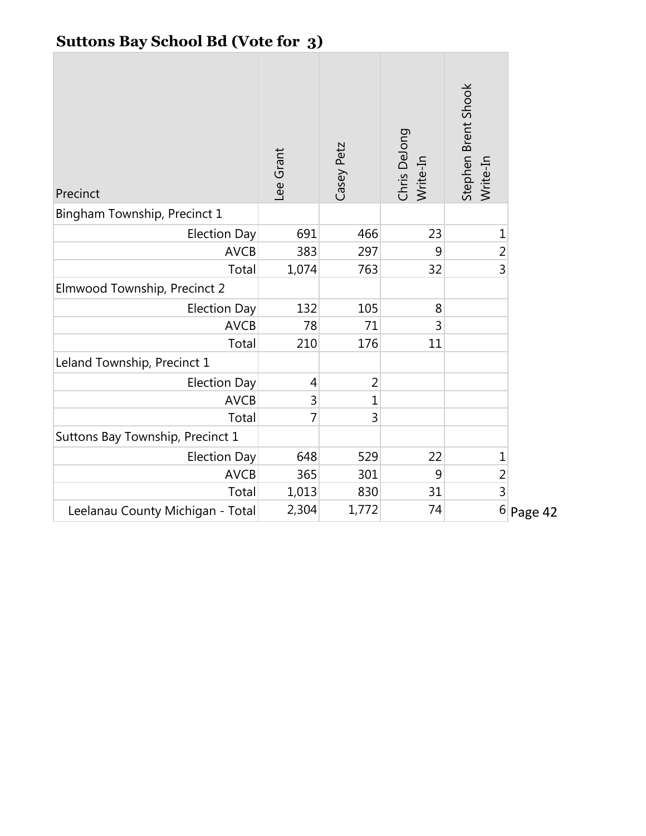|  | <b>Suttons Bay School Bd (Vote for 3)</b> |  |  |  |
|--|-------------------------------------------|--|--|--|
|--|-------------------------------------------|--|--|--|

| Precinct                         | Lee Grant      | Casey Petz     | Chris DeJong<br>Write-In | Stephen Brent Shook<br>Write-In |         |
|----------------------------------|----------------|----------------|--------------------------|---------------------------------|---------|
| Bingham Township, Precinct 1     |                |                |                          |                                 |         |
| <b>Election Day</b>              | 691            | 466            | 23                       | $\mathbf{1}$                    |         |
| <b>AVCB</b>                      | 383            | 297            | 9                        | $\overline{c}$                  |         |
| Total                            | 1,074          | 763            | 32                       | 3                               |         |
| Elmwood Township, Precinct 2     |                |                |                          |                                 |         |
| <b>Election Day</b>              | 132            | 105            | 8                        |                                 |         |
| <b>AVCB</b>                      | 78             | 71             | 3                        |                                 |         |
| Total                            | 210            | 176            | 11                       |                                 |         |
| Leland Township, Precinct 1      |                |                |                          |                                 |         |
| <b>Election Day</b>              | $\overline{4}$ | $\overline{2}$ |                          |                                 |         |
| <b>AVCB</b>                      | 3              | 1              |                          |                                 |         |
| Total                            | 7              | 3              |                          |                                 |         |
| Suttons Bay Township, Precinct 1 |                |                |                          |                                 |         |
| <b>Election Day</b>              | 648            | 529            | 22                       | $\mathbf 1$                     |         |
| <b>AVCB</b>                      | 365            | 301            | 9                        | $\overline{c}$                  |         |
| Total                            | 1,013          | 830            | 31                       | $\overline{3}$                  |         |
| Leelanau County Michigan - Total | 2,304          | 1,772          | 74                       | $\,$ 6 $\,$                     | Page 42 |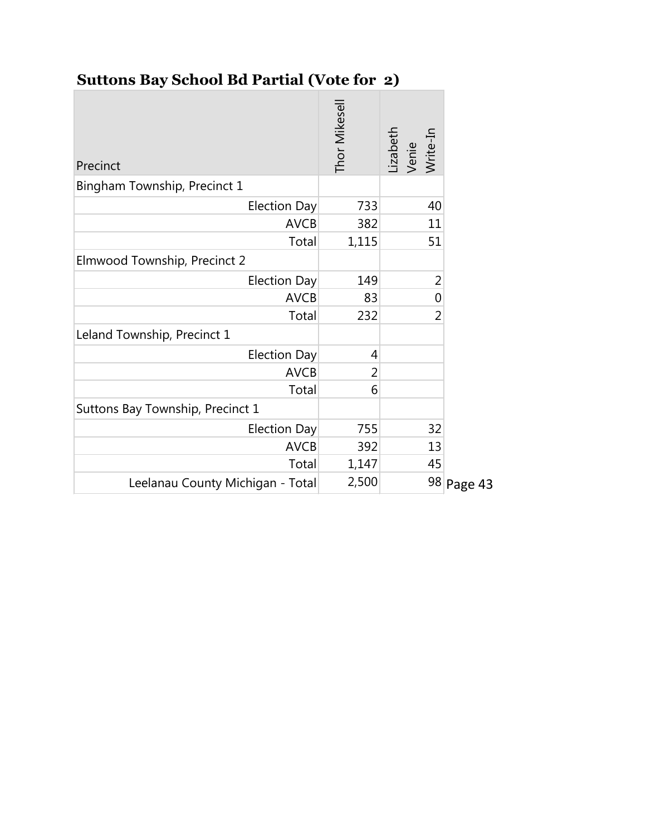## **Suttons Bay School Bd Partial (Vote for 2)**

| Precinct                         | Thor Mikesell | Lizabeth<br>Venie<br>Write-In |            |
|----------------------------------|---------------|-------------------------------|------------|
| Bingham Township, Precinct 1     |               |                               |            |
| <b>Election Day</b>              | 733           | 40                            |            |
| <b>AVCB</b>                      | 382           | 11                            |            |
| Total                            | 1,115         | 51                            |            |
| Elmwood Township, Precinct 2     |               |                               |            |
| <b>Election Day</b>              | 149           | 2                             |            |
| <b>AVCB</b>                      | 83            | 0                             |            |
| Total                            | 232           | $\overline{2}$                |            |
| Leland Township, Precinct 1      |               |                               |            |
| <b>Election Day</b>              | 4             |                               |            |
| <b>AVCB</b>                      | 2             |                               |            |
| Total                            | 6             |                               |            |
| Suttons Bay Township, Precinct 1 |               |                               |            |
| <b>Election Day</b>              | 755           | 32                            |            |
| <b>AVCB</b>                      | 392           | 13                            |            |
| Total                            | 1,147         | 45                            |            |
| Leelanau County Michigan - Total | 2,500         |                               | 98 Page 43 |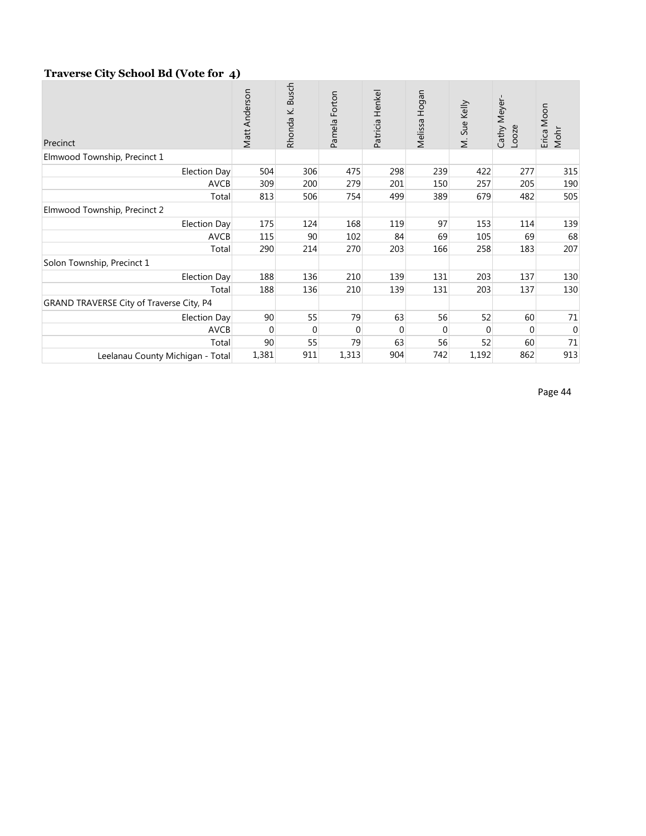#### **Traverse City School Bd (Vote for 4)**

| Precinct                                 | Matt Anderson | <b>Busch</b><br>Rhonda K. | Forton<br>Pamela | Patricia Henkel | Melissa Hogan | M. Sue Kelly | Cathy Meyer<br>Looze | Erica Moon<br>Mohr |
|------------------------------------------|---------------|---------------------------|------------------|-----------------|---------------|--------------|----------------------|--------------------|
| Elmwood Township, Precinct 1             |               |                           |                  |                 |               |              |                      |                    |
| Election Day                             | 504           | 306                       | 475              | 298             | 239           | 422          | 277                  | 315                |
| <b>AVCB</b>                              | 309           | 200                       | 279              | 201             | 150           | 257          | 205                  | 190                |
| Total                                    | 813           | 506                       | 754              | 499             | 389           | 679          | 482                  | 505                |
| Elmwood Township, Precinct 2             |               |                           |                  |                 |               |              |                      |                    |
| Election Day                             | 175           | 124                       | 168              | 119             | 97            | 153          | 114                  | 139                |
| <b>AVCB</b>                              | 115           | 90                        | 102              | 84              | 69            | 105          | 69                   | 68                 |
| Total                                    | 290           | 214                       | 270              | 203             | 166           | 258          | 183                  | 207                |
| Solon Township, Precinct 1               |               |                           |                  |                 |               |              |                      |                    |
| <b>Election Day</b>                      | 188           | 136                       | 210              | 139             | 131           | 203          | 137                  | 130                |
| Total                                    | 188           | 136                       | 210              | 139             | 131           | 203          | 137                  | 130                |
| GRAND TRAVERSE City of Traverse City, P4 |               |                           |                  |                 |               |              |                      |                    |
| <b>Election Day</b>                      | 90            | 55                        | 79               | 63              | 56            | 52           | 60                   | 71                 |
| <b>AVCB</b>                              | $\Omega$      | $\Omega$                  | $\Omega$         | $\Omega$        | $\Omega$      | $\Omega$     | $\Omega$             | $\overline{0}$     |
| Total                                    | 90            | 55                        | 79               | 63              | 56            | 52           | 60                   | 71                 |
| Leelanau County Michigan - Total         | 1,381         | 911                       | 1,313            | 904             | 742           | 1,192        | 862                  | 913                |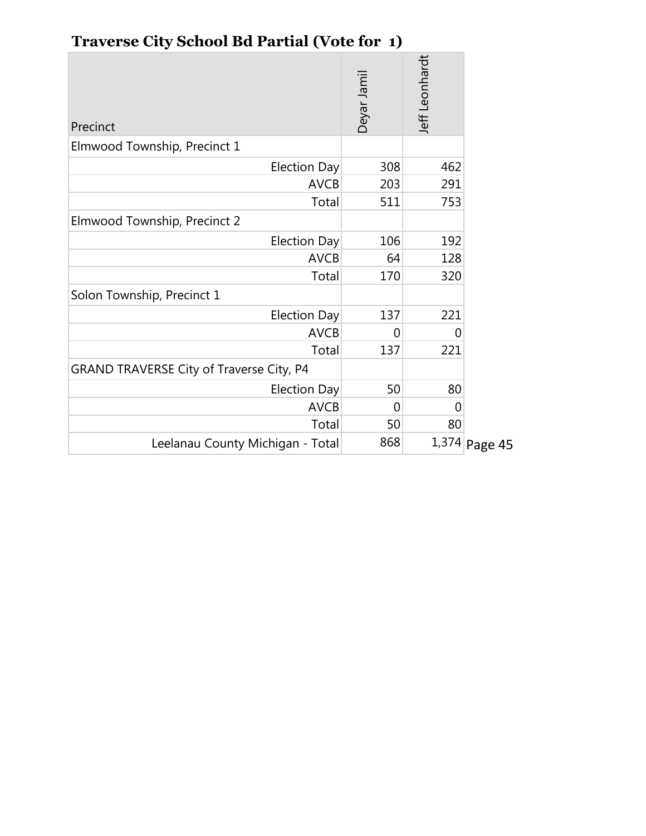| Precinct                                 | Deyar Jamil | Jeff Leonhardt  |
|------------------------------------------|-------------|-----------------|
| Elmwood Township, Precinct 1             |             |                 |
| <b>Election Day</b>                      | 308         | 462             |
| <b>AVCB</b>                              | 203         | 291             |
| Total                                    | 511         | 753             |
| Elmwood Township, Precinct 2             |             |                 |
| <b>Election Day</b>                      | 106         | 192             |
| <b>AVCB</b>                              | 64          | 128             |
| Total                                    | 170         | 320             |
| Solon Township, Precinct 1               |             |                 |
| <b>Election Day</b>                      | 137         | 221             |
| <b>AVCB</b>                              | 0           | 0               |
| Total                                    | 137         | 221             |
| GRAND TRAVERSE City of Traverse City, P4 |             |                 |
| <b>Election Day</b>                      | 50          | 80              |
| <b>AVCB</b>                              | 0           | $\Omega$        |
| Total                                    | 50          | 80              |
| Leelanau County Michigan - Total         | 868         | $1,374$ Page 45 |

# **Traverse City School Bd Partial (Vote for 1)**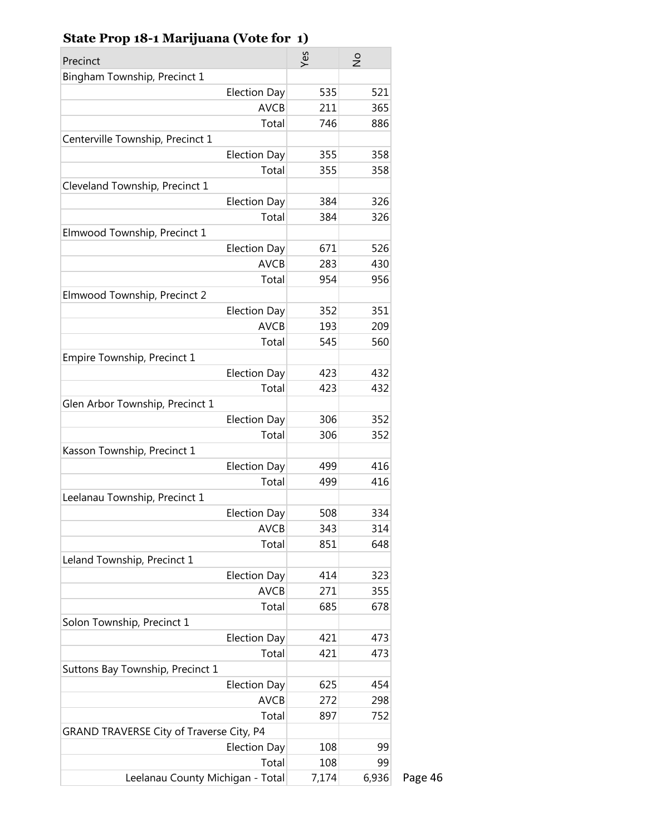| Precinct                                 |                                    | Yes   | $\frac{1}{2}$ |
|------------------------------------------|------------------------------------|-------|---------------|
| Bingham Township, Precinct 1             |                                    |       |               |
|                                          | <b>Election Day</b>                | 535   | 521           |
|                                          | <b>AVCB</b>                        | 211   | 365           |
|                                          | Total                              | 746   | 886           |
| Centerville Township, Precinct 1         |                                    |       |               |
|                                          | <b>Election Day</b>                | 355   | 358           |
|                                          | Total                              | 355   | 358           |
| Cleveland Township, Precinct 1           |                                    |       |               |
|                                          | <b>Election Day</b>                | 384   | 326           |
|                                          | Total                              | 384   | 326           |
| Elmwood Township, Precinct 1             |                                    |       |               |
|                                          | <b>Election Day</b>                | 671   | 526           |
|                                          | <b>AVCB</b>                        | 283   | 430           |
|                                          | Total                              | 954   | 956           |
| Elmwood Township, Precinct 2             |                                    |       |               |
|                                          | <b>Election Day</b>                | 352   | 351           |
|                                          | <b>AVCB</b>                        | 193   | 209           |
|                                          | Total                              | 545   | 560           |
| Empire Township, Precinct 1              |                                    |       |               |
|                                          | <b>Election Day</b>                | 423   | 432           |
|                                          | Total                              | 423   | 432           |
| Glen Arbor Township, Precinct 1          |                                    |       |               |
|                                          | <b>Election Day</b>                | 306   | 352           |
|                                          | Total                              | 306   | 352           |
| Kasson Township, Precinct 1              |                                    |       |               |
|                                          | <b>Election Day</b><br>Total       | 499   | 416           |
|                                          |                                    | 499   | 416           |
| Leelanau Township, Precinct 1            |                                    | 508   | 334           |
|                                          | <b>Election Day</b><br><b>AVCB</b> | 343   | 314           |
|                                          | Total                              | 851   | 648           |
| Leland Township, Precinct 1              |                                    |       |               |
|                                          | <b>Election Day</b>                | 414   | 323           |
|                                          | <b>AVCB</b>                        | 271   | 355           |
|                                          | Total                              | 685   | 678           |
| Solon Township, Precinct 1               |                                    |       |               |
|                                          | <b>Election Day</b>                | 421   | 473           |
|                                          | Total                              | 421   | 473           |
| Suttons Bay Township, Precinct 1         |                                    |       |               |
|                                          | <b>Election Day</b>                | 625   | 454           |
|                                          | <b>AVCB</b>                        | 272   | 298           |
|                                          | Total                              | 897   | 752           |
| GRAND TRAVERSE City of Traverse City, P4 |                                    |       |               |
|                                          | <b>Election Day</b>                | 108   | 99            |
|                                          | Total                              | 108   | 99            |
| Leelanau County Michigan - Total         |                                    | 7,174 | 6,936         |

Page 46

### **State Prop 18-1 Marijuana (Vote for 1)**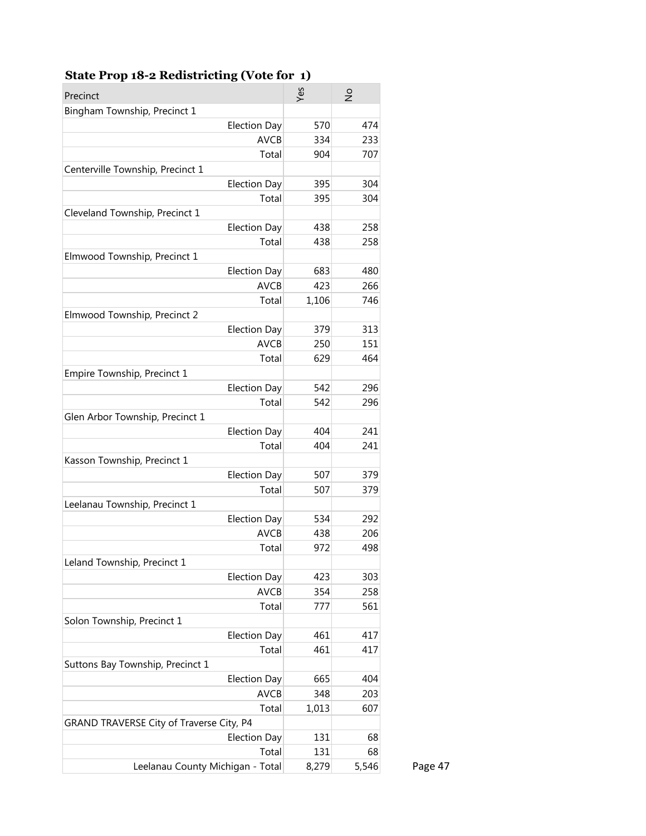| Precinct                                 | Yes                | $\frac{1}{2}$ |
|------------------------------------------|--------------------|---------------|
| Bingham Township, Precinct 1             |                    |               |
| <b>Election Day</b>                      | 570                | 474           |
|                                          | <b>AVCB</b><br>334 | 233           |
|                                          | Total<br>904       | 707           |
| Centerville Township, Precinct 1         |                    |               |
| <b>Election Day</b>                      | 395                | 304           |
|                                          | Total<br>395       | 304           |
| Cleveland Township, Precinct 1           |                    |               |
| <b>Election Day</b>                      | 438                | 258           |
|                                          | Total<br>438       | 258           |
| Elmwood Township, Precinct 1             |                    |               |
| <b>Election Day</b>                      | 683                | 480           |
|                                          | <b>AVCB</b><br>423 | 266           |
|                                          | Total<br>1,106     | 746           |
| Elmwood Township, Precinct 2             |                    |               |
| <b>Election Day</b>                      | 379                | 313           |
|                                          | <b>AVCB</b><br>250 | 151           |
|                                          | Total<br>629       | 464           |
| Empire Township, Precinct 1              |                    |               |
| <b>Election Day</b>                      | 542                | 296           |
|                                          | Total<br>542       | 296           |
| Glen Arbor Township, Precinct 1          |                    |               |
| <b>Election Day</b>                      | 404                | 241           |
|                                          | Total<br>404       | 241           |
| Kasson Township, Precinct 1              |                    |               |
| <b>Election Day</b>                      | 507                | 379           |
|                                          | Total<br>507       | 379           |
| Leelanau Township, Precinct 1            |                    |               |
| <b>Election Day</b>                      | 534                | 292           |
|                                          | <b>AVCB</b><br>438 | 206           |
|                                          | Total<br>972       | 498           |
| Leland Township, Precinct 1              |                    |               |
| <b>Election Day</b>                      | 423                | 303           |
|                                          | <b>AVCB</b><br>354 | 258           |
|                                          | Total<br>777       | 561           |
| Solon Township, Precinct 1               |                    |               |
| <b>Election Day</b>                      | 461                | 417           |
|                                          | Total<br>461       | 417           |
| Suttons Bay Township, Precinct 1         |                    |               |
| <b>Election Day</b>                      | 665                | 404           |
|                                          | <b>AVCB</b><br>348 | 203           |
|                                          | Total<br>1,013     | 607           |
| GRAND TRAVERSE City of Traverse City, P4 |                    |               |
| <b>Election Day</b>                      | 131                | 68            |
|                                          | Total<br>131       | 68            |
| Leelanau County Michigan - Total         | 8,279              | 5,546         |

### **State Prop 18-2 Redistricting (Vote for 1)**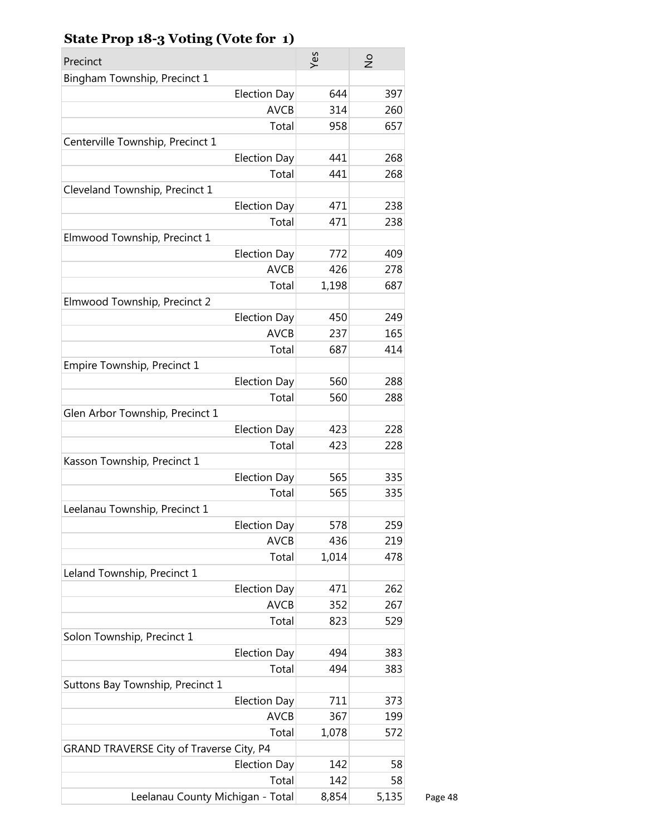| Precinct                                 | Yes   | $\frac{1}{2}$ |         |
|------------------------------------------|-------|---------------|---------|
| Bingham Township, Precinct 1             |       |               |         |
| <b>Election Day</b>                      | 644   | 397           |         |
| <b>AVCB</b>                              | 314   | 260           |         |
| Total                                    | 958   | 657           |         |
| Centerville Township, Precinct 1         |       |               |         |
| <b>Election Day</b>                      | 441   | 268           |         |
| Total                                    | 441   | 268           |         |
| Cleveland Township, Precinct 1           |       |               |         |
| <b>Election Day</b>                      | 471   | 238           |         |
| Total                                    | 471   | 238           |         |
| Elmwood Township, Precinct 1             |       |               |         |
| <b>Election Day</b>                      | 772   | 409           |         |
| <b>AVCB</b>                              | 426   | 278           |         |
| Total                                    | 1,198 | 687           |         |
| Elmwood Township, Precinct 2             |       |               |         |
| <b>Election Day</b>                      | 450   | 249           |         |
| <b>AVCB</b>                              | 237   | 165           |         |
| Total                                    | 687   | 414           |         |
| Empire Township, Precinct 1              |       |               |         |
| <b>Election Day</b>                      | 560   | 288           |         |
| Total                                    | 560   | 288           |         |
| Glen Arbor Township, Precinct 1          |       |               |         |
| <b>Election Day</b>                      | 423   | 228           |         |
| Total                                    | 423   | 228           |         |
| Kasson Township, Precinct 1              |       |               |         |
| <b>Election Day</b>                      | 565   | 335           |         |
| Total                                    | 565   | 335           |         |
| Leelanau Township, Precinct 1            |       |               |         |
| <b>Election Day</b>                      | 578   | 259           |         |
| <b>AVCB</b>                              | 436   | 219           |         |
| Total                                    | 1,014 | 478           |         |
| Leland Township, Precinct 1              |       |               |         |
| <b>Election Day</b>                      | 471   | 262           |         |
| <b>AVCB</b>                              | 352   | 267           |         |
| Total                                    | 823   | 529           |         |
| Solon Township, Precinct 1               |       |               |         |
| <b>Election Day</b>                      | 494   | 383           |         |
| Total                                    | 494   | 383           |         |
| Suttons Bay Township, Precinct 1         |       |               |         |
| <b>Election Day</b>                      | 711   | 373           |         |
| <b>AVCB</b>                              | 367   | 199           |         |
| Total                                    | 1,078 | 572           |         |
| GRAND TRAVERSE City of Traverse City, P4 |       |               |         |
| <b>Election Day</b>                      | 142   | 58            |         |
| Total                                    | 142   | 58            |         |
| Leelanau County Michigan - Total         | 8,854 | 5,135         | Page 48 |

### **State Prop 18-3 Voting (Vote for 1)**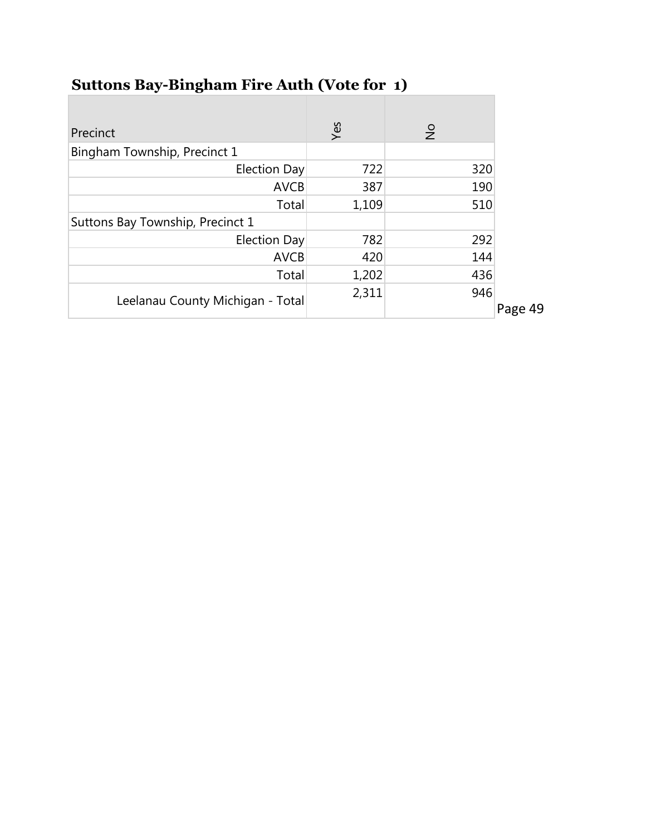| Precinct                         | Yes   | $\frac{1}{2}$ |         |
|----------------------------------|-------|---------------|---------|
| Bingham Township, Precinct 1     |       |               |         |
| <b>Election Day</b>              | 722   | 320           |         |
| <b>AVCB</b>                      | 387   | 190           |         |
| Total                            | 1,109 | 510           |         |
| Suttons Bay Township, Precinct 1 |       |               |         |
| Election Day                     | 782   | 292           |         |
| <b>AVCB</b>                      | 420   | 144           |         |
| Total                            | 1,202 | 436           |         |
| Leelanau County Michigan - Total | 2,311 | 946           | Page 49 |

# **Suttons Bay-Bingham Fire Auth (Vote for 1)**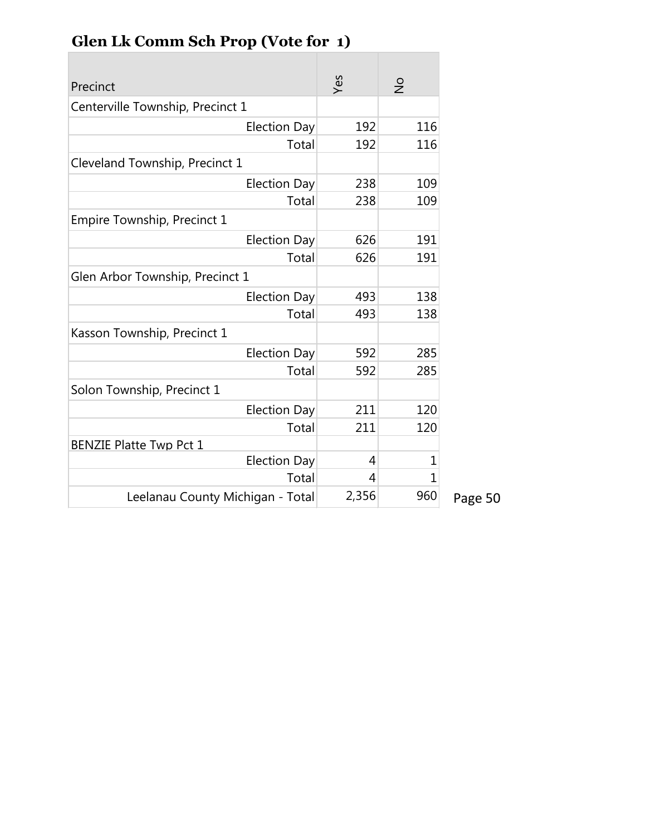| Precinct                         | Yes   | $\frac{1}{2}$  |
|----------------------------------|-------|----------------|
| Centerville Township, Precinct 1 |       |                |
| <b>Election Day</b>              | 192   | 116            |
| Total                            | 192   | 116            |
| Cleveland Township, Precinct 1   |       |                |
| <b>Election Day</b>              | 238   | 109            |
| Total                            | 238   | 109            |
| Empire Township, Precinct 1      |       |                |
| <b>Election Day</b>              | 626   | 191            |
| Total                            | 626   | 191            |
| Glen Arbor Township, Precinct 1  |       |                |
| <b>Election Day</b>              | 493   | 138            |
| Total                            | 493   | 138            |
| Kasson Township, Precinct 1      |       |                |
| <b>Election Day</b>              | 592   | 285            |
| Total                            | 592   | 285            |
| Solon Township, Precinct 1       |       |                |
| <b>Election Day</b>              | 211   | 120            |
| Total                            | 211   | 120            |
| <b>BENZIE Platte Twp Pct 1</b>   |       |                |
| <b>Election Day</b>              | 4     | 1              |
| Total                            | 4     | $\overline{1}$ |
| Leelanau County Michigan - Total | 2,356 | 960            |

# **Glen Lk Comm Sch Prop (Vote for 1)**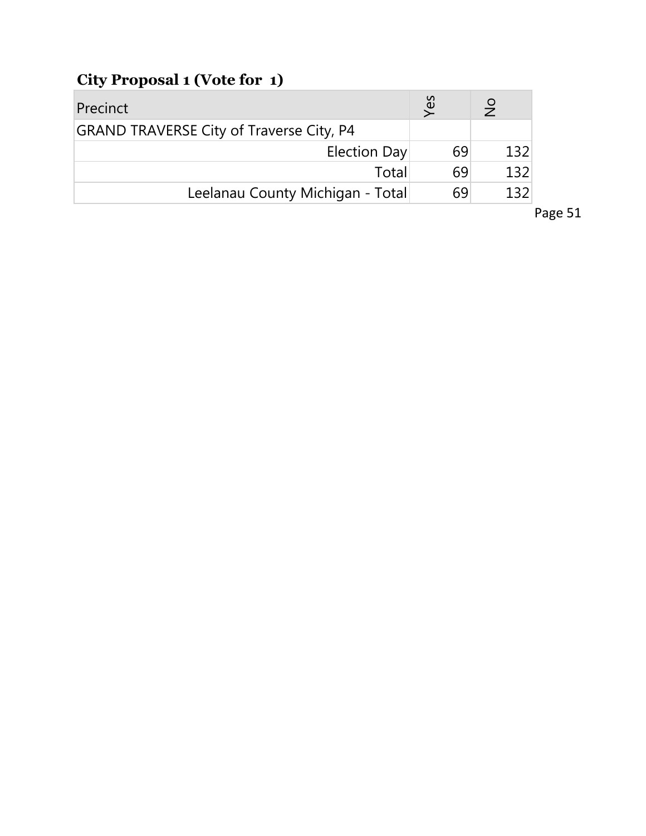# **City Proposal 1 (Vote for 1)**

| Precinct                                        | Yes | $\frac{1}{2}$ |
|-------------------------------------------------|-----|---------------|
| <b>GRAND TRAVERSE City of Traverse City, P4</b> |     |               |
| Election Day                                    | 69  | 132           |
| Total                                           | 69  | 132           |
| Leelanau County Michigan - Total                | 69  | 132           |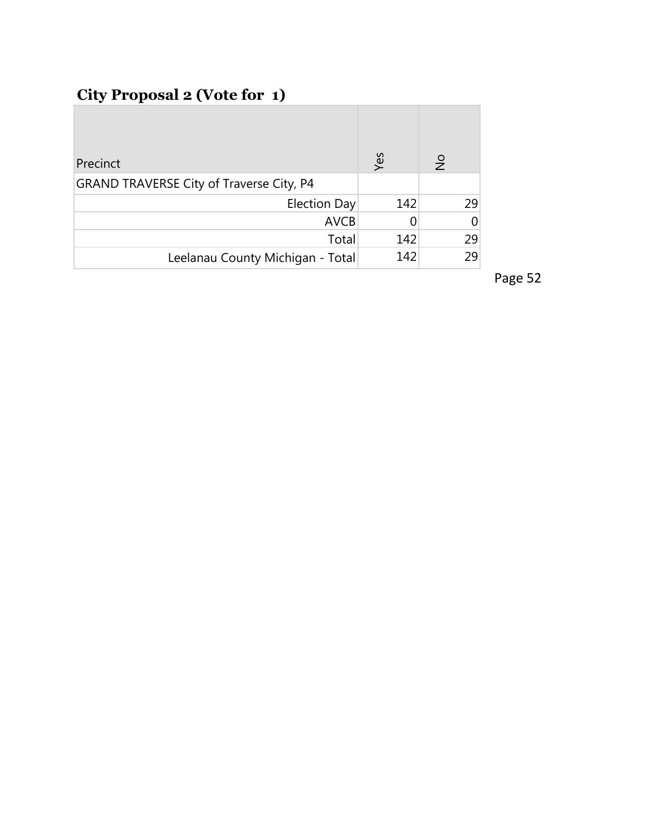## **City Proposal 2 (Vote for 1)**

| Precinct                                        | Yes | $\frac{1}{2}$ |     |
|-------------------------------------------------|-----|---------------|-----|
| <b>GRAND TRAVERSE City of Traverse City, P4</b> |     |               |     |
| Election Day                                    | 142 |               | 29. |
| <b>AVCB</b>                                     |     |               | 0   |
| Total                                           | 142 |               | 29  |
| Leelanau County Michigan - Total                | 142 |               | 29  |